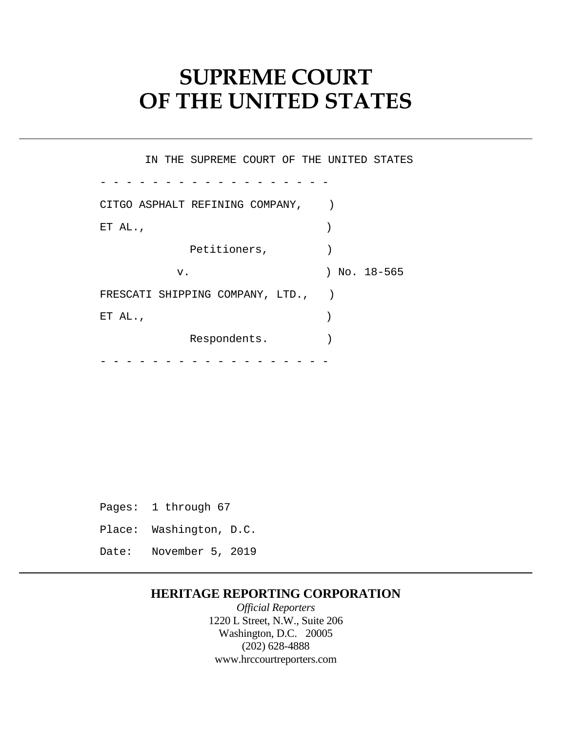# **SUPREME COURT OF THE UNITED STATES**

- - - - - - - - - - - - - - - - - -  $-$  -  $-$  -  $-$ IN THE SUPREME COURT OF THE UNITED STATES CITGO ASPHALT REFINING COMPANY, ET AL.,  $\qquad \qquad$  ) Petitioners,  $)$ v. ) No. 18-565 FRESCATI SHIPPING COMPANY, LTD., ) ET AL.,  $\qquad \qquad$  ) Respondents.

Pages: 1 through 67 Place: Washington, D.C. Date: November 5, 2019

# **HERITAGE REPORTING CORPORATION**

*Official Reporters*  1220 L Street, N.W., Suite 206 Washington, D.C. 20005 (202) 628-4888 <www.hrccourtreporters.com>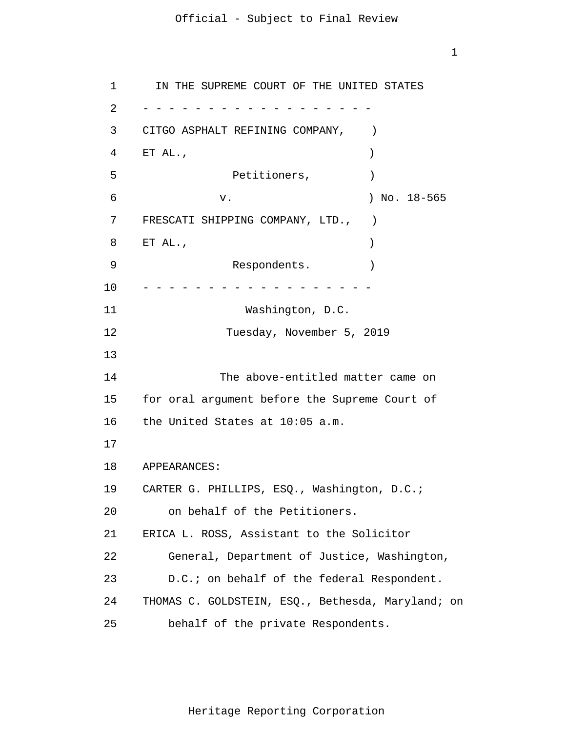1

```
1 
 \overline{2}3 
 4 
 5 
6 
7 
8 
9 
10 
11 
12 
13
14 
15 
16 
17
18 
19 
20 
21 
22 
23 
24 
25 
      - - - - - - - - - - - - - - - - - -
      - - - - - - - - - - - - - - - - - -
       IN THE SUPREME COURT OF THE UNITED STATES 
     CITGO ASPHALT REFINING COMPANY,
     ET AL., \qquad \qquadPetitioners, )v. ) No. 18-565 
     FRESCATI SHIPPING COMPANY, LTD., ) 
     ET AL., \qquad \qquadRespondents.
                    Washington, D.C. 
                  Tuesday, November 5, 2019 
                 The above-entitled matter came on 
     for oral argument before the Supreme Court of 
     the United States at 10:05 a.m. 
     APPEARANCES: 
     CARTER G. PHILLIPS, ESQ., Washington, D.C.; 
         on behalf of the Petitioners. 
     ERICA L. ROSS, Assistant to the Solicitor 
         General, Department of Justice, Washington, 
         D.C.; on behalf of the federal Respondent. 
     THOMAS C. GOLDSTEIN, ESQ., Bethesda, Maryland; on 
         behalf of the private Respondents.
```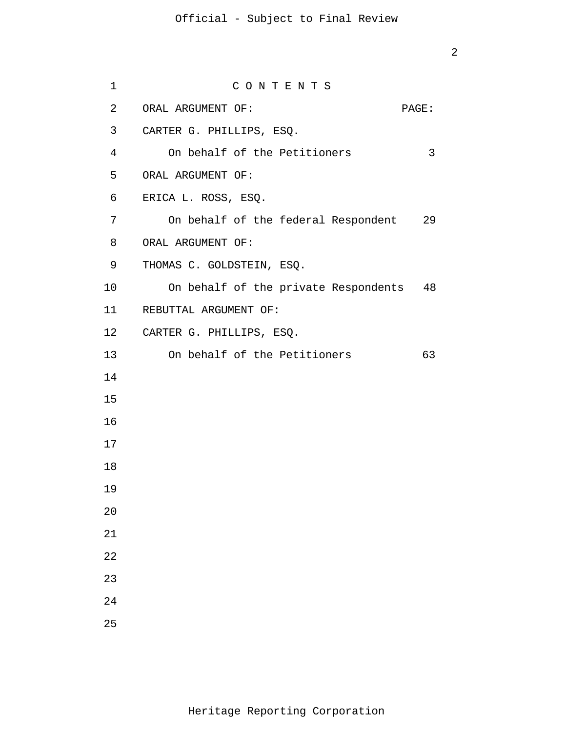| $\mathbf 1$ | CONTENTS                                |    |
|-------------|-----------------------------------------|----|
| 2           | ORAL ARGUMENT OF:<br>PAGE:              |    |
| 3           | CARTER G. PHILLIPS, ESQ.                |    |
| 4           | On behalf of the Petitioners            | 3  |
| 5           | ORAL ARGUMENT OF:                       |    |
| 6           | ERICA L. ROSS, ESQ.                     |    |
| 7           | On behalf of the federal Respondent 29  |    |
| 8           | ORAL ARGUMENT OF:                       |    |
| 9           | THOMAS C. GOLDSTEIN, ESQ.               |    |
| 10          | On behalf of the private Respondents 48 |    |
| 11          | REBUTTAL ARGUMENT OF:                   |    |
|             | 12 CARTER G. PHILLIPS, ESQ.             |    |
| 13          | On behalf of the Petitioners            | 63 |
| 14          |                                         |    |
| 15          |                                         |    |
| 16          |                                         |    |
| 17          |                                         |    |
| 18          |                                         |    |
| 19          |                                         |    |
| 20          |                                         |    |
| 21          |                                         |    |
| 22          |                                         |    |
| 23          |                                         |    |
| 24          |                                         |    |
| 25          |                                         |    |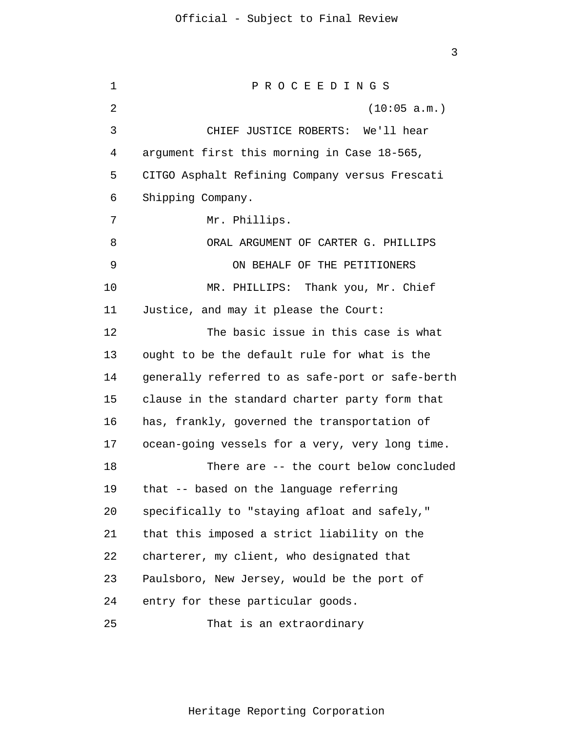1  $\overline{2}$ 3 4 5 6 7 8 9 10 11 12 13 14 15 16 17 18 19 20 21 22 23 24 25 P R O C E E D I N G S (10:05 a.m.) CHIEF JUSTICE ROBERTS: We'll hear argument first this morning in Case 18-565, CITGO Asphalt Refining Company versus Frescati Shipping Company. Mr. Phillips. ORAL ARGUMENT OF CARTER G. PHILLIPS ON BEHALF OF THE PETITIONERS MR. PHILLIPS: Thank you, Mr. Chief Justice, and may it please the Court: The basic issue in this case is what ought to be the default rule for what is the generally referred to as safe-port or safe-berth clause in the standard charter party form that has, frankly, governed the transportation of ocean-going vessels for a very, very long time. There are -- the court below concluded that -- based on the language referring specifically to "staying afloat and safely," that this imposed a strict liability on the charterer, my client, who designated that Paulsboro, New Jersey, would be the port of entry for these particular goods. That is an extraordinary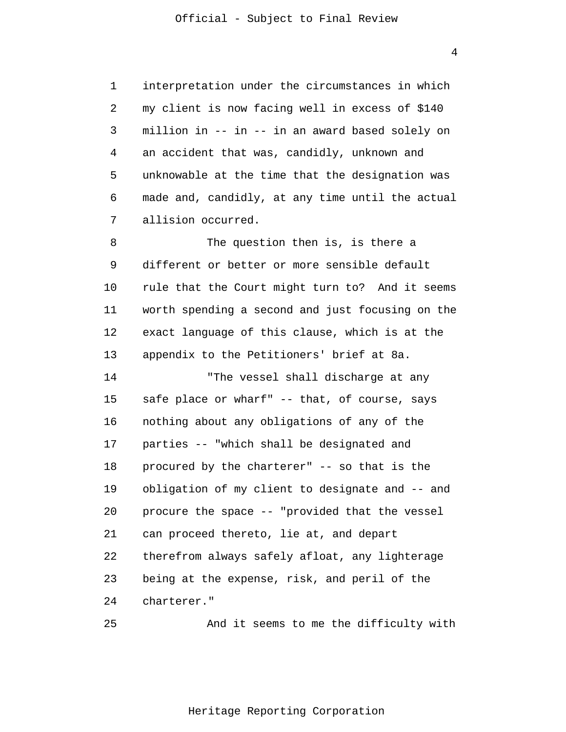interpretation under the circumstances in which my client is now facing well in excess of \$140 million in -- in -- in an award based solely on an accident that was, candidly, unknown and unknowable at the time that the designation was made and, candidly, at any time until the actual allision occurred.

8 9 10 11 12 13 The question then is, is there a different or better or more sensible default rule that the Court might turn to? And it seems worth spending a second and just focusing on the exact language of this clause, which is at the appendix to the Petitioners' brief at 8a.

14 15 16 17 18 19 20 21 22 23 24 "The vessel shall discharge at any safe place or wharf" -- that, of course, says nothing about any obligations of any of the parties -- "which shall be designated and procured by the charterer" -- so that is the obligation of my client to designate and -- and procure the space -- "provided that the vessel can proceed thereto, lie at, and depart therefrom always safely afloat, any lighterage being at the expense, risk, and peril of the charterer."

```
25
```
1

2

3

4

5

6

7

And it seems to me the difficulty with

Heritage Reporting Corporation

4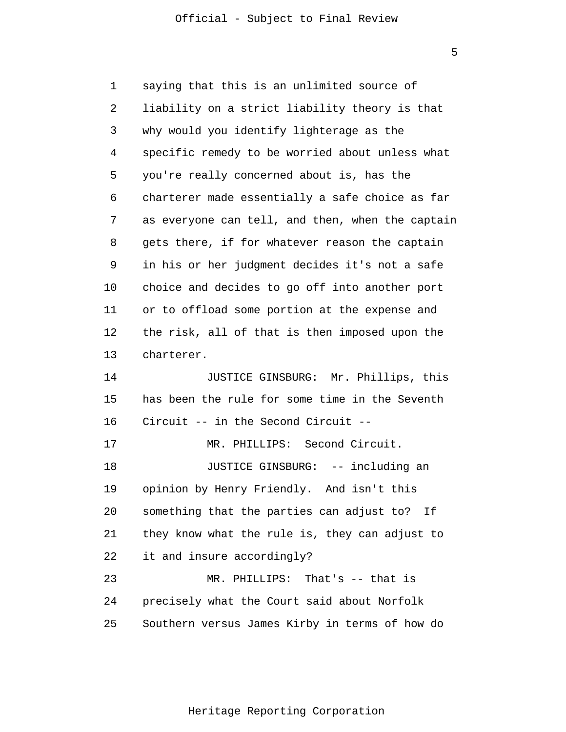5

1 2 3 4 5 6 7 8 9 10 11 12 13 14 15 16 17 18 19 20 21 22 23 24 25 saying that this is an unlimited source of liability on a strict liability theory is that why would you identify lighterage as the specific remedy to be worried about unless what you're really concerned about is, has the charterer made essentially a safe choice as far as everyone can tell, and then, when the captain gets there, if for whatever reason the captain in his or her judgment decides it's not a safe choice and decides to go off into another port or to offload some portion at the expense and the risk, all of that is then imposed upon the charterer. JUSTICE GINSBURG: Mr. Phillips, this has been the rule for some time in the Seventh Circuit -- in the Second Circuit -- MR. PHILLIPS: Second Circuit. JUSTICE GINSBURG: -- including an opinion by Henry Friendly. And isn't this something that the parties can adjust to? If they know what the rule is, they can adjust to it and insure accordingly? MR. PHILLIPS: That's -- that is precisely what the Court said about Norfolk Southern versus James Kirby in terms of how do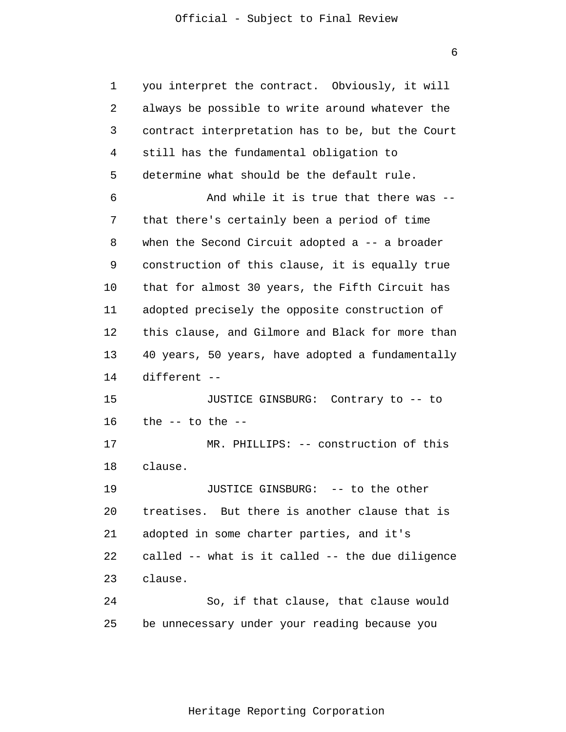1  $\overline{2}$ 3 4 5 6 7 8 9 10 11 12 13 14 15 16 17 18 19 20 21 22 23 24 25 you interpret the contract. Obviously, it will always be possible to write around whatever the contract interpretation has to be, but the Court still has the fundamental obligation to determine what should be the default rule. And while it is true that there was - that there's certainly been a period of time when the Second Circuit adopted a -- a broader construction of this clause, it is equally true that for almost 30 years, the Fifth Circuit has adopted precisely the opposite construction of this clause, and Gilmore and Black for more than 40 years, 50 years, have adopted a fundamentally different -- JUSTICE GINSBURG: Contrary to -- to the  $--$  to the  $--$ MR. PHILLIPS: -- construction of this clause. JUSTICE GINSBURG: -- to the other treatises. But there is another clause that is adopted in some charter parties, and it's called -- what is it called -- the due diligence clause. So, if that clause, that clause would be unnecessary under your reading because you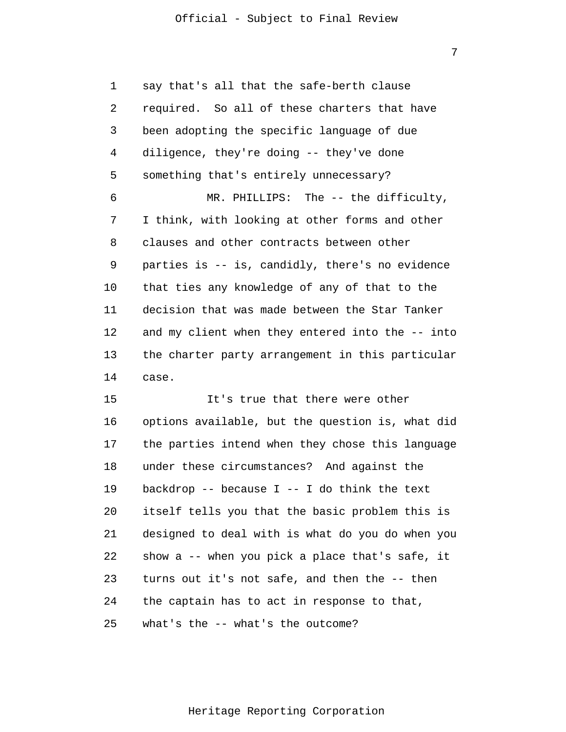1  $\overline{2}$ 3 4 5 6 7 8 9 10 11 12 13 14 say that's all that the safe-berth clause required. So all of these charters that have been adopting the specific language of due diligence, they're doing -- they've done something that's entirely unnecessary? MR. PHILLIPS: The -- the difficulty, I think, with looking at other forms and other clauses and other contracts between other parties is -- is, candidly, there's no evidence that ties any knowledge of any of that to the decision that was made between the Star Tanker and my client when they entered into the -- into the charter party arrangement in this particular case.

15 16 17 18 19 20 21 22 23 24 25 It's true that there were other options available, but the question is, what did the parties intend when they chose this language under these circumstances? And against the backdrop  $-$ - because I  $-$ - I do think the text itself tells you that the basic problem this is designed to deal with is what do you do when you show a -- when you pick a place that's safe, it turns out it's not safe, and then the -- then the captain has to act in response to that, what's the -- what's the outcome?

7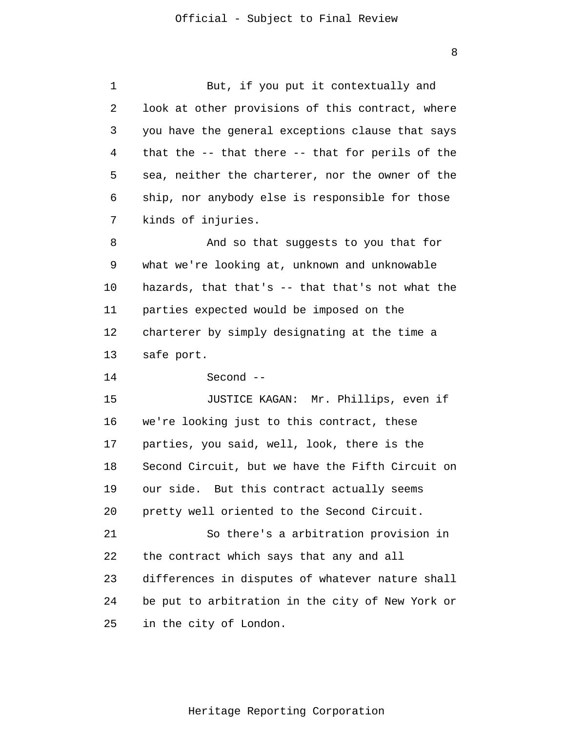1  $\overline{2}$ 3 4 5 6 7 8 9 10 11 12 13 14 But, if you put it contextually and look at other provisions of this contract, where you have the general exceptions clause that says that the -- that there -- that for perils of the sea, neither the charterer, nor the owner of the ship, nor anybody else is responsible for those kinds of injuries. And so that suggests to you that for what we're looking at, unknown and unknowable hazards, that that's -- that that's not what the parties expected would be imposed on the charterer by simply designating at the time a safe port. Second --

15 16 17 18 19 20 21 22 23 24 25 JUSTICE KAGAN: Mr. Phillips, even if we're looking just to this contract, these parties, you said, well, look, there is the Second Circuit, but we have the Fifth Circuit on our side. But this contract actually seems pretty well oriented to the Second Circuit. So there's a arbitration provision in the contract which says that any and all differences in disputes of whatever nature shall be put to arbitration in the city of New York or in the city of London.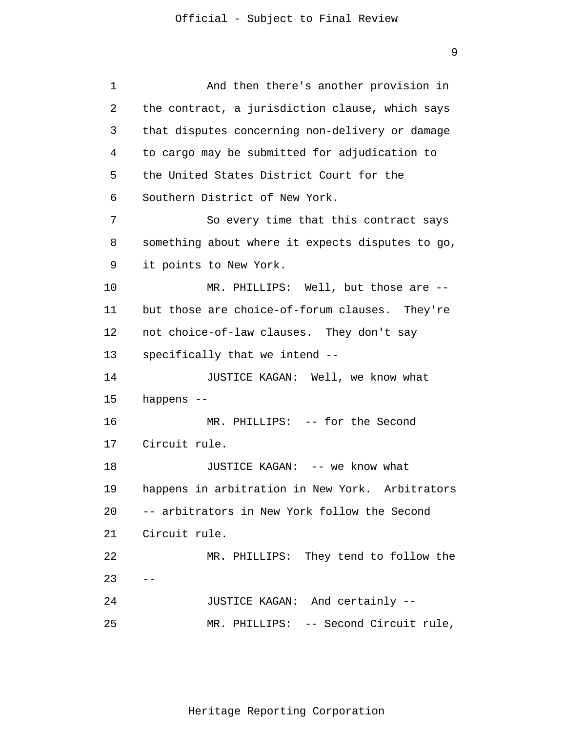```
1 
 2 
 3 
 4 
 5 
 6 
 7
 8 
 9 
10 
11 
12 
13 
14 
15 
16 
17 
18 
19 
20 
21 
22 
23 
24 
25 
      --
                And then there's another provision in 
      the contract, a jurisdiction clause, which says 
      that disputes concerning non-delivery or damage 
      to cargo may be submitted for adjudication to 
      the United States District Court for the 
      Southern District of New York. 
                So every time that this contract says 
      something about where it expects disputes to go, 
      it points to New York. 
                MR. PHILLIPS: Well, but those are --
      but those are choice-of-forum clauses. They're 
      not choice-of-law clauses. They don't say 
      specifically that we intend --
                JUSTICE KAGAN: Well, we know what 
      happens --
                MR. PHILLIPS: -- for the Second
      Circuit rule. 
                JUSTICE KAGAN: -- we know what 
      happens in arbitration in New York. Arbitrators 
      -- arbitrators in New York follow the Second 
      Circuit rule. 
                MR. PHILLIPS: They tend to follow the 
                JUSTICE KAGAN: And certainly --
                MR. PHILLIPS: -- Second Circuit rule,
```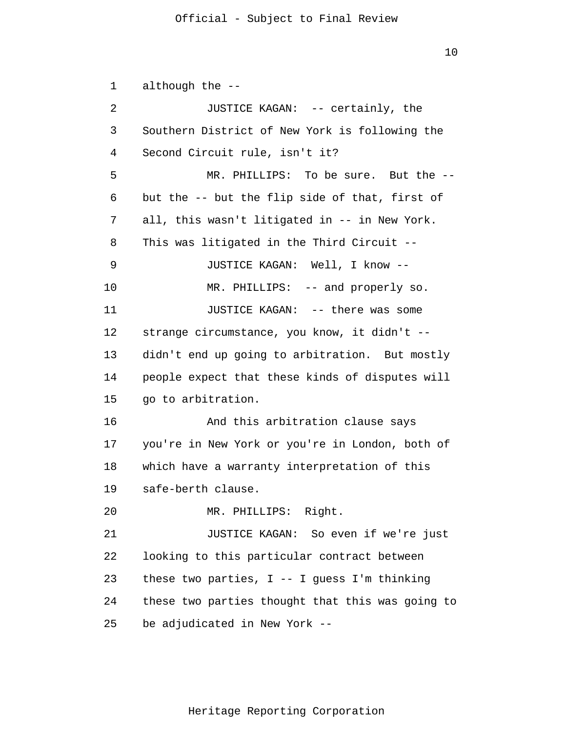10

1  $\overline{2}$ 3 4 5 6 7 8 9 10 11 12 13 14 15 16 17 18 19 20 21 22 23 24 25 although the -- JUSTICE KAGAN: -- certainly, the Southern District of New York is following the Second Circuit rule, isn't it? MR. PHILLIPS: To be sure. But the - but the -- but the flip side of that, first of all, this wasn't litigated in -- in New York. This was litigated in the Third Circuit -- JUSTICE KAGAN: Well, I know -- MR. PHILLIPS: -- and properly so. JUSTICE KAGAN: -- there was some strange circumstance, you know, it didn't - didn't end up going to arbitration. But mostly people expect that these kinds of disputes will go to arbitration. And this arbitration clause says you're in New York or you're in London, both of which have a warranty interpretation of this safe-berth clause. MR. PHILLIPS: Right. JUSTICE KAGAN: So even if we're just looking to this particular contract between these two parties,  $I$  -- I guess I'm thinking these two parties thought that this was going to be adjudicated in New York --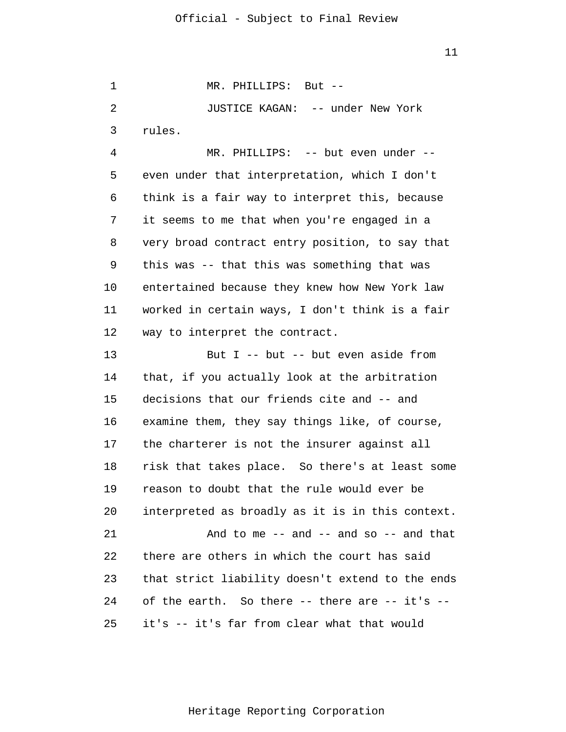1 2 3 4 5 6 7 8 9 10 11 12 13 14 15 16 17 18 19 20 21 22 23 24 25 MR. PHILLIPS: But -- JUSTICE KAGAN: -- under New York rules. MR. PHILLIPS: -- but even under - even under that interpretation, which I don't think is a fair way to interpret this, because it seems to me that when you're engaged in a very broad contract entry position, to say that this was -- that this was something that was entertained because they knew how New York law worked in certain ways, I don't think is a fair way to interpret the contract. But I -- but -- but even aside from that, if you actually look at the arbitration decisions that our friends cite and -- and examine them, they say things like, of course, the charterer is not the insurer against all risk that takes place. So there's at least some reason to doubt that the rule would ever be interpreted as broadly as it is in this context. And to me  $--$  and  $--$  and so  $--$  and that there are others in which the court has said that strict liability doesn't extend to the ends of the earth. So there -- there are -- it's - it's -- it's far from clear what that would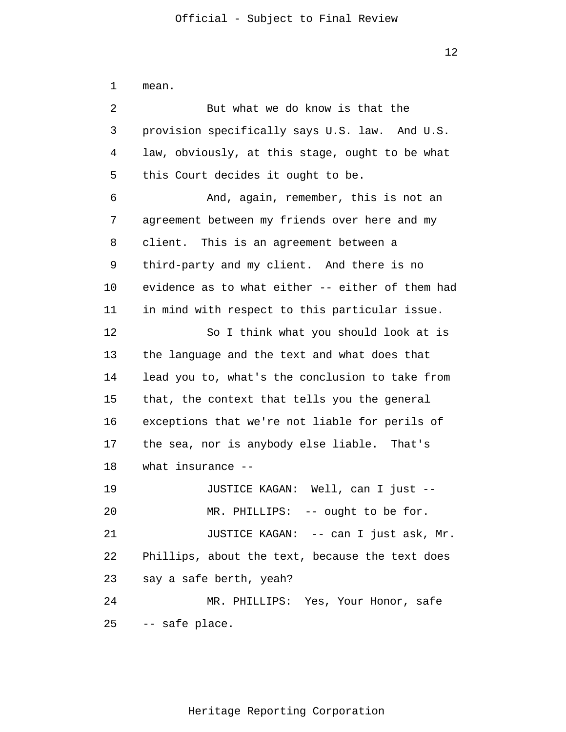1  $\overline{2}$ 3 4 5 6 7 8 9 10 11 12 13 14 15 16 17 18 19 20 21 22 23 24 25 mean. But what we do know is that the provision specifically says U.S. law. And U.S. law, obviously, at this stage, ought to be what this Court decides it ought to be. And, again, remember, this is not an agreement between my friends over here and my client. This is an agreement between a third-party and my client. And there is no evidence as to what either -- either of them had in mind with respect to this particular issue. So I think what you should look at is the language and the text and what does that lead you to, what's the conclusion to take from that, the context that tells you the general exceptions that we're not liable for perils of the sea, nor is anybody else liable. That's what insurance -- JUSTICE KAGAN: Well, can I just -- MR. PHILLIPS: -- ought to be for. JUSTICE KAGAN: -- can I just ask, Mr. Phillips, about the text, because the text does say a safe berth, yeah? MR. PHILLIPS: Yes, Your Honor, safe -- safe place.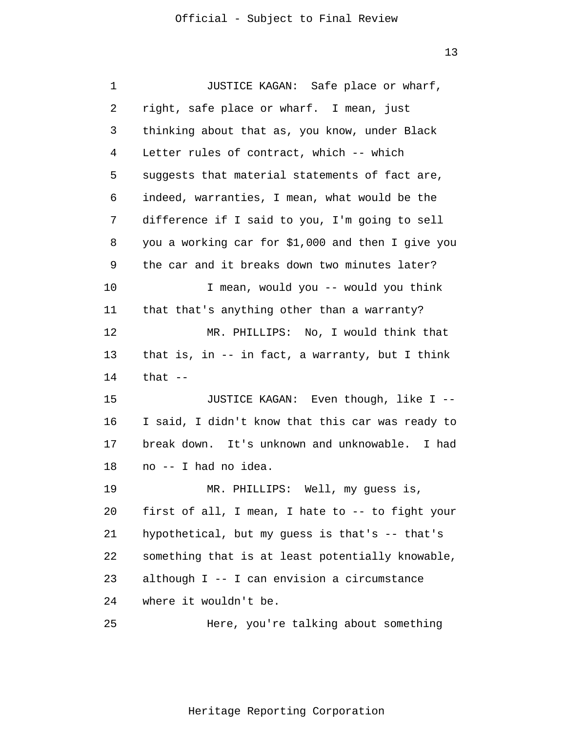| 1  | JUSTICE KAGAN: Safe place or wharf,               |
|----|---------------------------------------------------|
| 2  | right, safe place or wharf. I mean, just          |
| 3  | thinking about that as, you know, under Black     |
| 4  | Letter rules of contract, which -- which          |
| 5  | suggests that material statements of fact are,    |
| 6  | indeed, warranties, I mean, what would be the     |
| 7  | difference if I said to you, I'm going to sell    |
| 8  | you a working car for \$1,000 and then I give you |
| 9  | the car and it breaks down two minutes later?     |
| 10 | I mean, would you -- would you think              |
| 11 | that that's anything other than a warranty?       |
| 12 | MR. PHILLIPS: No, I would think that              |
| 13 | that is, in $--$ in fact, a warranty, but I think |
| 14 | that $--$                                         |
| 15 | JUSTICE KAGAN: Even though, like I --             |
| 16 | I said, I didn't know that this car was ready to  |
| 17 | break down. It's unknown and unknowable. I had    |
| 18 | no -- I had no idea.                              |
| 19 | MR. PHILLIPS: Well, my guess is,                  |
| 20 | first of all, I mean, I hate to -- to fight your  |
| 21 | hypothetical, but my guess is that's -- that's    |
| 22 | something that is at least potentially knowable,  |
| 23 | although I -- I can envision a circumstance       |
| 24 | where it wouldn't be.                             |
| 25 | Here, you're talking about something              |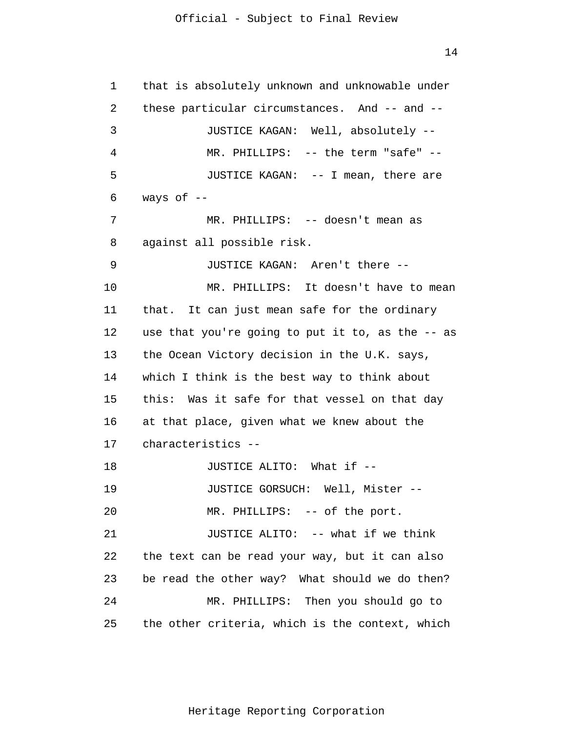14

| 1  | that is absolutely unknown and unknowable under  |
|----|--------------------------------------------------|
| 2  | these particular circumstances. And -- and --    |
| 3  | JUSTICE KAGAN: Well, absolutely --               |
| 4  | MR. PHILLIPS: -- the term "safe" --              |
| 5  | JUSTICE KAGAN: -- I mean, there are              |
| 6  | ways of $-$                                      |
| 7  | MR. PHILLIPS: -- doesn't mean as                 |
| 8  | against all possible risk.                       |
| 9  | JUSTICE KAGAN: Aren't there --                   |
| 10 | MR. PHILLIPS: It doesn't have to mean            |
| 11 | that. It can just mean safe for the ordinary     |
| 12 | use that you're going to put it to, as the -- as |
| 13 | the Ocean Victory decision in the U.K. says,     |
| 14 | which I think is the best way to think about     |
| 15 | this: Was it safe for that vessel on that day    |
| 16 | at that place, given what we knew about the      |
| 17 | characteristics --                               |
| 18 | JUSTICE ALITO: What if --                        |
| 19 | JUSTICE GORSUCH: Well, Mister --                 |
| 20 | MR. PHILLIPS: -- of the port.                    |
| 21 | JUSTICE ALITO: -- what if we think               |
| 22 | the text can be read your way, but it can also   |
| 23 | be read the other way? What should we do then?   |
| 24 | MR. PHILLIPS: Then you should go to              |
| 25 | the other criteria, which is the context, which  |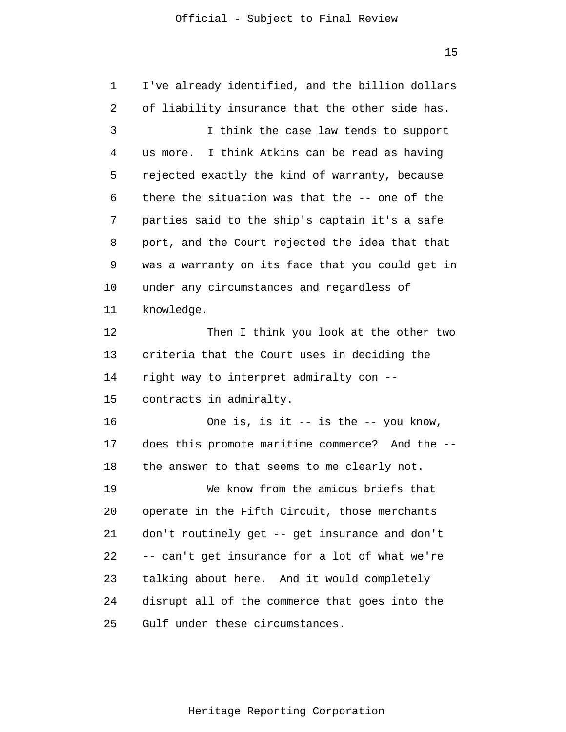15

1 2 3 4 5 6 7 8 9 10 11 12 13 14 15 16 17 18 19 20 21 22 23 24 25 I've already identified, and the billion dollars of liability insurance that the other side has. I think the case law tends to support us more. I think Atkins can be read as having rejected exactly the kind of warranty, because there the situation was that the -- one of the parties said to the ship's captain it's a safe port, and the Court rejected the idea that that was a warranty on its face that you could get in under any circumstances and regardless of knowledge. Then I think you look at the other two criteria that the Court uses in deciding the right way to interpret admiralty con - contracts in admiralty. One is, is it -- is the -- you know, does this promote maritime commerce? And the - the answer to that seems to me clearly not. We know from the amicus briefs that operate in the Fifth Circuit, those merchants don't routinely get -- get insurance and don't -- can't get insurance for a lot of what we're talking about here. And it would completely disrupt all of the commerce that goes into the Gulf under these circumstances.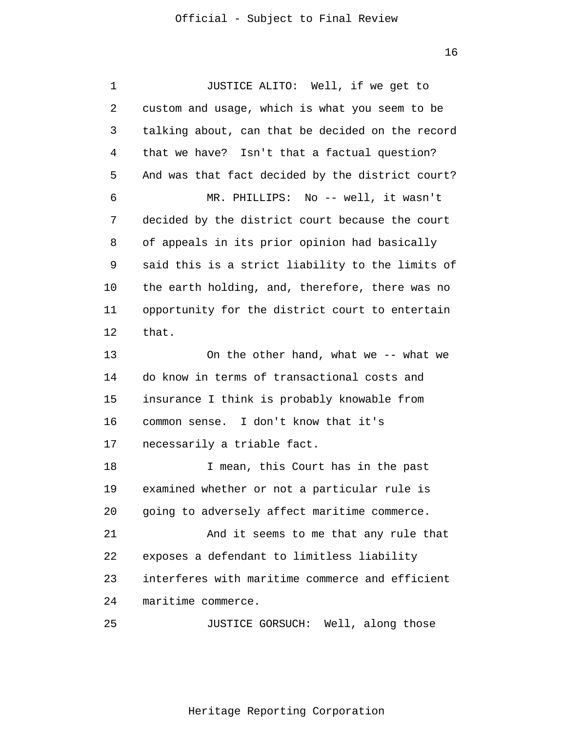1 2 3 4 5 6 7 8 9 10 11 12 13 14 15 16 17 18 19 20 21 22 23 24 25 JUSTICE ALITO: Well, if we get to custom and usage, which is what you seem to be talking about, can that be decided on the record that we have? Isn't that a factual question? And was that fact decided by the district court? MR. PHILLIPS: No -- well, it wasn't decided by the district court because the court of appeals in its prior opinion had basically said this is a strict liability to the limits of the earth holding, and, therefore, there was no opportunity for the district court to entertain that. On the other hand, what we -- what we do know in terms of transactional costs and insurance I think is probably knowable from common sense. I don't know that it's necessarily a triable fact. I mean, this Court has in the past examined whether or not a particular rule is going to adversely affect maritime commerce. And it seems to me that any rule that exposes a defendant to limitless liability interferes with maritime commerce and efficient maritime commerce. JUSTICE GORSUCH: Well, along those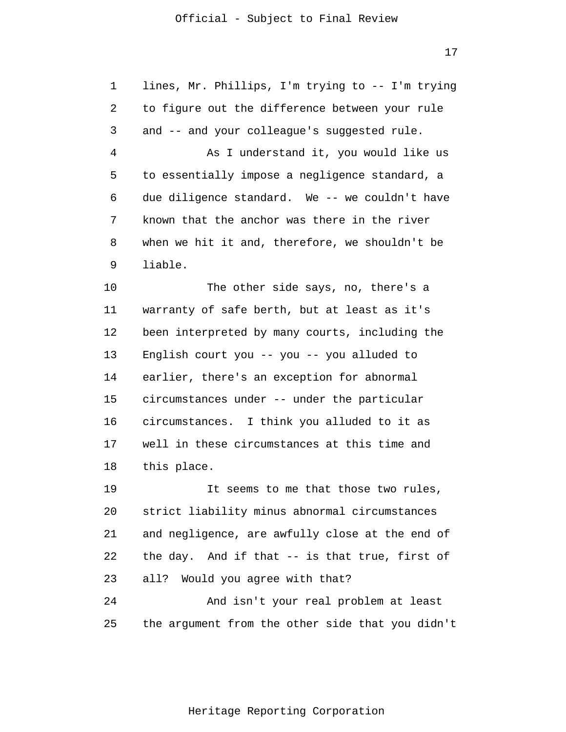1  $\overline{2}$ 3 4 5 6 7 8 9 10 11 12 13 14 15 16 17 18 19 20 21 22 23 24 25 lines, Mr. Phillips, I'm trying to -- I'm trying to figure out the difference between your rule and -- and your colleague's suggested rule. As I understand it, you would like us to essentially impose a negligence standard, a due diligence standard. We -- we couldn't have known that the anchor was there in the river when we hit it and, therefore, we shouldn't be liable. The other side says, no, there's a warranty of safe berth, but at least as it's been interpreted by many courts, including the English court you -- you -- you alluded to earlier, there's an exception for abnormal circumstances under -- under the particular circumstances. I think you alluded to it as well in these circumstances at this time and this place. It seems to me that those two rules, strict liability minus abnormal circumstances and negligence, are awfully close at the end of the day. And if that -- is that true, first of all? Would you agree with that? And isn't your real problem at least the argument from the other side that you didn't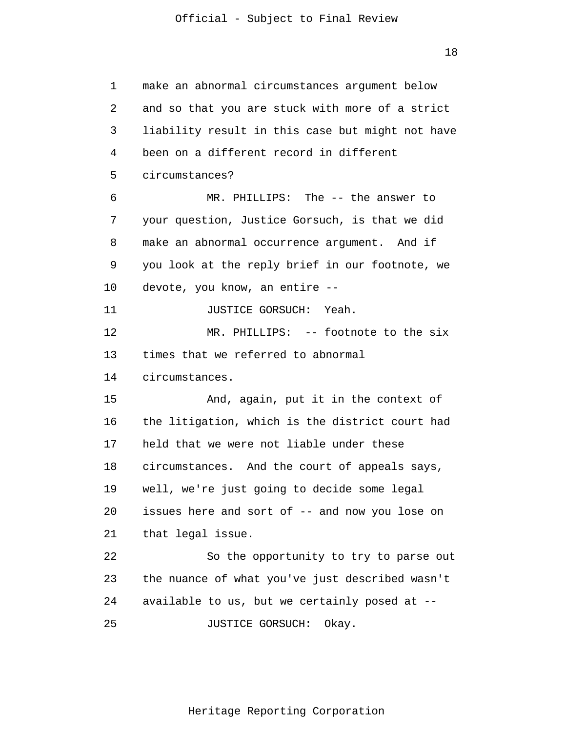1 2 3 4 5 6 7 8 9 10 11 12 13 14 15 16 17 18 19 20 21 22 23 24 25 make an abnormal circumstances argument below and so that you are stuck with more of a strict liability result in this case but might not have been on a different record in different circumstances? MR. PHILLIPS: The -- the answer to your question, Justice Gorsuch, is that we did make an abnormal occurrence argument. And if you look at the reply brief in our footnote, we devote, you know, an entire -- JUSTICE GORSUCH: Yeah. MR. PHILLIPS: -- footnote to the six times that we referred to abnormal circumstances. And, again, put it in the context of the litigation, which is the district court had held that we were not liable under these circumstances. And the court of appeals says, well, we're just going to decide some legal issues here and sort of -- and now you lose on that legal issue. So the opportunity to try to parse out the nuance of what you've just described wasn't available to us, but we certainly posed at -- JUSTICE GORSUCH: Okay.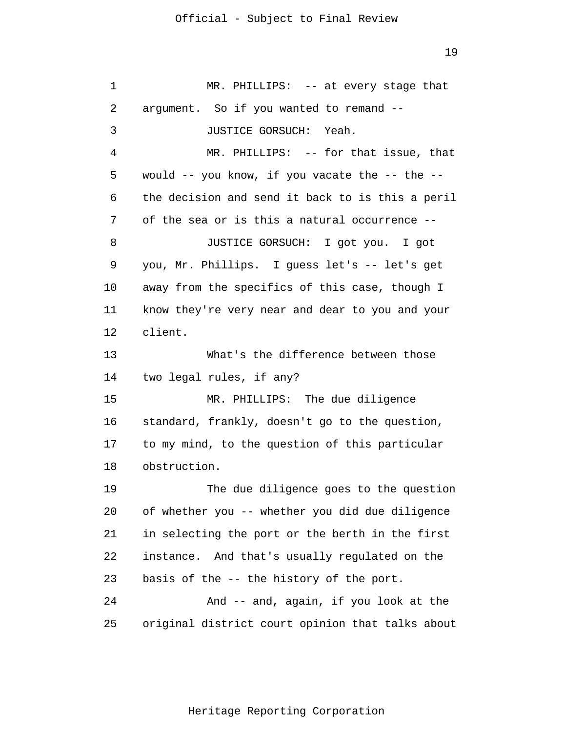1 2 3 4 5 6 7 8 9 10 11 12 13 14 15 16 17 18 19 20 21 22 23 24 25 MR. PHILLIPS: -- at every stage that argument. So if you wanted to remand -- JUSTICE GORSUCH: Yeah. MR. PHILLIPS: -- for that issue, that would -- you know, if you vacate the -- the - the decision and send it back to is this a peril of the sea or is this a natural occurrence -- JUSTICE GORSUCH: I got you. I got you, Mr. Phillips. I guess let's -- let's get away from the specifics of this case, though I know they're very near and dear to you and your client. What's the difference between those two legal rules, if any? MR. PHILLIPS: The due diligence standard, frankly, doesn't go to the question, to my mind, to the question of this particular obstruction. The due diligence goes to the question of whether you -- whether you did due diligence in selecting the port or the berth in the first instance. And that's usually regulated on the basis of the -- the history of the port. And -- and, again, if you look at the original district court opinion that talks about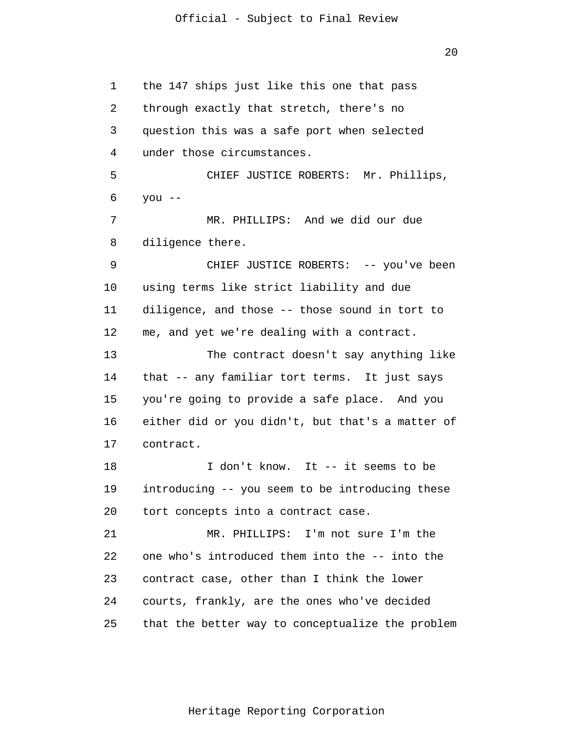20

1 2 3 4 5 6 7 8 9 10 11 12 13 14 15 16 17 18 19 20 21 22 23 24 25 the 147 ships just like this one that pass through exactly that stretch, there's no question this was a safe port when selected under those circumstances. CHIEF JUSTICE ROBERTS: Mr. Phillips, you -- MR. PHILLIPS: And we did our due diligence there. CHIEF JUSTICE ROBERTS: -- you've been using terms like strict liability and due diligence, and those -- those sound in tort to me, and yet we're dealing with a contract. The contract doesn't say anything like that -- any familiar tort terms. It just says you're going to provide a safe place. And you either did or you didn't, but that's a matter of contract. I don't know. It -- it seems to be introducing -- you seem to be introducing these tort concepts into a contract case. MR. PHILLIPS: I'm not sure I'm the one who's introduced them into the -- into the contract case, other than I think the lower courts, frankly, are the ones who've decided that the better way to conceptualize the problem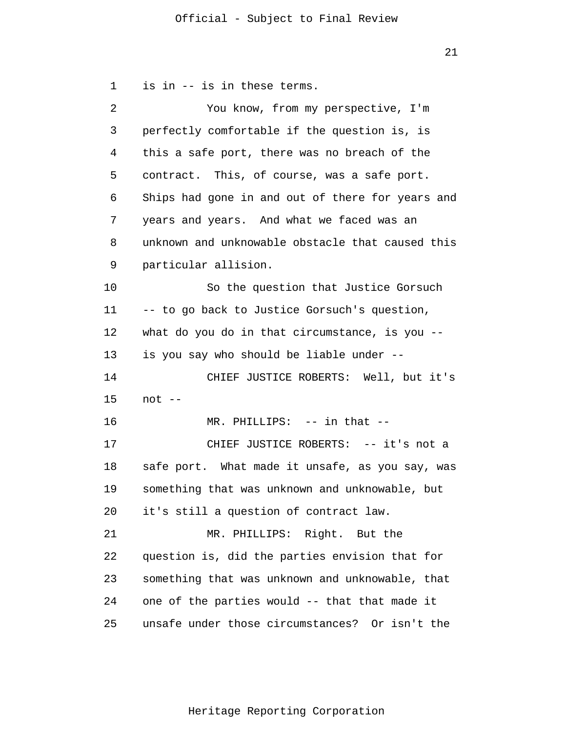1  $\overline{2}$ 3 4 5 6 7 8 9 10 11 12 13 14 15 16 17 18 19 20 21 22 23 24 25 is in -- is in these terms. You know, from my perspective, I'm perfectly comfortable if the question is, is this a safe port, there was no breach of the contract. This, of course, was a safe port. Ships had gone in and out of there for years and years and years. And what we faced was an unknown and unknowable obstacle that caused this particular allision. So the question that Justice Gorsuch -- to go back to Justice Gorsuch's question, what do you do in that circumstance, is you - is you say who should be liable under -- CHIEF JUSTICE ROBERTS: Well, but it's not -- MR. PHILLIPS: -- in that -- CHIEF JUSTICE ROBERTS: -- it's not a safe port. What made it unsafe, as you say, was something that was unknown and unknowable, but it's still a question of contract law. MR. PHILLIPS: Right. But the question is, did the parties envision that for something that was unknown and unknowable, that one of the parties would -- that that made it unsafe under those circumstances? Or isn't the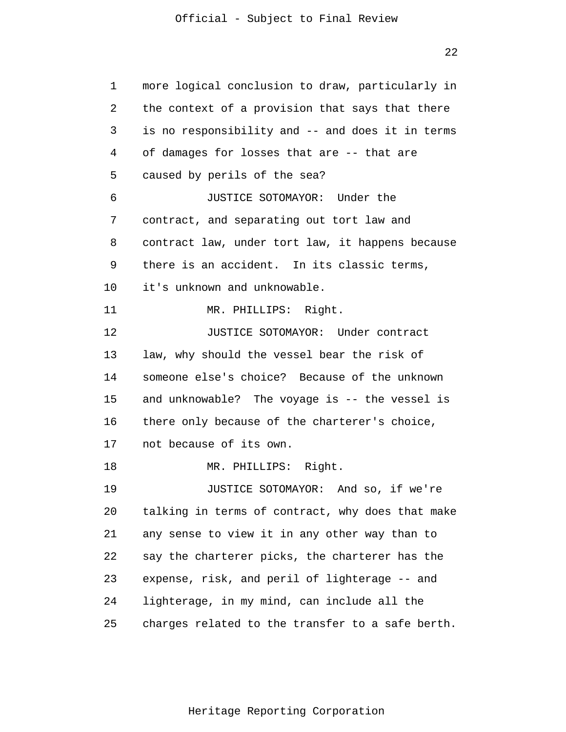22

1 2 3 4 5 6 7 8 9 10 11 12 13 14 15 16 17 18 19 20 21 22 23 24 25 more logical conclusion to draw, particularly in the context of a provision that says that there is no responsibility and -- and does it in terms of damages for losses that are -- that are caused by perils of the sea? JUSTICE SOTOMAYOR: Under the contract, and separating out tort law and contract law, under tort law, it happens because there is an accident. In its classic terms, it's unknown and unknowable. MR. PHILLIPS: Right. JUSTICE SOTOMAYOR: Under contract law, why should the vessel bear the risk of someone else's choice? Because of the unknown and unknowable? The voyage is -- the vessel is there only because of the charterer's choice, not because of its own. MR. PHILLIPS: Right. JUSTICE SOTOMAYOR: And so, if we're talking in terms of contract, why does that make any sense to view it in any other way than to say the charterer picks, the charterer has the expense, risk, and peril of lighterage -- and lighterage, in my mind, can include all the charges related to the transfer to a safe berth.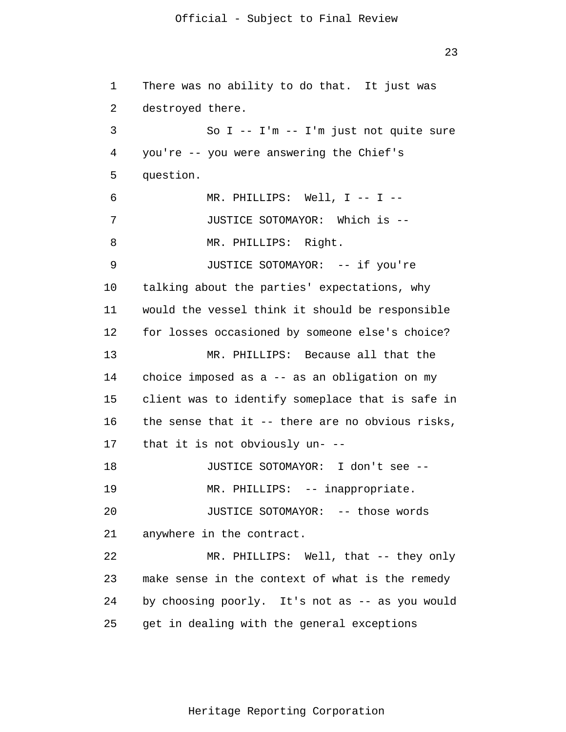23

1  $\overline{2}$ 3 4 5 6 7 8 9 10 11 12 13 14 15 16 17 18 19 20 21 22 23 24 25 There was no ability to do that. It just was destroyed there. So I -- I'm -- I'm just not quite sure you're -- you were answering the Chief's question. MR. PHILLIPS: Well, I -- I --JUSTICE SOTOMAYOR: Which is -- MR. PHILLIPS: Right. JUSTICE SOTOMAYOR: -- if you're talking about the parties' expectations, why would the vessel think it should be responsible for losses occasioned by someone else's choice? MR. PHILLIPS: Because all that the choice imposed as a -- as an obligation on my client was to identify someplace that is safe in the sense that it -- there are no obvious risks, that it is not obviously un- -- JUSTICE SOTOMAYOR: I don't see -- MR. PHILLIPS: -- inappropriate. JUSTICE SOTOMAYOR: -- those words anywhere in the contract. MR. PHILLIPS: Well, that -- they only make sense in the context of what is the remedy by choosing poorly. It's not as -- as you would get in dealing with the general exceptions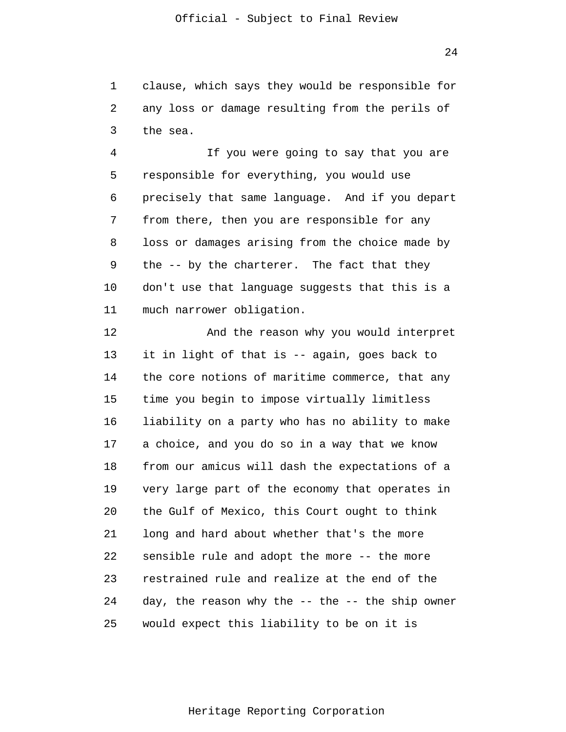1  $\overline{2}$ 3 clause, which says they would be responsible for any loss or damage resulting from the perils of the sea.

4 5 6 7 8 9 10 11 If you were going to say that you are responsible for everything, you would use precisely that same language. And if you depart from there, then you are responsible for any loss or damages arising from the choice made by the -- by the charterer. The fact that they don't use that language suggests that this is a much narrower obligation.

12 13 14 15 16 17 18 19 20 21 22 23 24 25 And the reason why you would interpret it in light of that is -- again, goes back to the core notions of maritime commerce, that any time you begin to impose virtually limitless liability on a party who has no ability to make a choice, and you do so in a way that we know from our amicus will dash the expectations of a very large part of the economy that operates in the Gulf of Mexico, this Court ought to think long and hard about whether that's the more sensible rule and adopt the more -- the more restrained rule and realize at the end of the day, the reason why the  $--$  the  $--$  the ship owner would expect this liability to be on it is

24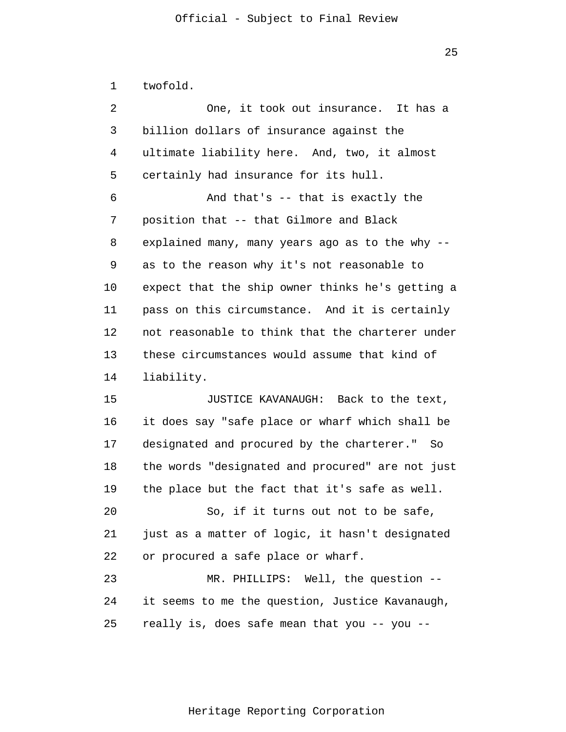1 twofold.

| 2  | One, it took out insurance. It has a             |
|----|--------------------------------------------------|
| 3  | billion dollars of insurance against the         |
| 4  | ultimate liability here. And, two, it almost     |
| 5  | certainly had insurance for its hull.            |
| 6  | And that's -- that is exactly the                |
| 7  | position that -- that Gilmore and Black          |
| 8  | explained many, many years ago as to the why --  |
| 9  | as to the reason why it's not reasonable to      |
| 10 | expect that the ship owner thinks he's getting a |
| 11 | pass on this circumstance. And it is certainly   |
| 12 | not reasonable to think that the charterer under |
| 13 | these circumstances would assume that kind of    |
| 14 | liability.                                       |
| 15 | JUSTICE KAVANAUGH: Back to the text,             |
| 16 | it does say "safe place or wharf which shall be  |
| 17 | designated and procured by the charterer." So    |
| 18 | the words "designated and procured" are not just |
| 19 | the place but the fact that it's safe as well.   |
| 20 | So, if it turns out not to be safe,              |
| 21 | just as a matter of logic, it hasn't designated  |
| 22 | or procured a safe place or wharf.               |
| 23 | MR. PHILLIPS: Well, the question --              |
| 24 | it seems to me the question, Justice Kavanaugh,  |
| 25 | really is, does safe mean that you -- you --     |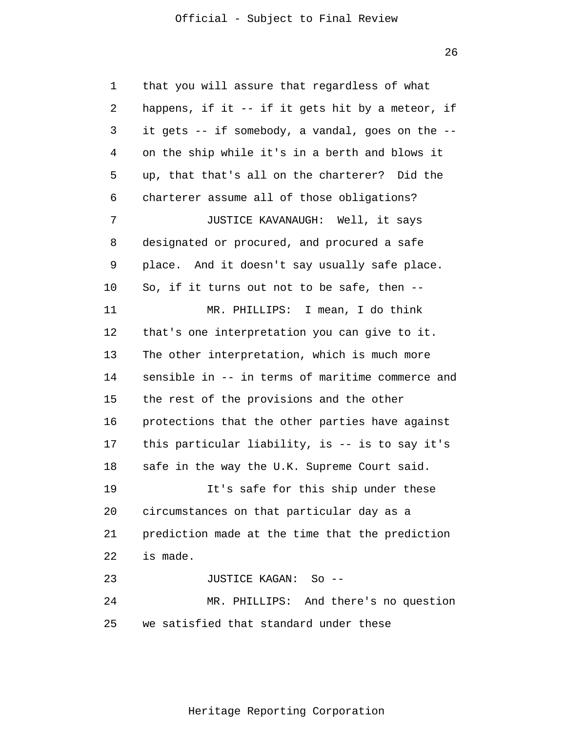26

1 2 3 4 5 6 7 8 9 10 11 12 13 14 15 16 17 18 19 20 21 22 23 24 25 that you will assure that regardless of what happens, if it -- if it gets hit by a meteor, if it gets -- if somebody, a vandal, goes on the - on the ship while it's in a berth and blows it up, that that's all on the charterer? Did the charterer assume all of those obligations? JUSTICE KAVANAUGH: Well, it says designated or procured, and procured a safe place. And it doesn't say usually safe place. So, if it turns out not to be safe, then -- MR. PHILLIPS: I mean, I do think that's one interpretation you can give to it. The other interpretation, which is much more sensible in -- in terms of maritime commerce and the rest of the provisions and the other protections that the other parties have against this particular liability, is -- is to say it's safe in the way the U.K. Supreme Court said. It's safe for this ship under these circumstances on that particular day as a prediction made at the time that the prediction is made. JUSTICE KAGAN: So -- MR. PHILLIPS: And there's no question we satisfied that standard under these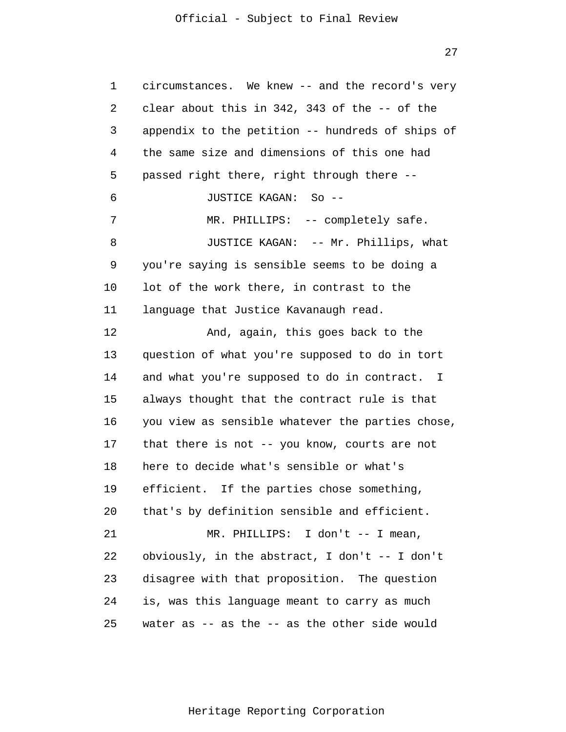27

1 2 3 4 5 6 7 8 9 10 11 12 13 14 15 16 17 18 19 20 21 22 23 24 25 circumstances. We knew -- and the record's very clear about this in 342, 343 of the -- of the appendix to the petition -- hundreds of ships of the same size and dimensions of this one had passed right there, right through there -- JUSTICE KAGAN: So -- MR. PHILLIPS: -- completely safe. JUSTICE KAGAN: -- Mr. Phillips, what you're saying is sensible seems to be doing a lot of the work there, in contrast to the language that Justice Kavanaugh read. And, again, this goes back to the question of what you're supposed to do in tort and what you're supposed to do in contract. I always thought that the contract rule is that you view as sensible whatever the parties chose, that there is not -- you know, courts are not here to decide what's sensible or what's efficient. If the parties chose something, that's by definition sensible and efficient. MR. PHILLIPS: I don't -- I mean, obviously, in the abstract, I don't -- I don't disagree with that proposition. The question is, was this language meant to carry as much water as -- as the -- as the other side would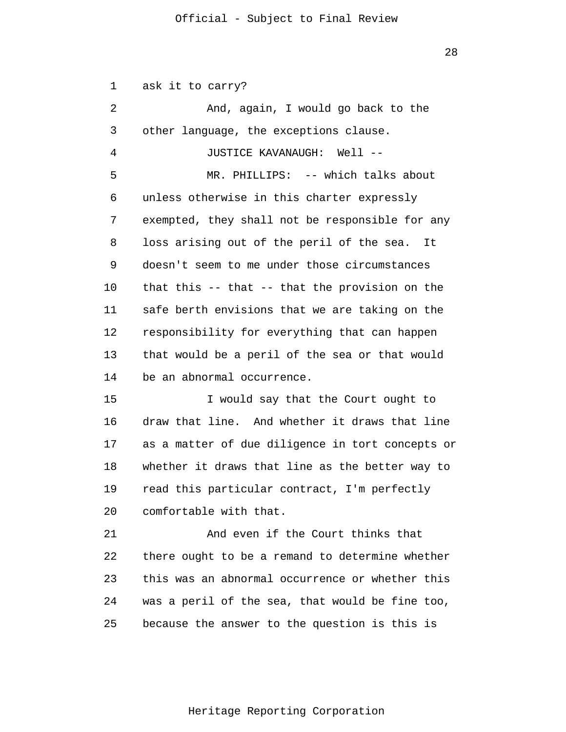1  $\overline{2}$ 3 4 5 6 7 8 9 10 11 12 13 14 ask it to carry? And, again, I would go back to the other language, the exceptions clause. JUSTICE KAVANAUGH: Well -- MR. PHILLIPS: -- which talks about unless otherwise in this charter expressly exempted, they shall not be responsible for any loss arising out of the peril of the sea. It doesn't seem to me under those circumstances that this -- that -- that the provision on the safe berth envisions that we are taking on the responsibility for everything that can happen that would be a peril of the sea or that would be an abnormal occurrence.

15 16 17 18 19 20 I would say that the Court ought to draw that line. And whether it draws that line as a matter of due diligence in tort concepts or whether it draws that line as the better way to read this particular contract, I'm perfectly comfortable with that.

21 22 23 24 25 And even if the Court thinks that there ought to be a remand to determine whether this was an abnormal occurrence or whether this was a peril of the sea, that would be fine too, because the answer to the question is this is

28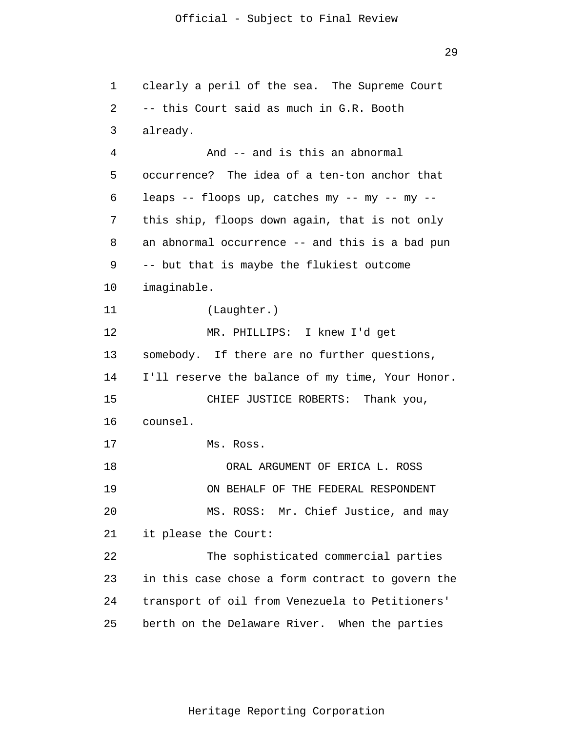1  $\overline{2}$ 3 4 5 6 7 8 9 10 11 12 13 14 15 16 17 18 19 20 21 22 23 24 25 clearly a peril of the sea. The Supreme Court -- this Court said as much in G.R. Booth already. And -- and is this an abnormal occurrence? The idea of a ten-ton anchor that leaps -- floops up, catches my -- my -- my - this ship, floops down again, that is not only an abnormal occurrence -- and this is a bad pun -- but that is maybe the flukiest outcome imaginable. (Laughter.) MR. PHILLIPS: I knew I'd get somebody. If there are no further questions, I'll reserve the balance of my time, Your Honor. CHIEF JUSTICE ROBERTS: Thank you, counsel. Ms. Ross. ORAL ARGUMENT OF ERICA L. ROSS ON BEHALF OF THE FEDERAL RESPONDENT MS. ROSS: Mr. Chief Justice, and may it please the Court: The sophisticated commercial parties in this case chose a form contract to govern the transport of oil from Venezuela to Petitioners' berth on the Delaware River. When the parties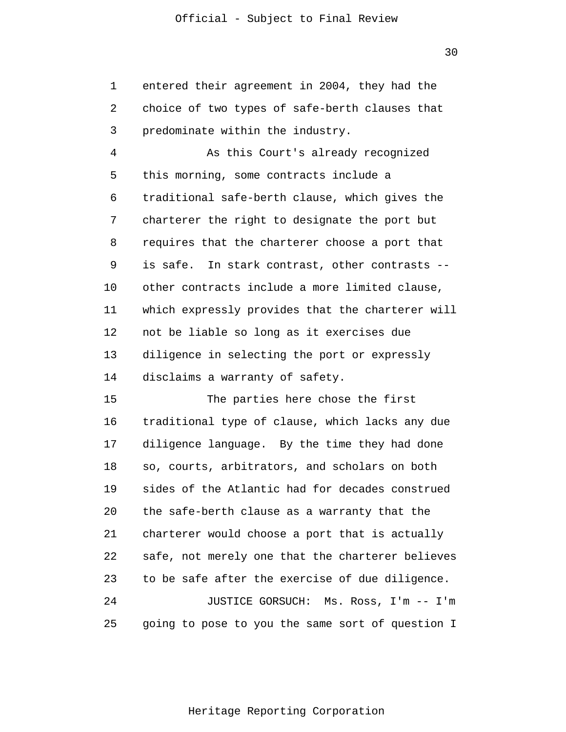1 2 3 entered their agreement in 2004, they had the choice of two types of safe-berth clauses that predominate within the industry.

4 5 6 7 8 9 10 11 12 13 14 As this Court's already recognized this morning, some contracts include a traditional safe-berth clause, which gives the charterer the right to designate the port but requires that the charterer choose a port that is safe. In stark contrast, other contrasts - other contracts include a more limited clause, which expressly provides that the charterer will not be liable so long as it exercises due diligence in selecting the port or expressly disclaims a warranty of safety.

15 16 17 18 19 20 21 22 23 24 25 The parties here chose the first traditional type of clause, which lacks any due diligence language. By the time they had done so, courts, arbitrators, and scholars on both sides of the Atlantic had for decades construed the safe-berth clause as a warranty that the charterer would choose a port that is actually safe, not merely one that the charterer believes to be safe after the exercise of due diligence. JUSTICE GORSUCH: Ms. Ross, I'm -- I'm going to pose to you the same sort of question I

30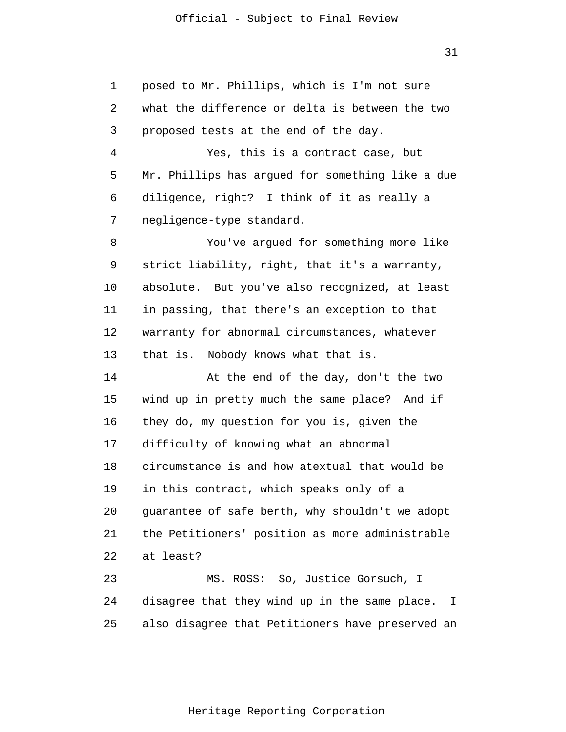31

1  $\overline{2}$ 3 4 5 6 7 8 9 10 11 12 13 14 15 16 17 18 19 20 21 22 23 24 25 posed to Mr. Phillips, which is I'm not sure what the difference or delta is between the two proposed tests at the end of the day. Yes, this is a contract case, but Mr. Phillips has argued for something like a due diligence, right? I think of it as really a negligence-type standard. You've argued for something more like strict liability, right, that it's a warranty, absolute. But you've also recognized, at least in passing, that there's an exception to that warranty for abnormal circumstances, whatever that is. Nobody knows what that is. At the end of the day, don't the two wind up in pretty much the same place? And if they do, my question for you is, given the difficulty of knowing what an abnormal circumstance is and how atextual that would be in this contract, which speaks only of a guarantee of safe berth, why shouldn't we adopt the Petitioners' position as more administrable at least? MS. ROSS: So, Justice Gorsuch, I disagree that they wind up in the same place. I also disagree that Petitioners have preserved an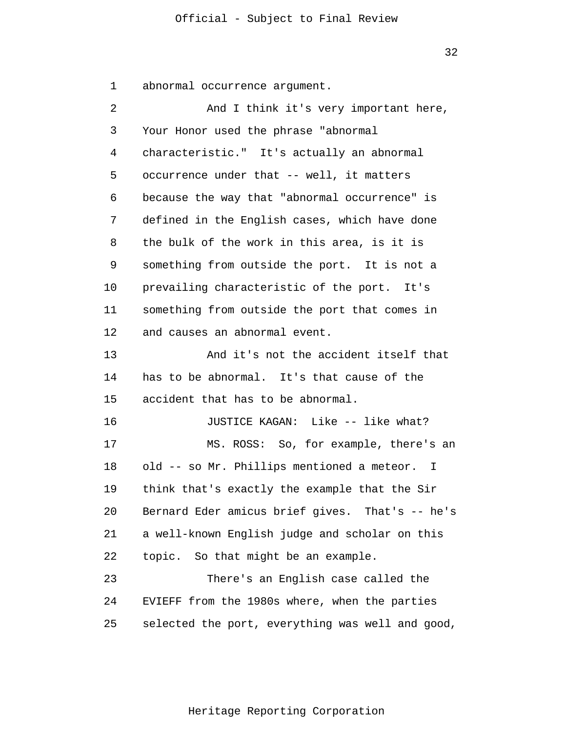32

1 abnormal occurrence argument.

| 2  | And I think it's very important here,            |
|----|--------------------------------------------------|
| 3  | Your Honor used the phrase "abnormal             |
| 4  | characteristic." It's actually an abnormal       |
| 5  | occurrence under that -- well, it matters        |
| 6  | because the way that "abnormal occurrence" is    |
| 7  | defined in the English cases, which have done    |
| 8  | the bulk of the work in this area, is it is      |
| 9  | something from outside the port. It is not a     |
| 10 | prevailing characteristic of the port. It's      |
| 11 | something from outside the port that comes in    |
| 12 | and causes an abnormal event.                    |
| 13 | And it's not the accident itself that            |
| 14 | has to be abnormal. It's that cause of the       |
| 15 | accident that has to be abnormal.                |
| 16 | JUSTICE KAGAN: Like -- like what?                |
| 17 | MS. ROSS: So, for example, there's an            |
| 18 | old -- so Mr. Phillips mentioned a meteor. I     |
| 19 | think that's exactly the example that the Sir    |
| 20 | Bernard Eder amicus brief gives. That's -- he's  |
| 21 | a well-known English judge and scholar on this   |
| 22 | topic. So that might be an example.              |
| 23 | There's an English case called the               |
| 24 | EVIEFF from the 1980s where, when the parties    |
| 25 | selected the port, everything was well and good, |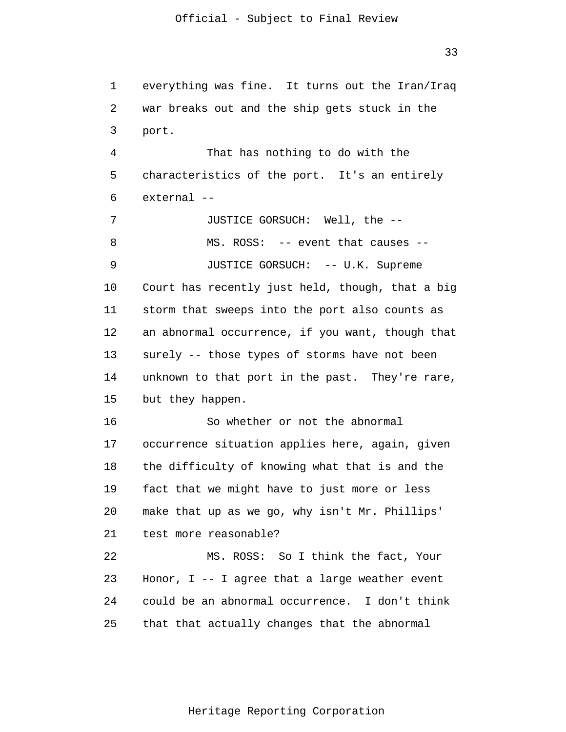1  $\overline{2}$ 3 4 5 6 7 8 9 10 11 12 13 14 15 16 17 18 19 20 21 22 23 24 25 everything was fine. It turns out the Iran/Iraq war breaks out and the ship gets stuck in the port. That has nothing to do with the characteristics of the port. It's an entirely external -- JUSTICE GORSUCH: Well, the -- MS. ROSS: -- event that causes -- JUSTICE GORSUCH: -- U.K. Supreme Court has recently just held, though, that a big storm that sweeps into the port also counts as an abnormal occurrence, if you want, though that surely -- those types of storms have not been unknown to that port in the past. They're rare, but they happen. So whether or not the abnormal occurrence situation applies here, again, given the difficulty of knowing what that is and the fact that we might have to just more or less make that up as we go, why isn't Mr. Phillips' test more reasonable? MS. ROSS: So I think the fact, Your Honor, I -- I agree that a large weather event could be an abnormal occurrence. I don't think that that actually changes that the abnormal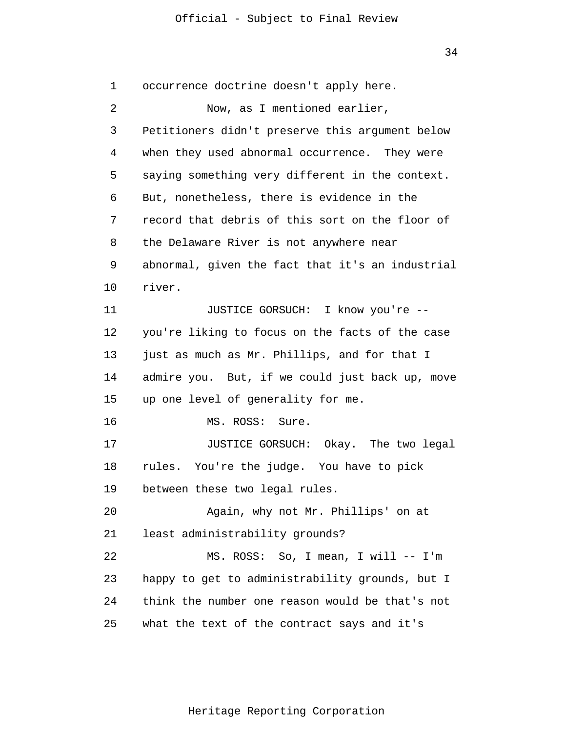1  $\overline{2}$ 3 4 5 6 7 8 9 10 11 12 13 14 15 16 17 18 19 20 21 22 23 24 25 occurrence doctrine doesn't apply here. Now, as I mentioned earlier, Petitioners didn't preserve this argument below when they used abnormal occurrence. They were saying something very different in the context. But, nonetheless, there is evidence in the record that debris of this sort on the floor of the Delaware River is not anywhere near abnormal, given the fact that it's an industrial river. JUSTICE GORSUCH: I know you're - you're liking to focus on the facts of the case just as much as Mr. Phillips, and for that I admire you. But, if we could just back up, move up one level of generality for me. MS. ROSS: Sure. JUSTICE GORSUCH: Okay. The two legal rules. You're the judge. You have to pick between these two legal rules. Again, why not Mr. Phillips' on at least administrability grounds? MS. ROSS: So, I mean, I will -- I'm happy to get to administrability grounds, but I think the number one reason would be that's not what the text of the contract says and it's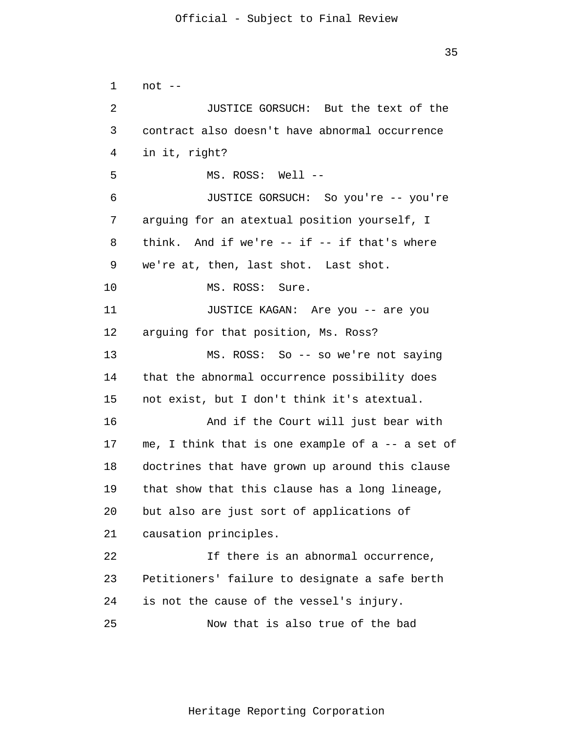1  $\overline{2}$ 3 4 5 6 7 8 9 10 11 12 13 14 15 16 17 18 19 20 21 22 23 24 25 not -- JUSTICE GORSUCH: But the text of the contract also doesn't have abnormal occurrence in it, right? MS. ROSS: Well -- JUSTICE GORSUCH: So you're -- you're arguing for an atextual position yourself, I think. And if we're  $--$  if  $--$  if that's where we're at, then, last shot. Last shot. MS. ROSS: Sure. JUSTICE KAGAN: Are you -- are you arguing for that position, Ms. Ross? MS. ROSS: So -- so we're not saying that the abnormal occurrence possibility does not exist, but I don't think it's atextual. And if the Court will just bear with me, I think that is one example of a -- a set of doctrines that have grown up around this clause that show that this clause has a long lineage, but also are just sort of applications of causation principles. If there is an abnormal occurrence, Petitioners' failure to designate a safe berth is not the cause of the vessel's injury. Now that is also true of the bad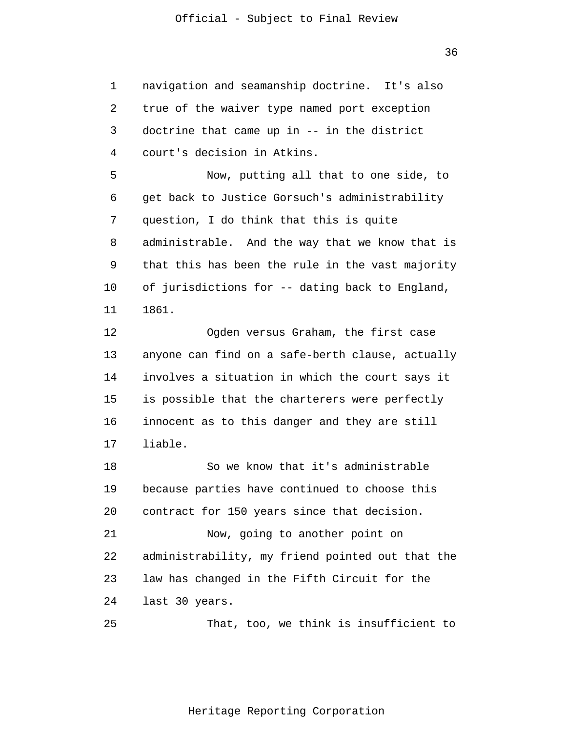1  $\overline{2}$ 3 4 5 6 7 8 9 10 11 12 13 14 15 16 17 18 19 20 21 22 23 24 25 navigation and seamanship doctrine. It's also true of the waiver type named port exception doctrine that came up in -- in the district court's decision in Atkins. Now, putting all that to one side, to get back to Justice Gorsuch's administrability question, I do think that this is quite administrable. And the way that we know that is that this has been the rule in the vast majority of jurisdictions for -- dating back to England, 1861. Ogden versus Graham, the first case anyone can find on a safe-berth clause, actually involves a situation in which the court says it is possible that the charterers were perfectly innocent as to this danger and they are still liable. So we know that it's administrable because parties have continued to choose this contract for 150 years since that decision. Now, going to another point on administrability, my friend pointed out that the law has changed in the Fifth Circuit for the last 30 years. That, too, we think is insufficient to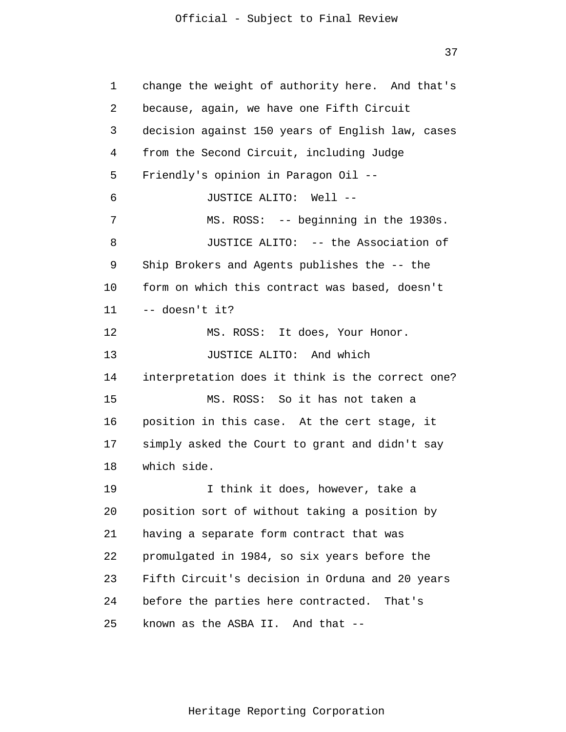37

1 2 3 4 5 6 7 8 9 10 11 12 13 14 15 16 17 18 19 20 21 22 23 24 25 change the weight of authority here. And that's because, again, we have one Fifth Circuit decision against 150 years of English law, cases from the Second Circuit, including Judge Friendly's opinion in Paragon Oil -- JUSTICE ALITO: Well -- MS. ROSS: -- beginning in the 1930s. JUSTICE ALITO: -- the Association of Ship Brokers and Agents publishes the -- the form on which this contract was based, doesn't -- doesn't it? MS. ROSS: It does, Your Honor. JUSTICE ALITO: And which interpretation does it think is the correct one? MS. ROSS: So it has not taken a position in this case. At the cert stage, it simply asked the Court to grant and didn't say which side. I think it does, however, take a position sort of without taking a position by having a separate form contract that was promulgated in 1984, so six years before the Fifth Circuit's decision in Orduna and 20 years before the parties here contracted. That's known as the ASBA II. And that --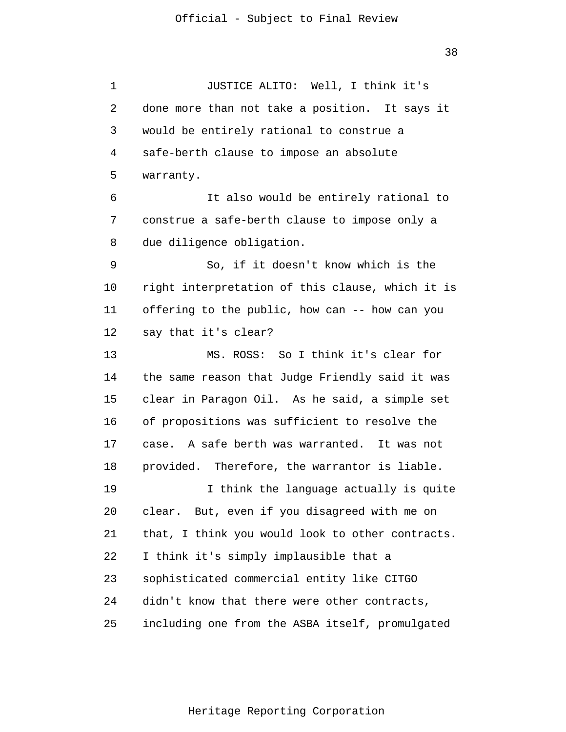1 2 3 4 5 6 7 8 9 10 11 12 13 14 15 16 17 18 19 20 21 22 23 24 25 JUSTICE ALITO: Well, I think it's done more than not take a position. It says it would be entirely rational to construe a safe-berth clause to impose an absolute warranty. It also would be entirely rational to construe a safe-berth clause to impose only a due diligence obligation. So, if it doesn't know which is the right interpretation of this clause, which it is offering to the public, how can -- how can you say that it's clear? MS. ROSS: So I think it's clear for the same reason that Judge Friendly said it was clear in Paragon Oil. As he said, a simple set of propositions was sufficient to resolve the case. A safe berth was warranted. It was not provided. Therefore, the warrantor is liable. I think the language actually is quite clear. But, even if you disagreed with me on that, I think you would look to other contracts. I think it's simply implausible that a sophisticated commercial entity like CITGO didn't know that there were other contracts, including one from the ASBA itself, promulgated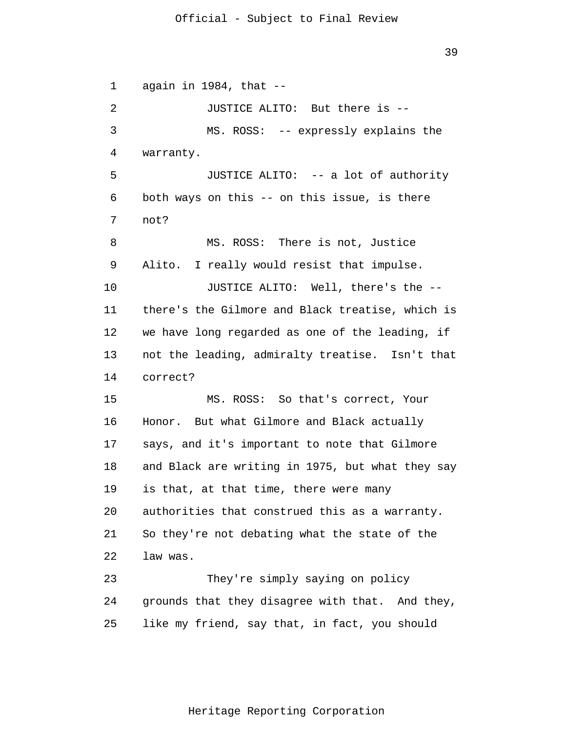1  $\overline{2}$ 3 4 5 6 7 8 9 10 11 12 13 14 15 16 17 18 19 20 21 22 23 24 25 again in 1984, that -- JUSTICE ALITO: But there is -- MS. ROSS: -- expressly explains the warranty. JUSTICE ALITO: -- a lot of authority both ways on this -- on this issue, is there not? MS. ROSS: There is not, Justice Alito. I really would resist that impulse. JUSTICE ALITO: Well, there's the - there's the Gilmore and Black treatise, which is we have long regarded as one of the leading, if not the leading, admiralty treatise. Isn't that correct? MS. ROSS: So that's correct, Your Honor. But what Gilmore and Black actually says, and it's important to note that Gilmore and Black are writing in 1975, but what they say is that, at that time, there were many authorities that construed this as a warranty. So they're not debating what the state of the law was. They're simply saying on policy grounds that they disagree with that. And they, like my friend, say that, in fact, you should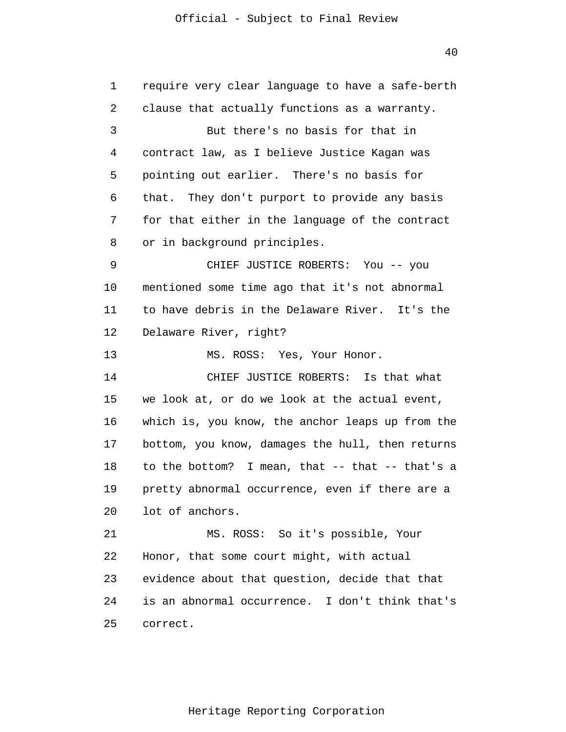1 2 3 4 5 6 7 8 9 10 11 12 13 14 15 16 17 18 19 20 21 22 23 24 25 require very clear language to have a safe-berth clause that actually functions as a warranty. But there's no basis for that in contract law, as I believe Justice Kagan was pointing out earlier. There's no basis for that. They don't purport to provide any basis for that either in the language of the contract or in background principles. CHIEF JUSTICE ROBERTS: You -- you mentioned some time ago that it's not abnormal to have debris in the Delaware River. It's the Delaware River, right? MS. ROSS: Yes, Your Honor. CHIEF JUSTICE ROBERTS: Is that what we look at, or do we look at the actual event, which is, you know, the anchor leaps up from the bottom, you know, damages the hull, then returns to the bottom? I mean, that -- that -- that's a pretty abnormal occurrence, even if there are a lot of anchors. MS. ROSS: So it's possible, Your Honor, that some court might, with actual evidence about that question, decide that that is an abnormal occurrence. I don't think that's correct.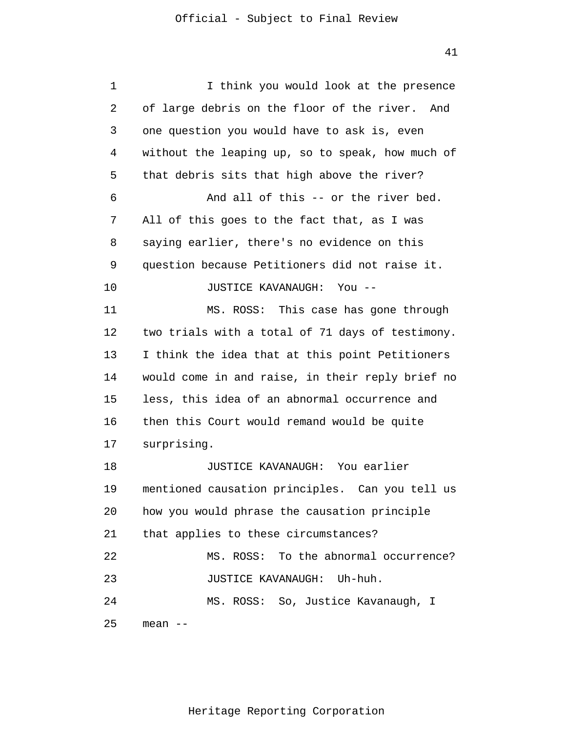1  $\overline{2}$ 3 4 5 6 7 8 9 10 11 12 13 14 15 16 17 18 19 20 21 22 23 24 25 I think you would look at the presence of large debris on the floor of the river. And one question you would have to ask is, even without the leaping up, so to speak, how much of that debris sits that high above the river? And all of this -- or the river bed. All of this goes to the fact that, as I was saying earlier, there's no evidence on this question because Petitioners did not raise it. JUSTICE KAVANAUGH: You -- MS. ROSS: This case has gone through two trials with a total of 71 days of testimony. I think the idea that at this point Petitioners would come in and raise, in their reply brief no less, this idea of an abnormal occurrence and then this Court would remand would be quite surprising. JUSTICE KAVANAUGH: You earlier mentioned causation principles. Can you tell us how you would phrase the causation principle that applies to these circumstances? MS. ROSS: To the abnormal occurrence? JUSTICE KAVANAUGH: Uh-huh. MS. ROSS: So, Justice Kavanaugh, I mean --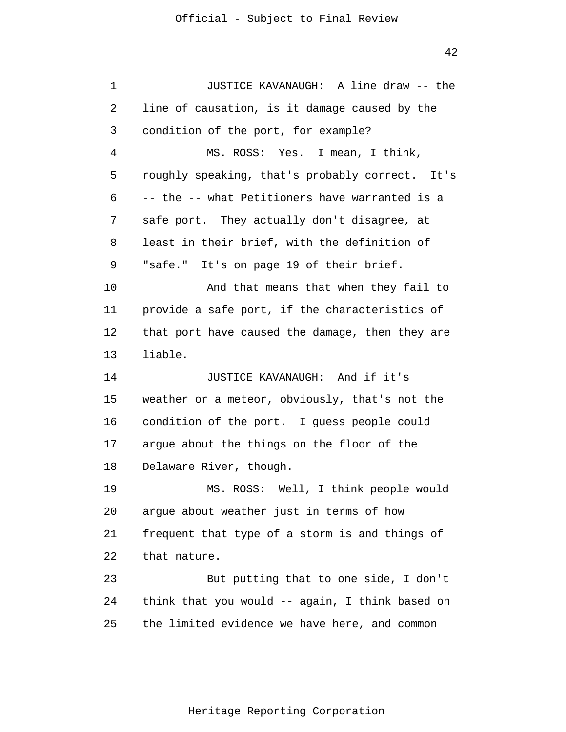1 2 3 4 5 6 7 8 9 10 11 12 13 14 15 16 17 18 19 20 21 22 23 24 25 JUSTICE KAVANAUGH: A line draw -- the line of causation, is it damage caused by the condition of the port, for example? MS. ROSS: Yes. I mean, I think, roughly speaking, that's probably correct. It's -- the -- what Petitioners have warranted is a safe port. They actually don't disagree, at least in their brief, with the definition of "safe." It's on page 19 of their brief. And that means that when they fail to provide a safe port, if the characteristics of that port have caused the damage, then they are liable. JUSTICE KAVANAUGH: And if it's weather or a meteor, obviously, that's not the condition of the port. I guess people could argue about the things on the floor of the Delaware River, though. MS. ROSS: Well, I think people would argue about weather just in terms of how frequent that type of a storm is and things of that nature. But putting that to one side, I don't think that you would -- again, I think based on the limited evidence we have here, and common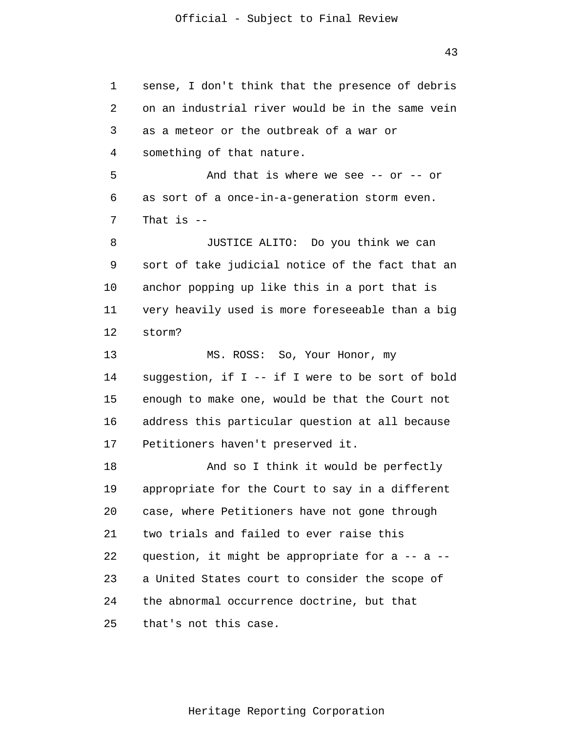1 2 3 4 5 6 7 8 9 10 11 12 13 14 15 16 17 18 19 20 21 22 23 24 25 sense, I don't think that the presence of debris on an industrial river would be in the same vein as a meteor or the outbreak of a war or something of that nature. And that is where we see  $-$ - or  $-$ - or as sort of a once-in-a-generation storm even. That is  $-$ JUSTICE ALITO: Do you think we can sort of take judicial notice of the fact that an anchor popping up like this in a port that is very heavily used is more foreseeable than a big storm? MS. ROSS: So, Your Honor, my suggestion, if I -- if I were to be sort of bold enough to make one, would be that the Court not address this particular question at all because Petitioners haven't preserved it. And so I think it would be perfectly appropriate for the Court to say in a different case, where Petitioners have not gone through two trials and failed to ever raise this question, it might be appropriate for a -- a - a United States court to consider the scope of the abnormal occurrence doctrine, but that that's not this case.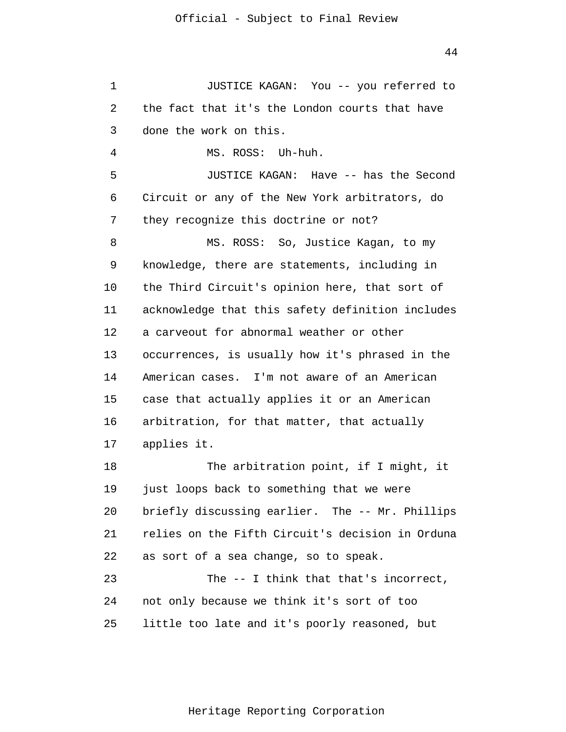1  $\overline{2}$ 3 4 5 6 7 8 9 10 11 12 13 14 15 16 17 18 19 20 21 22 23 24 25 JUSTICE KAGAN: You -- you referred to the fact that it's the London courts that have done the work on this. MS. ROSS: Uh-huh. JUSTICE KAGAN: Have -- has the Second Circuit or any of the New York arbitrators, do they recognize this doctrine or not? MS. ROSS: So, Justice Kagan, to my knowledge, there are statements, including in the Third Circuit's opinion here, that sort of acknowledge that this safety definition includes a carveout for abnormal weather or other occurrences, is usually how it's phrased in the American cases. I'm not aware of an American case that actually applies it or an American arbitration, for that matter, that actually applies it. The arbitration point, if I might, it just loops back to something that we were briefly discussing earlier. The -- Mr. Phillips relies on the Fifth Circuit's decision in Orduna as sort of a sea change, so to speak. The -- I think that that's incorrect, not only because we think it's sort of too little too late and it's poorly reasoned, but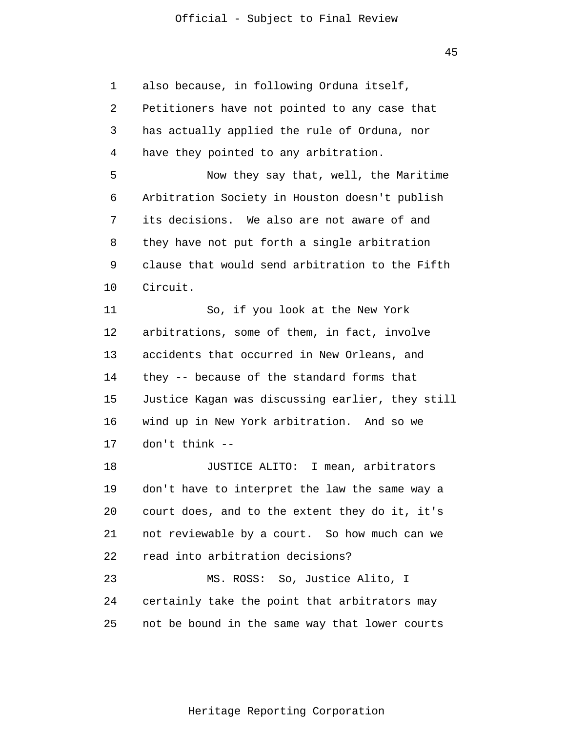1 2 3 4 5 6 7 8 9 10 11 12 13 14 15 16 17 18 19 20 21 22 23 24 25 also because, in following Orduna itself, Petitioners have not pointed to any case that has actually applied the rule of Orduna, nor have they pointed to any arbitration. Now they say that, well, the Maritime Arbitration Society in Houston doesn't publish its decisions. We also are not aware of and they have not put forth a single arbitration clause that would send arbitration to the Fifth Circuit. So, if you look at the New York arbitrations, some of them, in fact, involve accidents that occurred in New Orleans, and they -- because of the standard forms that Justice Kagan was discussing earlier, they still wind up in New York arbitration. And so we don't think -- JUSTICE ALITO: I mean, arbitrators don't have to interpret the law the same way a court does, and to the extent they do it, it's not reviewable by a court. So how much can we read into arbitration decisions? MS. ROSS: So, Justice Alito, I certainly take the point that arbitrators may not be bound in the same way that lower courts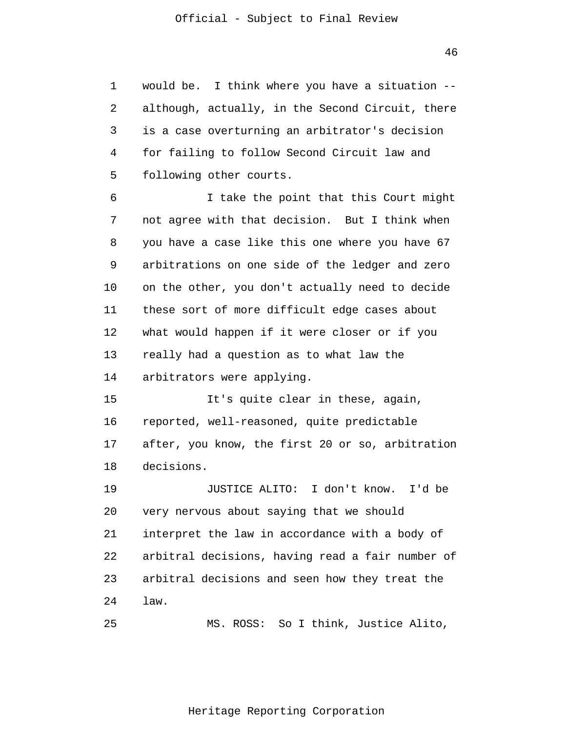1 2 3 4 5 would be. I think where you have a situation - although, actually, in the Second Circuit, there is a case overturning an arbitrator's decision for failing to follow Second Circuit law and following other courts.

6 7 8 9 10 11 12 13 14 I take the point that this Court might not agree with that decision. But I think when you have a case like this one where you have 67 arbitrations on one side of the ledger and zero on the other, you don't actually need to decide these sort of more difficult edge cases about what would happen if it were closer or if you really had a question as to what law the arbitrators were applying.

15 16 17 18 It's quite clear in these, again, reported, well-reasoned, quite predictable after, you know, the first 20 or so, arbitration decisions.

19 20 21 22 23 24 JUSTICE ALITO: I don't know. I'd be very nervous about saying that we should interpret the law in accordance with a body of arbitral decisions, having read a fair number of arbitral decisions and seen how they treat the law.

25 MS. ROSS: So I think, Justice Alito,

46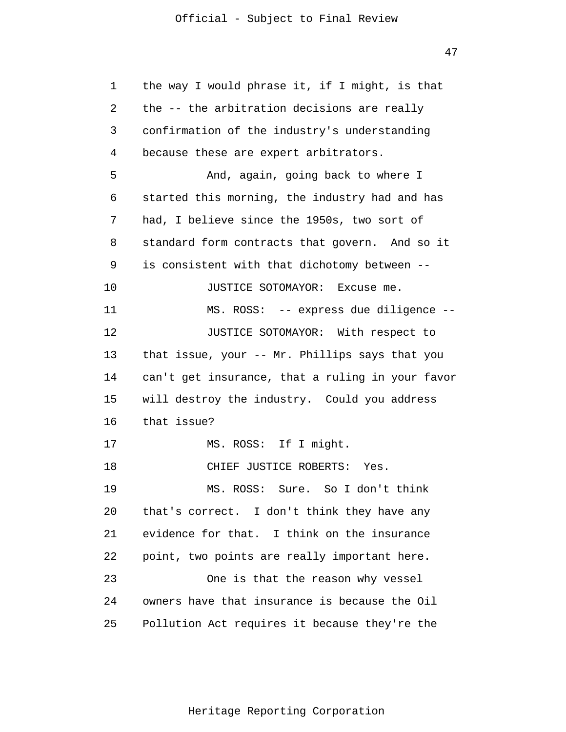| 1  | the way I would phrase it, if I might, is that   |
|----|--------------------------------------------------|
| 2  | the -- the arbitration decisions are really      |
| 3  | confirmation of the industry's understanding     |
| 4  | because these are expert arbitrators.            |
| 5  | And, again, going back to where I                |
| 6  | started this morning, the industry had and has   |
| 7  | had, I believe since the 1950s, two sort of      |
| 8  | standard form contracts that govern. And so it   |
| 9  | is consistent with that dichotomy between --     |
| 10 | JUSTICE SOTOMAYOR: Excuse me.                    |
| 11 | MS. ROSS: -- express due diligence --            |
| 12 | JUSTICE SOTOMAYOR: With respect to               |
| 13 | that issue, your -- Mr. Phillips says that you   |
| 14 | can't get insurance, that a ruling in your favor |
| 15 | will destroy the industry. Could you address     |
| 16 | that issue?                                      |
| 17 | MS. ROSS: If I might.                            |
| 18 | CHIEF JUSTICE ROBERTS: Yes.                      |
| 19 | MS. ROSS: Sure. So I don't think                 |
| 20 | that's correct. I don't think they have any      |
| 21 | evidence for that. I think on the insurance      |
| 22 | point, two points are really important here.     |
| 23 | One is that the reason why vessel                |
| 24 | owners have that insurance is because the Oil    |
| 25 | Pollution Act requires it because they're the    |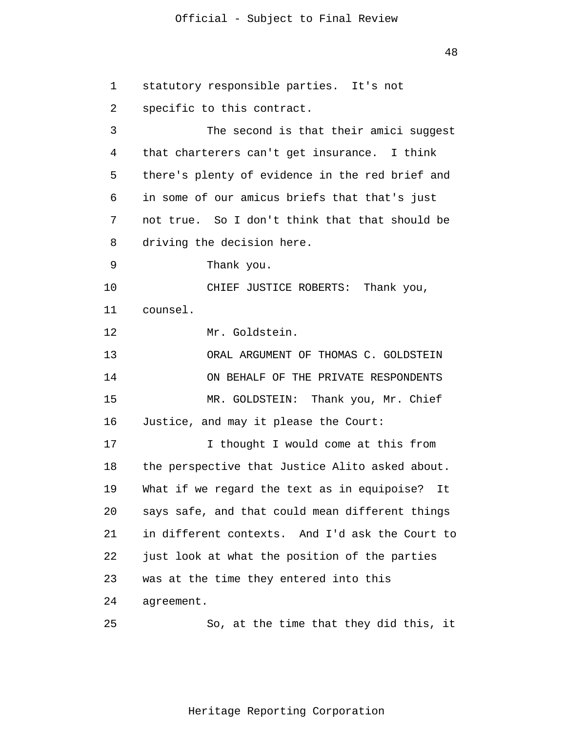48

1 2 3 4 5 6 7 8 9 10 11 12 13 14 15 16 17 18 19 20 21 22 23 24 25 statutory responsible parties. It's not specific to this contract. The second is that their amici suggest that charterers can't get insurance. I think there's plenty of evidence in the red brief and in some of our amicus briefs that that's just not true. So I don't think that that should be driving the decision here. Thank you. CHIEF JUSTICE ROBERTS: Thank you, counsel. Mr. Goldstein. ORAL ARGUMENT OF THOMAS C. GOLDSTEIN ON BEHALF OF THE PRIVATE RESPONDENTS MR. GOLDSTEIN: Thank you, Mr. Chief Justice, and may it please the Court: I thought I would come at this from the perspective that Justice Alito asked about. What if we regard the text as in equipoise? It says safe, and that could mean different things in different contexts. And I'd ask the Court to just look at what the position of the parties was at the time they entered into this agreement. So, at the time that they did this, it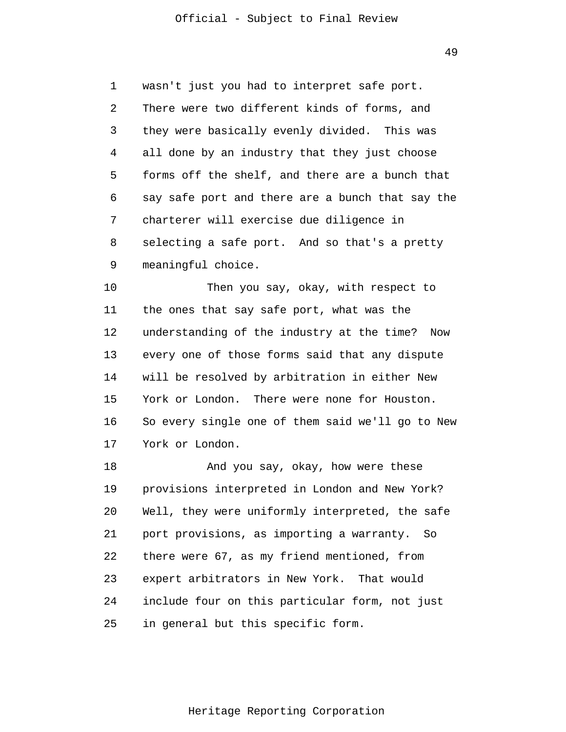49

1 2 3 4 5 6 7 8 9 wasn't just you had to interpret safe port. There were two different kinds of forms, and they were basically evenly divided. This was all done by an industry that they just choose forms off the shelf, and there are a bunch that say safe port and there are a bunch that say the charterer will exercise due diligence in selecting a safe port. And so that's a pretty meaningful choice.

10 11 12 13 14 15 16 17 Then you say, okay, with respect to the ones that say safe port, what was the understanding of the industry at the time? Now every one of those forms said that any dispute will be resolved by arbitration in either New York or London. There were none for Houston. So every single one of them said we'll go to New York or London.

18 19 20 21 22 23 24 25 And you say, okay, how were these provisions interpreted in London and New York? Well, they were uniformly interpreted, the safe port provisions, as importing a warranty. So there were 67, as my friend mentioned, from expert arbitrators in New York. That would include four on this particular form, not just in general but this specific form.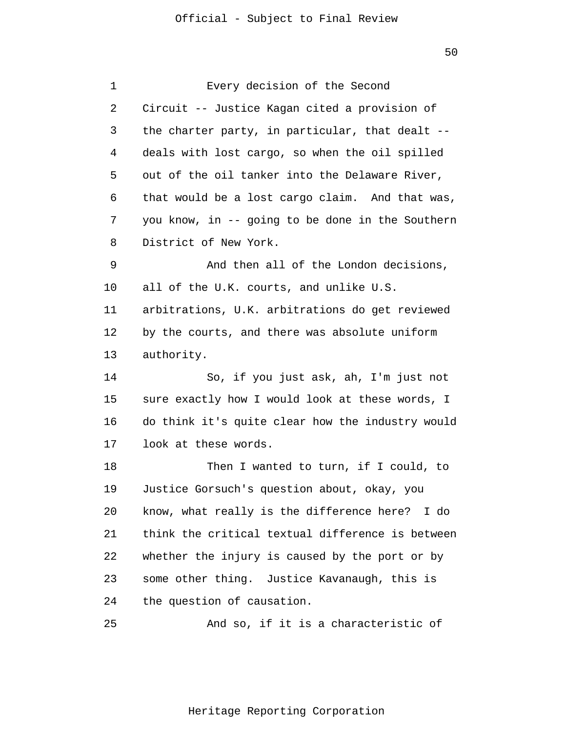| 1  | Every decision of the Second                     |
|----|--------------------------------------------------|
| 2  | Circuit -- Justice Kagan cited a provision of    |
| 3  | the charter party, in particular, that dealt --  |
| 4  | deals with lost cargo, so when the oil spilled   |
| 5  | out of the oil tanker into the Delaware River,   |
| 6  | that would be a lost cargo claim. And that was,  |
| 7  | you know, in -- going to be done in the Southern |
| 8  | District of New York.                            |
| 9  | And then all of the London decisions,            |
| 10 | all of the U.K. courts, and unlike U.S.          |
| 11 | arbitrations, U.K. arbitrations do get reviewed  |
| 12 | by the courts, and there was absolute uniform    |
| 13 | authority.                                       |
| 14 | So, if you just ask, ah, I'm just not            |
| 15 | sure exactly how I would look at these words, I  |
| 16 | do think it's quite clear how the industry would |
| 17 | look at these words.                             |
| 18 | Then I wanted to turn, if I could, to            |
| 19 | Justice Gorsuch's question about, okay, you      |
| 20 | know, what really is the difference here? I do   |
| 21 | think the critical textual difference is between |
| 22 | whether the injury is caused by the port or by   |
| 23 | some other thing. Justice Kavanaugh, this is     |
| 24 | the question of causation.                       |
| 25 | And so, if it is a characteristic of             |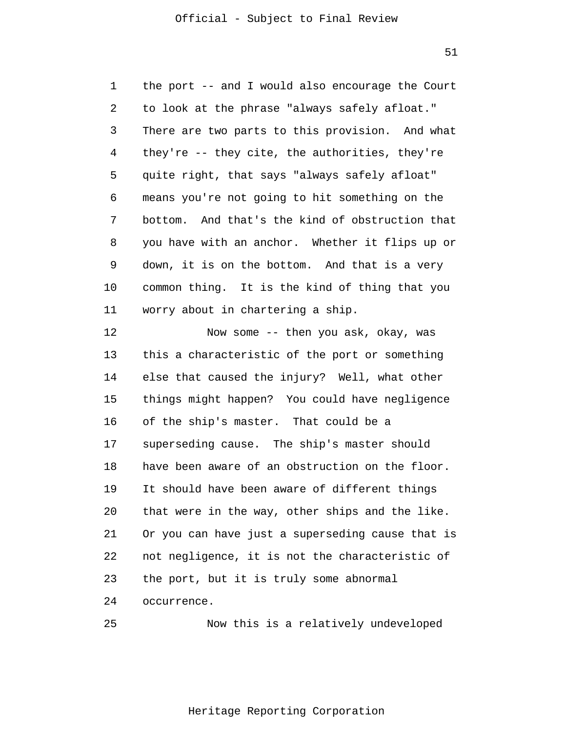51

1  $\overline{2}$ 3 4 5 6 7 8 9 10 11 12 the port -- and I would also encourage the Court to look at the phrase "always safely afloat." There are two parts to this provision. And what they're -- they cite, the authorities, they're quite right, that says "always safely afloat" means you're not going to hit something on the bottom. And that's the kind of obstruction that you have with an anchor. Whether it flips up or down, it is on the bottom. And that is a very common thing. It is the kind of thing that you worry about in chartering a ship. Now some -- then you ask, okay, was

13 14 15 16 17 18 19 20 21 22 23 24 this a characteristic of the port or something else that caused the injury? Well, what other things might happen? You could have negligence of the ship's master. That could be a superseding cause. The ship's master should have been aware of an obstruction on the floor. It should have been aware of different things that were in the way, other ships and the like. Or you can have just a superseding cause that is not negligence, it is not the characteristic of the port, but it is truly some abnormal occurrence.

```
25 
                Now this is a relatively undeveloped
```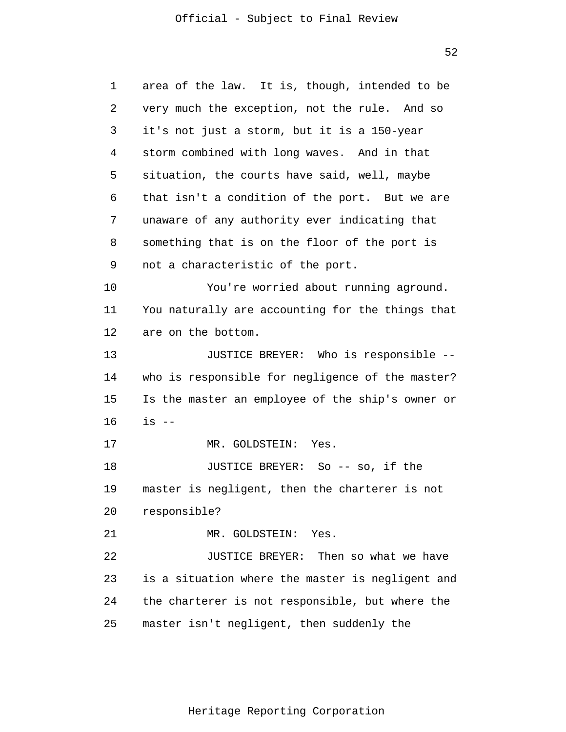52

| 1  | area of the law. It is, though, intended to be   |  |  |  |
|----|--------------------------------------------------|--|--|--|
| 2  | very much the exception, not the rule. And so    |  |  |  |
| 3  | it's not just a storm, but it is a 150-year      |  |  |  |
| 4  | storm combined with long waves. And in that      |  |  |  |
| 5  | situation, the courts have said, well, maybe     |  |  |  |
| 6  | that isn't a condition of the port. But we are   |  |  |  |
| 7  | unaware of any authority ever indicating that    |  |  |  |
| 8  | something that is on the floor of the port is    |  |  |  |
| 9  | not a characteristic of the port.                |  |  |  |
| 10 | You're worried about running aground.            |  |  |  |
| 11 | You naturally are accounting for the things that |  |  |  |
| 12 | are on the bottom.                               |  |  |  |
| 13 | JUSTICE BREYER: Who is responsible --            |  |  |  |
| 14 | who is responsible for negligence of the master? |  |  |  |
| 15 | Is the master an employee of the ship's owner or |  |  |  |
| 16 | $is$ $-$                                         |  |  |  |
| 17 | MR. GOLDSTEIN: Yes.                              |  |  |  |
| 18 | JUSTICE BREYER: So -- so, if the                 |  |  |  |
| 19 | master is negligent, then the charterer is not   |  |  |  |
| 20 | responsible?                                     |  |  |  |
| 21 | MR. GOLDSTEIN: Yes.                              |  |  |  |
| 22 | JUSTICE BREYER: Then so what we have             |  |  |  |
| 23 | is a situation where the master is negligent and |  |  |  |
| 24 | the charterer is not responsible, but where the  |  |  |  |
| 25 | master isn't negligent, then suddenly the        |  |  |  |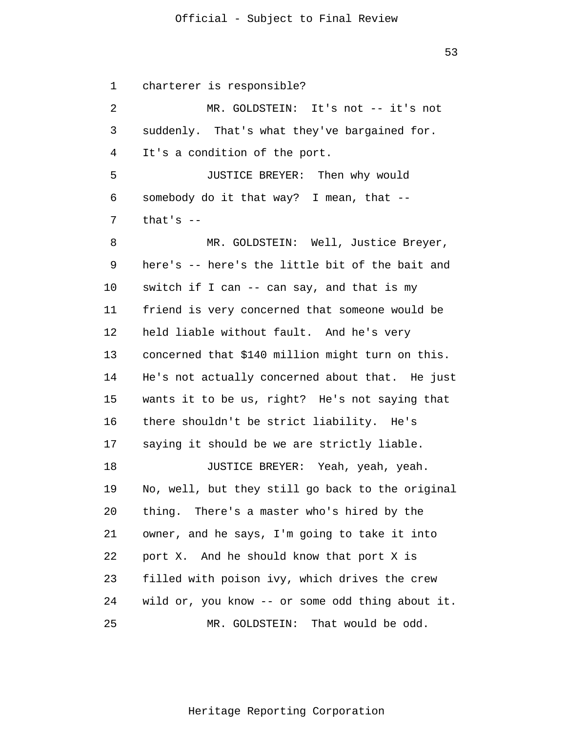53

1  $\overline{2}$ 3 4 5 6 7 8 9 10 11 12 13 14 15 16 17 18 19 20 21 22 23 24 25 charterer is responsible? MR. GOLDSTEIN: It's not -- it's not suddenly. That's what they've bargained for. It's a condition of the port. JUSTICE BREYER: Then why would somebody do it that way? I mean, that - that's -- MR. GOLDSTEIN: Well, Justice Breyer, here's -- here's the little bit of the bait and switch if I can -- can say, and that is my friend is very concerned that someone would be held liable without fault. And he's very concerned that \$140 million might turn on this. He's not actually concerned about that. He just wants it to be us, right? He's not saying that there shouldn't be strict liability. He's saying it should be we are strictly liable. JUSTICE BREYER: Yeah, yeah, yeah. No, well, but they still go back to the original thing. There's a master who's hired by the owner, and he says, I'm going to take it into port X. And he should know that port X is filled with poison ivy, which drives the crew wild or, you know -- or some odd thing about it. MR. GOLDSTEIN: That would be odd.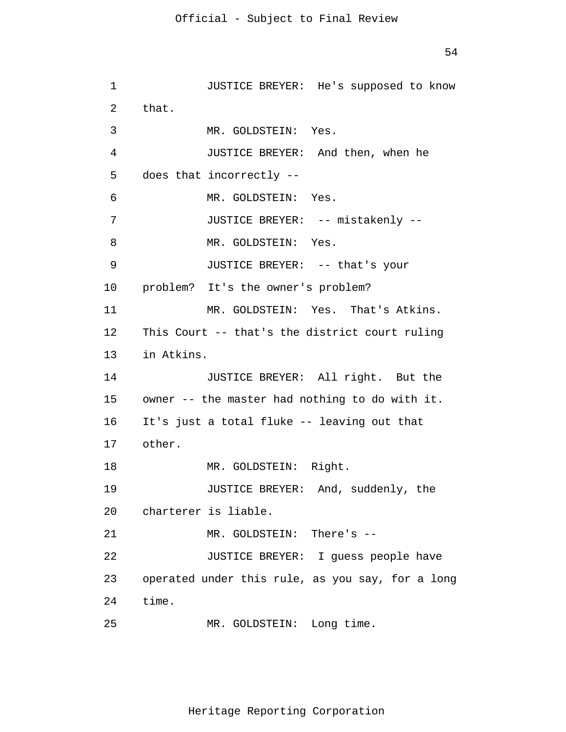```
1 
 2 
 3 
 4 
 5 
 6 
 7 
 8 
 9 
10 
11 
12 
13 
14 
15 
16 
17 
18 
19 
20 
21 
22 
23 
24 
25 
                JUSTICE BREYER: He's supposed to know 
      that. 
                MR. GOLDSTEIN: Yes. 
                JUSTICE BREYER: And then, when he 
      does that incorrectly --
                MR. GOLDSTEIN: Yes. 
                JUSTICE BREYER: -- mistakenly --
                MR. GOLDSTEIN: Yes. 
                JUSTICE BREYER: -- that's your 
      problem? It's the owner's problem? 
                MR. GOLDSTEIN: Yes. That's Atkins. 
      This Court -- that's the district court ruling 
      in Atkins. 
                JUSTICE BREYER: All right. But the 
      owner -- the master had nothing to do with it. 
      It's just a total fluke -- leaving out that 
      other. 
                MR. GOLDSTEIN: Right. 
                JUSTICE BREYER: And, suddenly, the 
      charterer is liable. 
                MR. GOLDSTEIN: There's --
                JUSTICE BREYER: I guess people have 
      operated under this rule, as you say, for a long 
      time. 
                MR. GOLDSTEIN: Long time.
```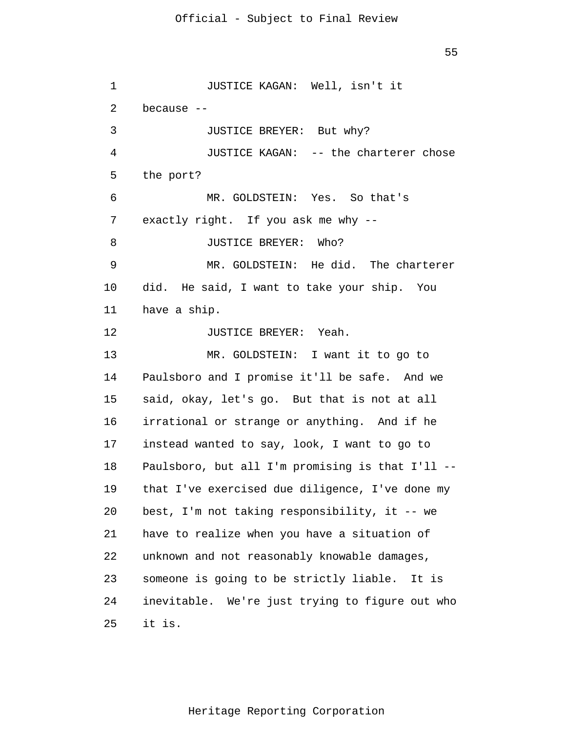55

1 2 3 4 5 6 7 8 9 10 11 12 13 14 15 16 17 18 19 20 21 22 23 24 25 JUSTICE KAGAN: Well, isn't it because -- JUSTICE BREYER: But why? JUSTICE KAGAN: -- the charterer chose the port? MR. GOLDSTEIN: Yes. So that's exactly right. If you ask me why -- JUSTICE BREYER: Who? MR. GOLDSTEIN: He did. The charterer did. He said, I want to take your ship. You have a ship. JUSTICE BREYER: Yeah. MR. GOLDSTEIN: I want it to go to Paulsboro and I promise it'll be safe. And we said, okay, let's go. But that is not at all irrational or strange or anything. And if he instead wanted to say, look, I want to go to Paulsboro, but all I'm promising is that I'll - that I've exercised due diligence, I've done my best, I'm not taking responsibility, it -- we have to realize when you have a situation of unknown and not reasonably knowable damages, someone is going to be strictly liable. It is inevitable. We're just trying to figure out who it is.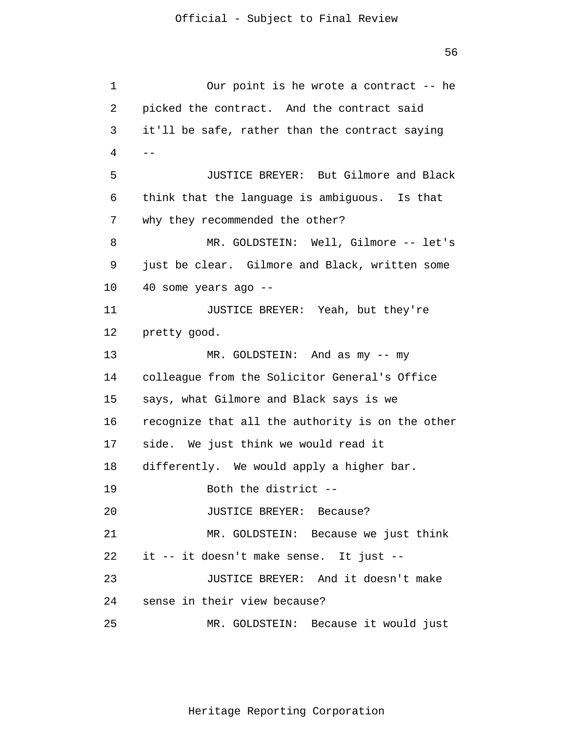```
1 
 2 
 3 
 4 
 5 
 6 
 7 
 8 
 9 
10 
11 
12 
13 
14 
15 
16 
17 
18 
19 
20 
21 
22 
23 
24 
25 
      -Our point is he wrote a contract -- he 
      picked the contract. And the contract said 
      it'll be safe, rather than the contract saying 
                JUSTICE BREYER: But Gilmore and Black 
      think that the language is ambiguous. Is that 
      why they recommended the other? 
                MR. GOLDSTEIN: Well, Gilmore -- let's 
      just be clear. Gilmore and Black, written some 
      40 some years ago --
                JUSTICE BREYER: Yeah, but they're 
      pretty good. 
                MR. GOLDSTEIN: And as my -- my 
      colleague from the Solicitor General's Office 
      says, what Gilmore and Black says is we 
      recognize that all the authority is on the other 
      side. We just think we would read it 
      differently. We would apply a higher bar. 
                Both the district --
                JUSTICE BREYER: Because? 
                MR. GOLDSTEIN: Because we just think 
      it -- it doesn't make sense. It just --
                JUSTICE BREYER: And it doesn't make 
      sense in their view because? 
                MR. GOLDSTEIN: Because it would just
```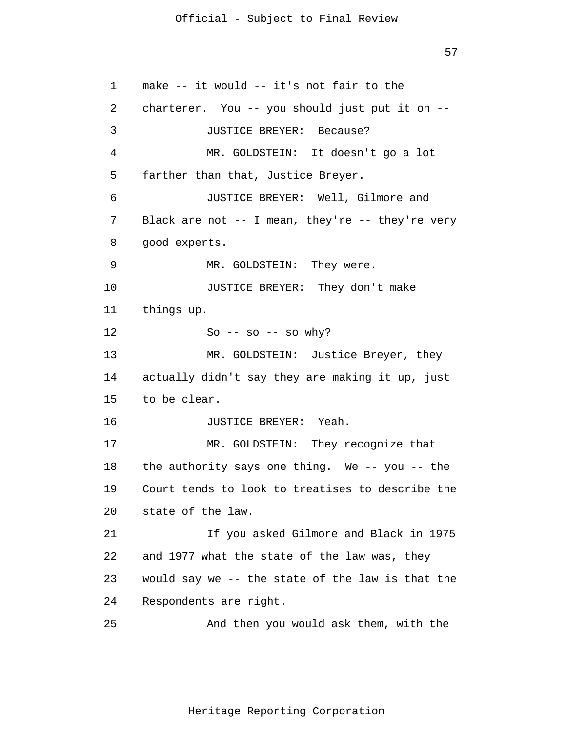57

1 2 3 4 5 6 7 8 9 10 11 12 13 14 15 16 17 18 19 20 21 22 23 24 25 make -- it would -- it's not fair to the charterer. You -- you should just put it on -- JUSTICE BREYER: Because? MR. GOLDSTEIN: It doesn't go a lot farther than that, Justice Breyer. JUSTICE BREYER: Well, Gilmore and Black are not -- I mean, they're -- they're very good experts. MR. GOLDSTEIN: They were. JUSTICE BREYER: They don't make things up. So  $-$  so  $-$  so why? MR. GOLDSTEIN: Justice Breyer, they actually didn't say they are making it up, just to be clear. JUSTICE BREYER: Yeah. MR. GOLDSTEIN: They recognize that the authority says one thing. We -- you -- the Court tends to look to treatises to describe the state of the law. If you asked Gilmore and Black in 1975 and 1977 what the state of the law was, they would say we -- the state of the law is that the Respondents are right. And then you would ask them, with the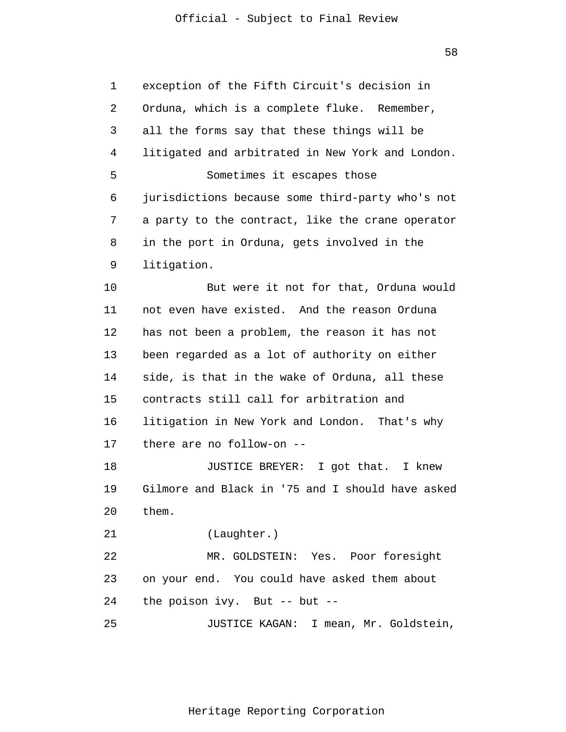58

1  $\overline{2}$ 3 4 5 6 7 8 9 10 11 12 13 14 15 16 17 18 19 20 21 22 23 24 25 exception of the Fifth Circuit's decision in Orduna, which is a complete fluke. Remember, all the forms say that these things will be litigated and arbitrated in New York and London. Sometimes it escapes those jurisdictions because some third-party who's not a party to the contract, like the crane operator in the port in Orduna, gets involved in the litigation. But were it not for that, Orduna would not even have existed. And the reason Orduna has not been a problem, the reason it has not been regarded as a lot of authority on either side, is that in the wake of Orduna, all these contracts still call for arbitration and litigation in New York and London. That's why there are no follow-on -- JUSTICE BREYER: I got that. I knew Gilmore and Black in '75 and I should have asked them. (Laughter.) MR. GOLDSTEIN: Yes. Poor foresight on your end. You could have asked them about the poison ivy. But -- but -- JUSTICE KAGAN: I mean, Mr. Goldstein,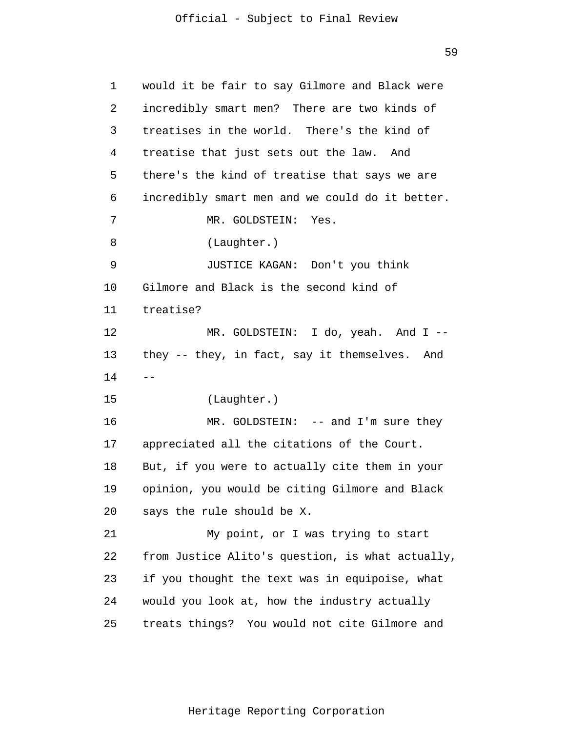59

1  $\overline{2}$ 3 4 5 6 7 8 9 10 11 12 13 14 15 16 17 18 19 20 21 22 23 24 25  $$ would it be fair to say Gilmore and Black were incredibly smart men? There are two kinds of treatises in the world. There's the kind of treatise that just sets out the law. And there's the kind of treatise that says we are incredibly smart men and we could do it better. MR. GOLDSTEIN: Yes. (Laughter.) JUSTICE KAGAN: Don't you think Gilmore and Black is the second kind of treatise? MR. GOLDSTEIN: I do, yeah. And I - they -- they, in fact, say it themselves. And (Laughter.) MR. GOLDSTEIN: -- and I'm sure they appreciated all the citations of the Court. But, if you were to actually cite them in your opinion, you would be citing Gilmore and Black says the rule should be X. My point, or I was trying to start from Justice Alito's question, is what actually, if you thought the text was in equipoise, what would you look at, how the industry actually treats things? You would not cite Gilmore and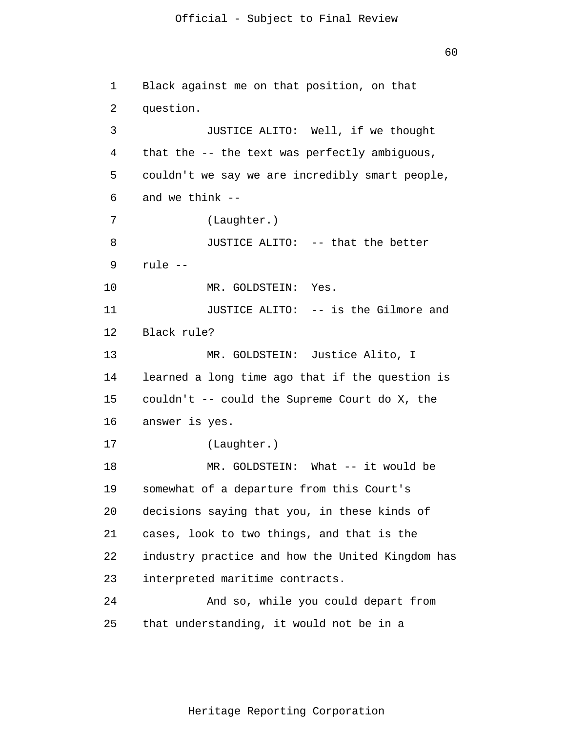60

```
1 
 2 
 3 
 4 
 5 
 6 
 7 
 8 
 9 
10 
11 
12 
13 
14 
15 
16 
17 
18 
19 
20 
21 
22 
23 
24 
25 
      Black against me on that position, on that 
      question. 
                JUSTICE ALITO: Well, if we thought 
      that the -- the text was perfectly ambiguous, 
      couldn't we say we are incredibly smart people, 
      and we think --
                 (Laughter.) 
                JUSTICE ALITO: -- that the better 
      rule --
                MR. GOLDSTEIN: Yes. 
                JUSTICE ALITO: -- is the Gilmore and 
      Black rule? 
                MR. GOLDSTEIN: Justice Alito, I 
      learned a long time ago that if the question is 
      couldn't -- could the Supreme Court do X, the 
      answer is yes. 
                 (Laughter.) 
                MR. GOLDSTEIN: What -- it would be 
      somewhat of a departure from this Court's 
      decisions saying that you, in these kinds of 
      cases, look to two things, and that is the 
      industry practice and how the United Kingdom has 
      interpreted maritime contracts. 
                And so, while you could depart from 
      that understanding, it would not be in a
```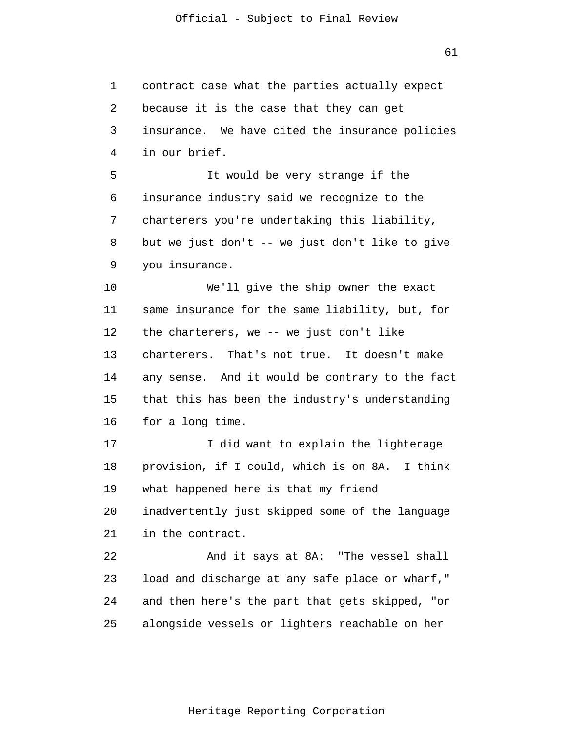1 2 3 4 5 6 7 8 9 10 11 12 13 14 15 16 17 18 19 20 21 22 23 24 25 contract case what the parties actually expect because it is the case that they can get insurance. We have cited the insurance policies in our brief. It would be very strange if the insurance industry said we recognize to the charterers you're undertaking this liability, but we just don't -- we just don't like to give you insurance. We'll give the ship owner the exact same insurance for the same liability, but, for the charterers, we -- we just don't like charterers. That's not true. It doesn't make any sense. And it would be contrary to the fact that this has been the industry's understanding for a long time. I did want to explain the lighterage provision, if I could, which is on 8A. I think what happened here is that my friend inadvertently just skipped some of the language in the contract. And it says at 8A: "The vessel shall load and discharge at any safe place or wharf," and then here's the part that gets skipped, "or alongside vessels or lighters reachable on her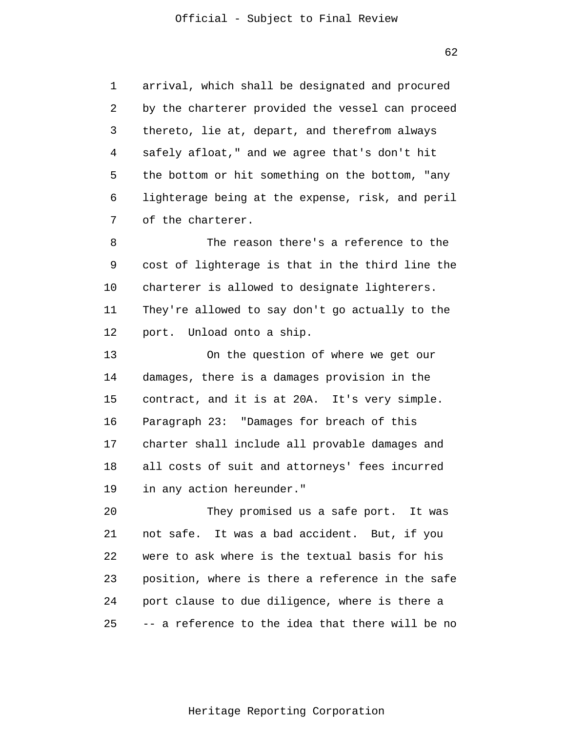1 2 3 4 5 6 7 arrival, which shall be designated and procured by the charterer provided the vessel can proceed thereto, lie at, depart, and therefrom always safely afloat," and we agree that's don't hit the bottom or hit something on the bottom, "any lighterage being at the expense, risk, and peril of the charterer.

8 9 10 11 12 The reason there's a reference to the cost of lighterage is that in the third line the charterer is allowed to designate lighterers. They're allowed to say don't go actually to the port. Unload onto a ship.

13 14 15 16 17 18 19 On the question of where we get our damages, there is a damages provision in the contract, and it is at 20A. It's very simple. Paragraph 23: "Damages for breach of this charter shall include all provable damages and all costs of suit and attorneys' fees incurred in any action hereunder."

20 21 22 23 24 25 They promised us a safe port. It was not safe. It was a bad accident. But, if you were to ask where is the textual basis for his position, where is there a reference in the safe port clause to due diligence, where is there a -- a reference to the idea that there will be no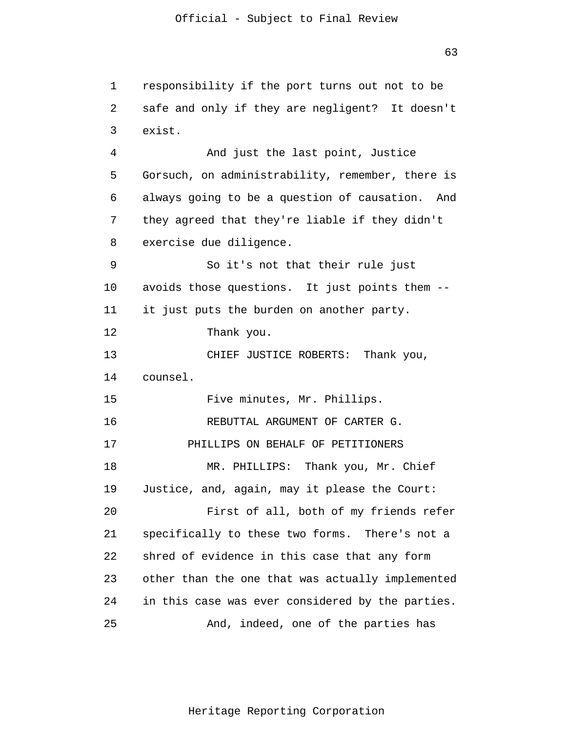1 2 3 4 5 6 7 8 9 10 11 12 13 14 15 16 17 18 19 20 21 22 23 24 25 responsibility if the port turns out not to be safe and only if they are negligent? It doesn't exist. And just the last point, Justice Gorsuch, on administrability, remember, there is always going to be a question of causation. And they agreed that they're liable if they didn't exercise due diligence. So it's not that their rule just avoids those questions. It just points them - it just puts the burden on another party. Thank you. CHIEF JUSTICE ROBERTS: Thank you, counsel. Five minutes, Mr. Phillips. REBUTTAL ARGUMENT OF CARTER G. PHILLIPS ON BEHALF OF PETITIONERS MR. PHILLIPS: Thank you, Mr. Chief Justice, and, again, may it please the Court: First of all, both of my friends refer specifically to these two forms. There's not a shred of evidence in this case that any form other than the one that was actually implemented in this case was ever considered by the parties. And, indeed, one of the parties has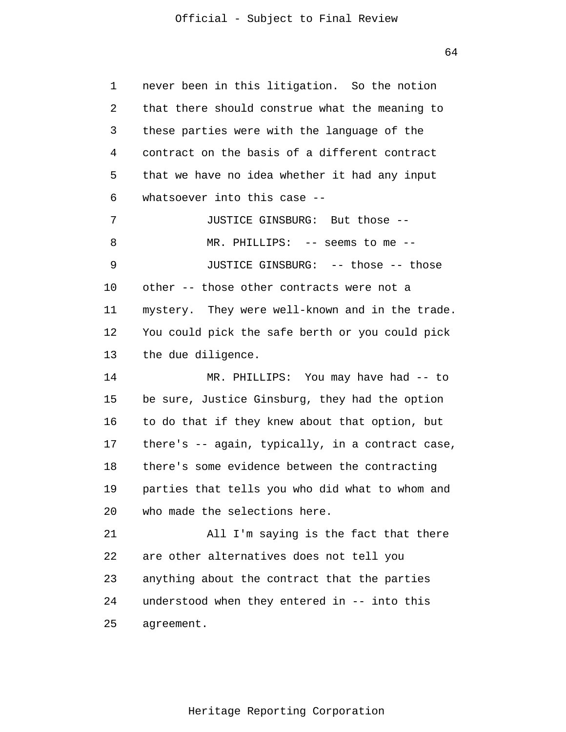64

1 2 3 4 5 6 7 8 9 10 11 12 13 14 15 16 17 18 19 20 21 22 23 24 25 never been in this litigation. So the notion that there should construe what the meaning to these parties were with the language of the contract on the basis of a different contract that we have no idea whether it had any input whatsoever into this case -- JUSTICE GINSBURG: But those -- MR. PHILLIPS: -- seems to me -- JUSTICE GINSBURG: -- those -- those other -- those other contracts were not a mystery. They were well-known and in the trade. You could pick the safe berth or you could pick the due diligence. MR. PHILLIPS: You may have had -- to be sure, Justice Ginsburg, they had the option to do that if they knew about that option, but there's -- again, typically, in a contract case, there's some evidence between the contracting parties that tells you who did what to whom and who made the selections here. All I'm saying is the fact that there are other alternatives does not tell you anything about the contract that the parties understood when they entered in -- into this agreement.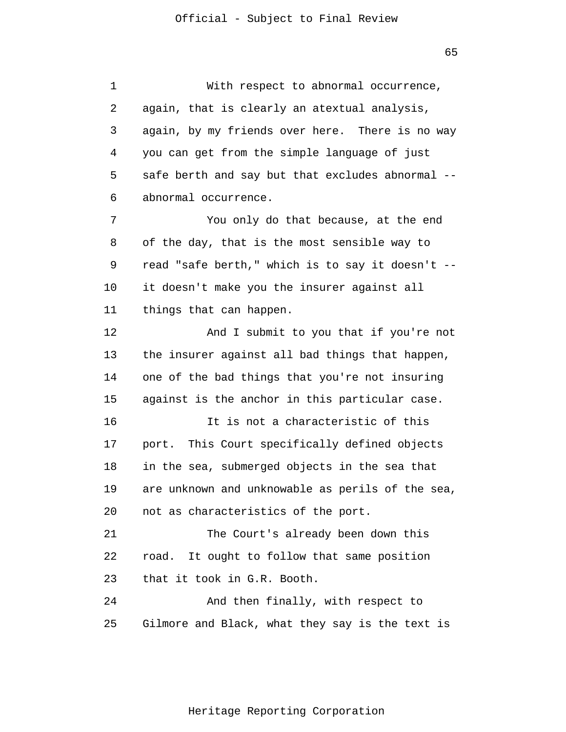1 2 3 4 5 6 7 8 9 10 11 12 13 14 15 16 17 18 19 20 21 22 23 24 25 With respect to abnormal occurrence, again, that is clearly an atextual analysis, again, by my friends over here. There is no way you can get from the simple language of just safe berth and say but that excludes abnormal - abnormal occurrence. You only do that because, at the end of the day, that is the most sensible way to read "safe berth," which is to say it doesn't - it doesn't make you the insurer against all things that can happen. And I submit to you that if you're not the insurer against all bad things that happen, one of the bad things that you're not insuring against is the anchor in this particular case. It is not a characteristic of this port. This Court specifically defined objects in the sea, submerged objects in the sea that are unknown and unknowable as perils of the sea, not as characteristics of the port. The Court's already been down this road. It ought to follow that same position that it took in G.R. Booth. And then finally, with respect to Gilmore and Black, what they say is the text is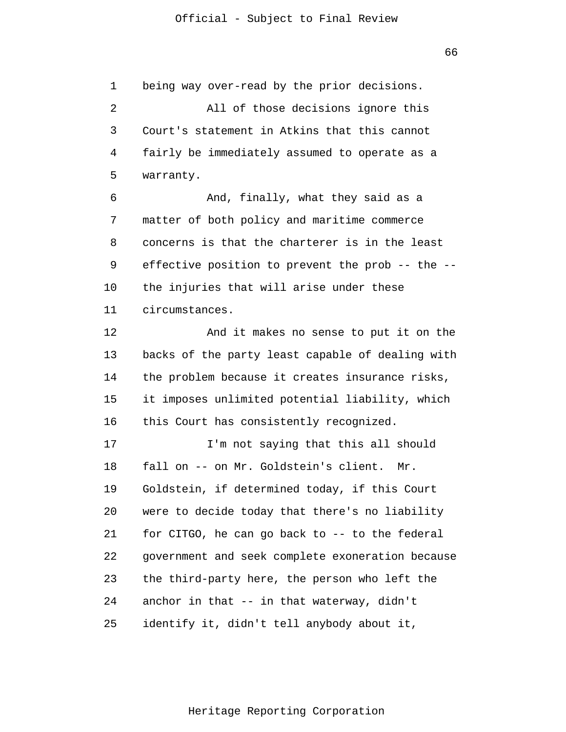1  $\overline{2}$ 3 4 5 being way over-read by the prior decisions. All of those decisions ignore this Court's statement in Atkins that this cannot fairly be immediately assumed to operate as a warranty.

6 7 8 9 10 11 And, finally, what they said as a matter of both policy and maritime commerce concerns is that the charterer is in the least effective position to prevent the prob -- the - the injuries that will arise under these circumstances.

12 13 14 15 16 And it makes no sense to put it on the backs of the party least capable of dealing with the problem because it creates insurance risks, it imposes unlimited potential liability, which this Court has consistently recognized.

17 18 19 20 21 22 23 24 25 I'm not saying that this all should fall on -- on Mr. Goldstein's client. Mr. Goldstein, if determined today, if this Court were to decide today that there's no liability for CITGO, he can go back to -- to the federal government and seek complete exoneration because the third-party here, the person who left the anchor in that -- in that waterway, didn't identify it, didn't tell anybody about it,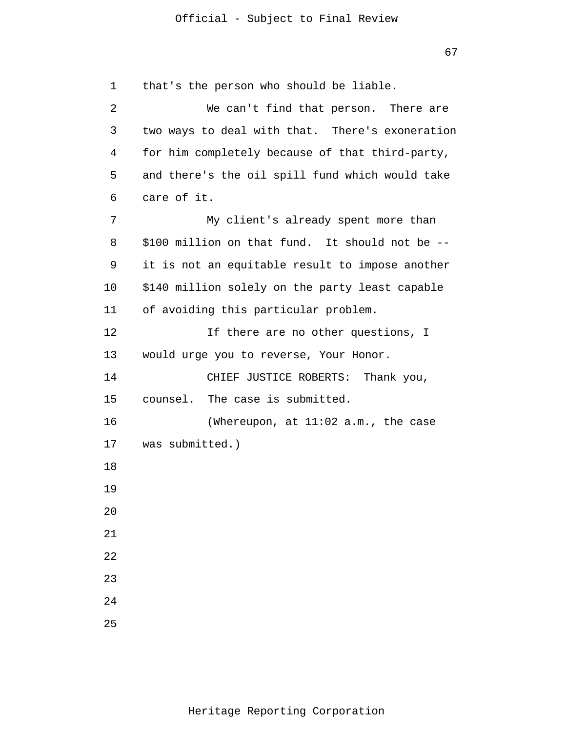1 2 3 4 5 6 7 8 9 10 11 12 13 14 15 16 17 18 19 20 21 22 23 24 25 that's the person who should be liable. We can't find that person. There are two ways to deal with that. There's exoneration for him completely because of that third-party, and there's the oil spill fund which would take care of it. My client's already spent more than \$100 million on that fund. It should not be - it is not an equitable result to impose another \$140 million solely on the party least capable of avoiding this particular problem. If there are no other questions, I would urge you to reverse, Your Honor. CHIEF JUSTICE ROBERTS: Thank you, counsel. The case is submitted. (Whereupon, at 11:02 a.m., the case was submitted.)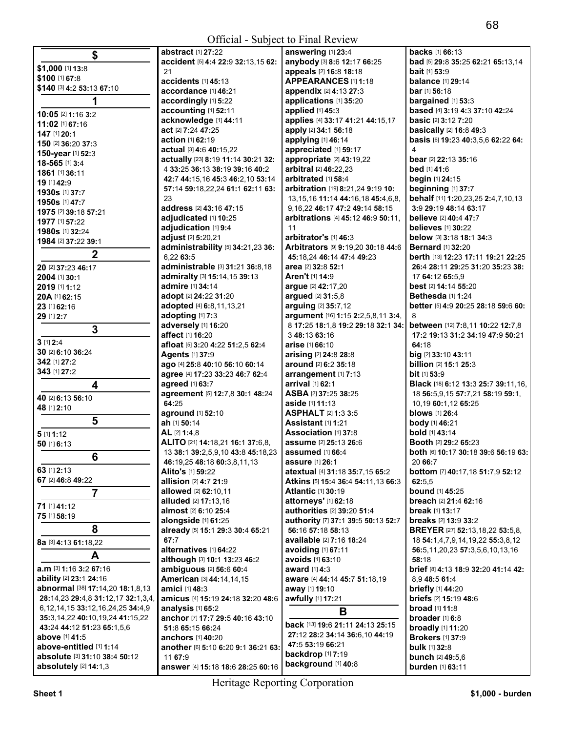| \$                                                            | abstract [1] 27:22                  | answering [1] 23:4                        | <b>backs</b> [1] 66:13                  |
|---------------------------------------------------------------|-------------------------------------|-------------------------------------------|-----------------------------------------|
|                                                               | accident [5] 4:4 22:9 32:13,15 62:  | anybody [3] 8:6 12:17 66:25               | bad [5] 29:8 35:25 62:21 65:13,14       |
| \$1,000 [1] 13:8                                              | 21                                  | appeals [2] 16:8 18:18                    | bait [1] 53:9                           |
| \$100 [1] 67:8                                                | accidents [1] 45:13                 | <b>APPEARANCES</b> [1] 1:18               | <b>balance</b> [1] 29:14                |
| \$140 [3] 4:2 53:13 67:10                                     | accordance [1] 46:21                | appendix [2] 4:13 27:3                    | bar [1] 56:18                           |
| 1                                                             | accordingly [1] 5:22                | applications [1] 35:20                    | bargained [1] 53:3                      |
| 10:05 [2] 1:16 3:2                                            | accounting [1] 52:11                | applied [1] 45:3                          | based [4] 3:19 4:3 37:10 42:24          |
| 11:02 [1] 67:16                                               | acknowledge [1] 44:11               | applies [4] 33:17 41:21 44:15,17          | <b>basic</b> [2] 3:12 7:20              |
| 147 [1] 20:1                                                  | act [2] 7:24 47:25                  | apply [2] 34:1 56:18                      | <b>basically</b> [2] 16:8 49:3          |
| 150 [2] 36:20 37:3                                            | action [1] 62:19                    | applying [1] 46:14                        | basis [6] 19:23 40:3,5,6 62:22 64:      |
| 150-year [1] 52:3                                             | actual [3] 4:6 40:15,22             | appreciated [1] 59:17                     | 4                                       |
| 18-565 [1] 3:4                                                | actually [23] 8:19 11:14 30:21 32:  | appropriate [2] 43:19,22                  | bear [2] 22:13 35:16                    |
| 1861 [1] 36:11                                                | 4 33:25 36:13 38:19 39:16 40:2      | arbitral [2] 46:22,23                     | bed [1] 41:6                            |
| 19 [1] 42:9                                                   | 42:7 44:15,16 45:3 46:2,10 53:14    | arbitrated [1] 58:4                       | begin [1] 24:15                         |
| 1930s [1] 37:7                                                | 57:14 59:18,22,24 61:1 62:11 63:    | arbitration [19] 8:21,24 9:19 10:         | beginning [1] 37:7                      |
| 1950s [1] 47:7                                                | 23                                  | 13, 15, 16 11: 14 44: 16, 18 45: 4, 6, 8, | behalf [11] 1:20,23,25 2:4,7,10,13      |
| 1975 [2] 39:18 57:21                                          | address [2] 43:16 47:15             | 9, 16, 22 46: 17 47: 2 49: 14 58: 15      | 3:9 29:19 48:14 63:17                   |
| 1977 [1] 57:22                                                | adjudicated [1] 10:25               | arbitrations [4] 45:12 46:9 50:11,        | believe [2] 40:4 47:7                   |
| 1980s [1] 32:24                                               | adjudication [1] 9:4                | 11                                        | <b>believes</b> [1] 30:22               |
| 1984 [2] 37:22 39:1                                           | adjust [2] 5:20,21                  | arbitrator's [1] 46:3                     | below [3] 3:18 18:1 34:3                |
|                                                               | administrability [5] 34:21,23 36:   | Arbitrators [9] 9:19,20 30:18 44:6        | <b>Bernard</b> [1] 32:20                |
| $\boldsymbol{2}$                                              | 6.22 63:5                           | 45:18,24 46:14 47:4 49:23                 | berth [13] 12:23 17:11 19:21 22:25      |
| 20 [2] 37:23 46:17                                            | administrable [3] 31:21 36:8.18     | area [2] 32:8 52:1                        | 26:4 28:11 29:25 31:20 35:23 38:        |
| 2004 [1] 30:1                                                 | admiralty [3] 15:14,15 39:13        | Aren't [1] 14:9                           | 17 64:12 65:5.9                         |
| 2019 [1] 1:12                                                 | admire [1] 34:14                    | argue [2] 42:17,20                        | best [2] 14:14 55:20                    |
| 20A [1] 62:15                                                 | adopt [2] 24:22 31:20               | argued [2] 31:5,8                         | Bethesda [1] 1:24                       |
| 23 [1] 62:16                                                  | adopted [4] 6:8,11,13,21            | arguing [2] 35:7,12                       | better [5] 4:9 20:25 28:18 59:6 60:     |
| 29 [1] 2:7                                                    | adopting [1] 7:3                    | argument [16] 1:15 2:2,5,8,11 3:4,        | 8                                       |
| $\overline{3}$                                                | adversely [1] 16:20                 | 8 17:25 18:1,8 19:2 29:18 32:1 34:        | between [12] 7:8,11 10:22 12:7,8        |
|                                                               | affect [1] 16:20                    | 3 48:13 63:16                             | 17:2 19:13 31:2 34:19 47:9 50:21        |
| $3$ [1] $2:4$                                                 | afloat [5] 3:20 4:22 51:2,5 62:4    | arise [1] 66:10                           | 64:18                                   |
| 30 [2] 6:10 36:24                                             | Agents [1] 37:9                     | arising [2] 24:8 28:8                     | big [2] 33:10 43:11                     |
| 342 [1] 27:2                                                  | ago [4] 25:8 40:10 56:10 60:14      | around [2] 6:2 35:18                      | billion [2] 15:1 25:3                   |
| 343 [1] 27:2                                                  | agree [4] 17:23 33:23 46:7 62:4     | arrangement [1] 7:13                      | <b>bit</b> [1] 53:9                     |
| $\overline{\mathbf{4}}$                                       | agreed [1] 63:7                     | arrival [1] 62:1                          | Black [18] 6:12 13:3 25:7 39:11,16,     |
| 40 [2] 6:13 56:10                                             | agreement [5] 12:7,8 30:1 48:24     | ASBA [2] 37:25 38:25                      | 18 56:5,9,15 57:7,21 58:19 59:1,        |
| 48 [1] 2:10                                                   | 64:25                               | aside [1] 11:13                           | 10,19 60:1,12 65:25                     |
| 5                                                             | aground [1] 52:10                   | ASPHALT [2] 1:3 3:5                       | <b>blows</b> [1] 26:4                   |
|                                                               | ah [1] 50:14                        | Assistant [1] 1:21                        | body [1] 46:21                          |
| $5$ [1] 1:12                                                  | AL [2] 1:4.8                        | Association [1] 37:8                      | <b>bold</b> [1] 43:14                   |
| 50 [1] 6:13                                                   | ALITO [21] 14:18,21 16:1 37:6,8,    | assume [2] 25:13 26:6                     | Booth [2] 29:2 65:23                    |
| 6                                                             | 13 38:1 39:2,5,9,10 43:8 45:18,23   | assumed $[1]$ 66:4                        | both [6] 10:17 30:18 39:6 56:19 63:     |
| 63 [1] 2:13                                                   | 46:19,25 48:18 60:3,8,11,13         | assure [1] 26:1                           | 20 66:7                                 |
| 67 [2] 46:8 49:22                                             | Alito's [1] 59:22                   | atextual [4] 31:18 35:7,15 65:2           | <b>bottom</b> [7] 40:17,18 51:7,9 52:12 |
|                                                               | allision [2] 4:7 21:9               | Atkins [5] 15:4 36:4 54:11,13 66:3        | 62:5,5                                  |
| $\overline{7}$                                                | allowed [2] 62:10,11                | <b>Atlantic [1] 30:19</b>                 | <b>bound</b> [1] 45:25                  |
| 71 [1] 41:12                                                  | alluded [2] 17:13,16                | attorneys' [1] 62:18                      | breach [2] 21:4 62:16                   |
| 75 [1] 58:19                                                  | almost [2] 6:10 25:4                | authorities [2] 39:20 51:4                | break [1] 13:17                         |
| 8                                                             | alongside [1] 61:25                 | authority [7] 37:1 39:5 50:13 52:7        | <b>breaks</b> [2] 13:9 33:2             |
|                                                               | already [5] 15:1 29:3 30:4 65:21    | 56:16 57:18 58:13                         | <b>BREYER</b> [27] 52:13,18,22 53:5,8,  |
| 8a [3] 4:13 61:18.22                                          | 67:7                                | available [2] 7:16 18:24                  | 18 54:1,4,7,9,14,19,22 55:3,8,12        |
| A                                                             | alternatives [1] 64:22              | avoiding [1] 67:11                        | 56:5,11,20,23 57:3,5,6,10,13,16         |
| a.m [3] 1:16 3:2 67:16                                        | although [3] 10:1 13:23 46:2        | avoids [1] 63:10                          | 58:18                                   |
| ability [2] 23:1 24:16                                        | ambiguous [2] 56:6 60:4             | award [1] 4:3                             | brief [8] 4:13 18:9 32:20 41:14 42:     |
| abnormal [38] 17:14,20 18:1,8,13                              | American [3] 44:14,14,15            | aware [4] 44:14 45:7 51:18,19             | 8.9 48:5 61:4                           |
|                                                               | amici [1] 48:3                      | away [1] 19:10                            | <b>briefly</b> [1] 44:20                |
| 28:14,23 29:4,8 31:12,17 32:1,3,4,                            | amicus [4] 15:19 24:18 32:20 48:6   | awfully [1] 17:21                         | <b>briefs</b> [2] 15:19 48:6            |
| 6, 12, 14, 15 33: 12, 16, 24, 25 34: 4, 9                     | analysis [1] 65:2                   | В                                         | <b>broad</b> $[1]$ 11:8                 |
| 35:3,14,22 40:10,19,24 41:15,22<br>43:24 44:12 51:23 65:1,5,6 | anchor [7] 17:7 29:5 40:16 43:10    | back [13] 19:6 21:11 24:13 25:15          | broader [1] 6:8                         |
| above [1] 41:5                                                | 51:8 65:15 66:24                    | 27:12 28:2 34:14 36:6,10 44:19            | <b>broadly</b> [1] 11:20                |
| above-entitled [1] 1:14                                       | <b>anchors</b> [1] <b>40:</b> 20    | 47:5 53:19 66:21                          | <b>Brokers [1] 37:9</b>                 |
| absolute [3] 31:10 38:4 50:12                                 | another [6] 5:10 6:20 9:1 36:21 63: | backdrop [1] 7:19                         | bulk [1] 32:8                           |
|                                                               | 11 67:9                             | background [1] 40:8                       | <b>bunch</b> [2] 49:5,6                 |
| absolutely [2] 14:1,3                                         | answer [4] 15:18 18:6 28:25 60:16   |                                           | burden [1] 63:11                        |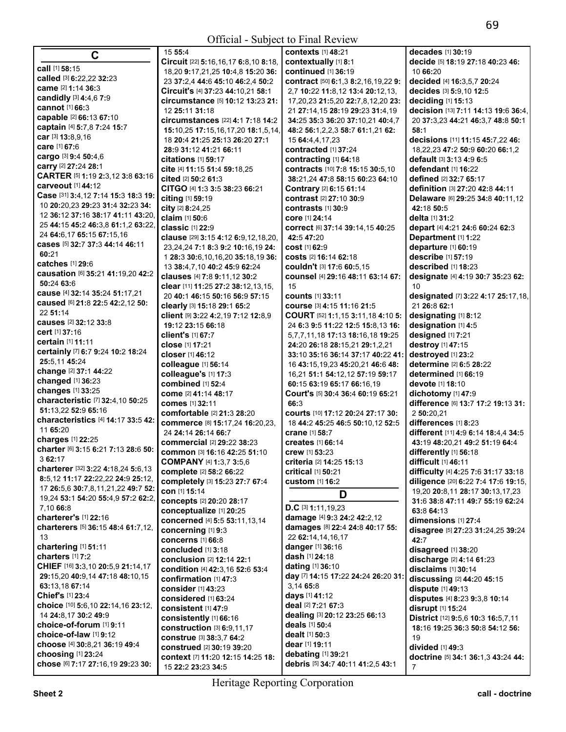| $\mathbf C$                                        | 15 55:4                                                  | <b>contexts</b> [1] 48:21                 | decades [1] 30:19                                  |
|----------------------------------------------------|----------------------------------------------------------|-------------------------------------------|----------------------------------------------------|
|                                                    | Circuit [22] 5:16,16,17 6:8,10 8:18,                     | contextually [1] 8:1                      | decide [5] 18:19 27:18 40:23 46:                   |
| call [1] 58:15                                     | 18,20 9:17,21,25 10:4,8 15:20 36:                        | continued [1] 36:19                       | 10 66:20                                           |
| called [3] 6:22,22 32:23                           | 23 37:2.4 44:6 45:10 46:2.4 50:2                         | contract [50] 6:1,3 8:2,16,19,22 9:       | decided [4] 16:3,5,7 20:24                         |
| came [2] 1:14 36:3                                 | Circuit's [4] 37:23 44:10,21 58:1                        | 2,7 10:22 11:8,12 13:4 20:12,13,          | decides [3] 5:9,10 12:5                            |
| candidly $[3]$ 4:4,6 7:9                           | circumstance [5] 10:12 13:23 21:                         | 17, 20, 23 21: 5, 20 22: 7, 8, 12, 20 23: | deciding [1] 15:13                                 |
| cannot [1] 66:3                                    | 12 25:11 31:18                                           | 21 27:14,15 28:19 29:23 31:4,19           | decision [13] 7:11 14:13 19:6 36:4,                |
| capable [2] 66:13 67:10                            | <b>circumstances</b> [22] 4:1 7:18 14:2                  | 34:25 35:3 36:20 37:10,21 40:4,7          | 20 37:3,23 44:21 46:3,7 48:8 50:1                  |
| captain [4] 5:7,8 7:24 15:7                        | 15:10,25 17:15,16,17,20 18:1,5,14,                       | 48:2 56:1,2,2,3 58:7 61:1,21 62:          | 58:1                                               |
| car [3] 13:8,9,16                                  | 18 20:4 21:25 25:13 26:20 27:1                           | 15 64:4,4,17,23                           | decisions [11] 11:15 45:7,22 46:                   |
| care [1] 67:6                                      | 28:9 31:12 41:21 66:11                                   | contracted [1] 37:24                      | 18,22,23 47:2 50:9 60:20 66:1,2                    |
| cargo [3] 9:4 50:4,6                               | citations $[1]$ 59:17                                    | contracting [1] 64:18                     | default [3] 3:13 4:9 6:5                           |
| carry [2] 27:24 28:1                               | cite [4] 11:15 51:4 59:18.25                             | contracts [10] 7:8 15:15 30:5,10          | defendant [1] 16:22                                |
| CARTER [5] 1:19 2:3,12 3:8 63:16                   | cited [2] 50:2 61:3                                      | 38:21.24 47:8 58:15 60:23 64:10           | defined [2] 32:7 65:17                             |
| carveout [1] 44:12                                 | CITGO [4] 1:3 3:5 38:23 66:21                            | Contrary [2] 6:15 61:14                   | definition [3] 27:20 42:8 44:11                    |
| Case [31] 3:4,12 7:14 15:3 18:3 19:                | citing [1] 59:19                                         | contrast [2] 27:10 30:9                   | Delaware [6] 29:25 34:8 40:11,12                   |
| 10 20:20,23 29:23 31:4 32:23 34:                   | city [2] 8:24,25                                         | contrasts [1] 30:9                        | 42:18 50:5                                         |
| 12 36:12 37:16 38:17 41:11 43:20,                  | claim [1] 50:6                                           | COre [1] 24:14                            | <b>delta</b> [1] <b>31:2</b>                       |
| 25 44:15 45:2 46:3,8 61:1,2 63:22,                 | classic [1] 22:9                                         | COrrect [6] 37:14 39:14,15 40:25          | depart [4] 4:21 24:6 60:24 62:3                    |
| 24 64:6,17 65:15 67:15,16                          | clause [29] 3:15 4:12 6:9,12,18,20,                      | 42:5 47:20                                | Department [1] 1:22                                |
| cases [5] 32:7 37:3 44:14 46:11                    | 23, 24, 24 7:1 8:3 9:2 10:16, 19 24:                     | cost [1] 62:9                             | departure [1] 60:19                                |
| 60:21<br>catches [1] 29:6                          | 1 28:3 30:6, 10, 16, 20 35: 18, 19 36:                   | costs [2] 16:14 62:18                     | describe [1] 57:19                                 |
|                                                    | 13 38:4,7,10 40:2 45:9 62:24                             | Couldn't [3] 17:6 60:5,15                 | described [1] 18:23                                |
| causation [6] 35:21 41:19,20 42:2                  | clauses [4] 7:8 9:11,12 30:2                             | counsel [4] 29:16 48:11 63:14 67:         | designate [4] 4:19 30:7 35:23 62:                  |
| 50:24 63:6                                         | clear [11] 11:25 27:2 38:12,13,15,                       | 15                                        | 10                                                 |
| cause [4] 32:14 35:24 51:17,21                     | 20 40:1 46:15 50:16 56:9 57:15                           | <b>counts</b> [1] 33:11                   | designated [7] 3:22 4:17 25:17,18,                 |
| caused [6] 21:8 22:5 42:2,12 50:                   | clearly [3] 15:18 29:1 65:2                              | course [3] 4:15 11:16 21:5                | 21 26:8 62:1                                       |
| 22 51:14<br>causes [2] 32:12 33:8                  | client [9] 3:22 4:2,19 7:12 12:8,9                       | COURT [52] 1:1,15 3:11,18 4:10 5:         | designating [1] 8:12                               |
| cert [1] 37:16                                     | 19:12 23:15 66:18                                        | 24 6:3 9:5 11:22 12:5 15:8,13 16:         | designation [1] 4:5                                |
| <b>certain</b> [1] 11:11                           | client's [1] 67:7                                        | 5,7,7,11,18 17:13 18:16,18 19:25          | designed [1] 7:21                                  |
|                                                    | <b>close</b> [1] 17:21                                   | 24:20 26:18 28:15,21 29:1,2,21            | destroy [1] 47:15                                  |
| certainly [7] 6:7 9:24 10:2 18:24<br>25:5,11 45:24 | <b>closer</b> [1] 46:12                                  | 33:10 35:16 36:14 37:17 40:22 41:         | destroyed [1] 23:2                                 |
| change [2] 37:1 44:22                              | colleague [1] 56:14                                      | 16 43:15,19,23 45:20,21 46:6 48:          | determine [2] 6:5 28:22                            |
| changed [1] 36:23                                  | colleague's [1] 17:3                                     | 16,21 51:1 54:12,12 57:19 59:17           | determined [1] 66:19                               |
| changes [1] 33:25                                  | combined [1] 52:4                                        | 60:15 63:19 65:17 66:16.19                | devote [1] 18:10                                   |
| characteristic [7] 32:4,10 50:25                   | come [2] 41:14 48:17                                     | Court's [5] 30:4 36:4 60:19 65:21         | dichotomy [1] 47:9                                 |
| 51:13,22 52:9 65:16                                | <b>comes</b> [1] 32:11                                   | 66:3                                      | difference [6] 13:7 17:2 19:13 31:                 |
| characteristics [4] 14:17 33:5 42:                 | comfortable [2] 21:3 28:20                               | <b>courts</b> [10] 17:12 20:24 27:17 30:  | 2 50:20,21                                         |
| 11 65:20                                           | commerce [8] 15:17,24 16:20,23,                          | 18 44:2 45:25 46:5 50:10,12 52:5          | differences [1] 8:23                               |
| charges [1] 22:25                                  | 24 24:14 26:14 66:7                                      | crane [1] 58:7                            | different [11] 4:9 6:14 18:4,4 34:5                |
| charter [6] 3:15 6:21 7:13 28:6 50:                | commercial [2] 29:22 38:23                               | <b>creates</b> [1] 66:14                  | 43:19 48:20,21 49:2 51:19 64:4                     |
| 3 62:17                                            | common [3] 16:16 42:25 51:10                             | crew [1] 53:23                            | differently [1] 56:18                              |
| charterer [32] 3:22 4:18,24 5:6,13                 | COMPANY [4] 1:3,7 3:5,6                                  | criteria [2] 14:25 15:13                  | difficult [1] 46:11                                |
| 8:5,12 11:17 22:22,22 24:9 25:12,                  | complete [2] 58:2 66:22                                  | critical [1] 50:21                        | difficulty [4] 4:25 7:6 31:17 33:18                |
| 17 26:5,6 30:7,8,11,21,22 49:7 52:                 | completely [3] 15:23 27:7 67:4                           | <b>custom</b> [1] 16:2                    | diligence [20] 6:22 7:4 17:6 19:15,                |
| 19,24 53:1 54:20 55:4,9 57:2 62:2,                 | con [1] 15:14                                            | D                                         | 19,20 20:8,11 28:17 30:13,17,23                    |
| 7,10 66:8                                          | concepts [2] 20:20 28:17                                 | $D.C$ [3] 1:11, 19, 23                    | 31:6 38:8 47:11 49:7 55:19 62:24                   |
| charterer's [1] 22:16                              | conceptualize [1] 20:25                                  | damage [4] 9:3 24:2 42:2,12               | 63:8 64:13                                         |
| charterers [5] 36:15 48:4 61:7,12,                 | concerned [4] 5:5 53:11,13,14                            | damages [8] 22:4 24:8 40:17 55:           | dimensions [1] 27:4                                |
| 13                                                 | concerning [1] 9:3                                       | 22 62:14,14,16,17                         | disagree [5] 27:23 31:24,25 39:24                  |
| chartering [1] 51:11                               | <b>concerns</b> [1] 66:8                                 | <b>danger</b> [1] 36:16                   | 42:7                                               |
| charters [1] 7:2                                   | concluded [1] 3:18                                       | dash [1] 24:18                            | disagreed [1] 38:20                                |
| CHIEF [16] 3:3,10 20:5,9 21:14,17                  | <b>conclusion</b> [2] <b>12:14 22:1</b>                  | dating [1] 36:10                          | discharge [2] 4:14 61:23                           |
| 29:15,20 40:9,14 47:18 48:10,15                    | condition [4] 42:3,16 52:6 53:4<br>confirmation [1] 47:3 | day [7] 14:15 17:22 24:24 26:20 31:       | disclaims [1] 30:14<br>discussing [2] 44:20 45:15  |
| 63:13,18 67:14                                     |                                                          | 3,14 65:8                                 |                                                    |
| Chief's [1] 23:4                                   | consider [1] 43:23<br>considered [1] 63:24               | days [1] 41:12                            | dispute [1] 49:13<br>disputes [4] 8:23 9:3,8 10:14 |
| choice [10] 5:6,10 22:14,16 23:12,                 |                                                          | deal [2] 7:21 67:3                        |                                                    |
| 14 24:8,17 30:2 49:9                               | consistent [1] 47:9                                      | dealing [3] 20:12 23:25 66:13             | disrupt [1] 15:24                                  |
| choice-of-forum [1] 9:11                           | consistently [1] 66:16                                   | deals [1] 50:4                            | District [12] 9:5,6 10:3 16:5,7,11                 |
| choice-of-law [1] 9:12                             | construction [3] 6:9,11,17                               | dealt [1] 50:3                            | 18:16 19:25 36:3 50:8 54:12 56:                    |
| choose [4] 30:8,21 36:19 49:4                      | construe [3] 38:3,7 64:2<br>construed [2] 30:19 39:20    | dear [1] 19:11                            | 19<br>divided [1] 49:3                             |
| choosing [1] 23:24                                 | context [7] 11:20 12:15 14:25 18:                        | debating [1] 39:21                        | doctrine [5] 34:1 36:1,3 43:24 44:                 |
| chose [6] 7:17 27:16,19 29:23 30:                  | 15 22:2 23:23 34:5                                       | debris [5] 34:7 40:11 41:2,5 43:1         | 7                                                  |
|                                                    |                                                          |                                           |                                                    |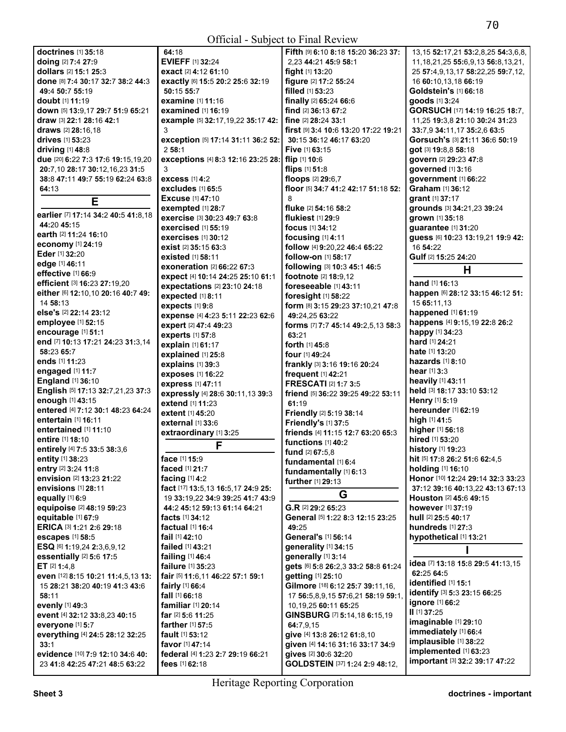|                                     | $\mathsf{O}\mathsf{H}\mathsf{R}$                 | $D\mu\nu$ $\alpha\nu$ is the $\mu\nu$ in $\sigma$ |                                               |
|-------------------------------------|--------------------------------------------------|---------------------------------------------------|-----------------------------------------------|
| doctrines [1] 35:18                 | 64:18                                            | Fifth [9] 6:10 8:18 15:20 36:23 37:               | 13, 15 52: 17, 21 53: 2, 8, 25 54: 3, 6, 8,   |
| doing [2] 7:4 27:9                  | <b>EVIEFF [1] 32:24</b>                          | 2,23 44:21 45:9 58:1                              | 11, 18, 21, 25 55: 6, 9, 13 56: 8, 13, 21,    |
| dollars [2] 15:1 25:3               | <b>exact</b> [2] <b>4:</b> 12 <b>61:</b> 10      | fight [1] 13:20                                   | 25 57:4,9,13,17 58:22,25 59:7,12,             |
| done [8] 7:4 30:17 32:7 38:2 44:3   | exactly [6] 15:5 20:2 25:6 32:19                 | figure [2] 17:2 55:24                             | 16 60:10,13,18 66:19                          |
| 49:4 50:7 55:19                     | 50:15 55:7                                       | filled [1] 53:23                                  | Goldstein's [1] 66:18                         |
| <b>doubt</b> [1] <b>11:19</b>       | examine [1] 11:16                                | finally [2] 65:24 66:6                            | goods [1] 3:24                                |
| down [5] 13:9,17 29:7 51:9 65:21    | examined [1] 16:19                               | find [2] 36:13 67:2                               | GORSUCH [17] 14:19 16:25 18:7,                |
| draw [3] 22:1 28:16 42:1            | example [5] 32:17,19,22 35:17 42:                | fine [2] 28:24 33:1                               | 11,25 19:3,8 21:10 30:24 31:23                |
| draws [2] 28:16,18                  | 3                                                | first [9] 3:4 10:6 13:20 17:22 19:21              | 33:7,9 34:11,17 35:2,6 63:5                   |
| <b>drives</b> [1] <b>53:23</b>      | exception [5] 17:14 31:11 36:2 52:               | 30:15 36:12 46:17 63:20                           | Gorsuch's [3] 21:11 36:6 50:19                |
| driving $[1]$ 48:8                  | 258:1                                            | <b>Five [1] 63:15</b>                             | got [3] 19:8,8 58:18                          |
| due [20] 6:22 7:3 17:6 19:15,19,20  | exceptions [4] 8:3 12:16 23:25 28: flip [1] 10:6 |                                                   | govern [2] 29:23 47:8                         |
| 20:7,10 28:17 30:12,16,23 31:5      | 3                                                | flips $[1]$ 51:8                                  | governed [1] 3:16                             |
| 38:8 47:11 49:7 55:19 62:24 63:8    | <b>excess</b> [1] 4:2                            | floops [2] 29:6,7                                 | government [1] 66:22                          |
| 64:13                               | excludes [1] 65:5                                | floor [5] 34:7 41:2 42:17 51:18 52:               | <b>Graham</b> [1] 36:12                       |
|                                     | <b>Excuse</b> [1] 47:10                          | 8                                                 | grant [1] 37:17                               |
| Е                                   | exempted [1] 28:7                                | fluke [2] 54:16 58:2                              | grounds [3] 34:21,23 39:24                    |
| earlier [7] 17:14 34:2 40:5 41:8,18 | exercise [3] 30:23 49:7 63:8                     | flukiest $[1]$ 29:9                               | grown [1] 35:18                               |
| 44:20 45:15                         | <b>exercised</b> [1] <b>55:19</b>                | focus $[1]$ 34:12                                 | guarantee $[1]$ 31:20                         |
| earth [2] 11:24 16:10               | <b>exercises</b> [1] 30:12                       |                                                   |                                               |
| economy [1] 24:19                   | exist [2] 35:15 63:3                             | focusing $[1]$ 4:11                               | guess [6] 10:23 13:19,21 19:9 42:<br>16 54:22 |
| Eder [1] 32:20                      |                                                  | follow [4] 9:20,22 46:4 65:22                     |                                               |
| edge [1] 46:11                      | <b>existed</b> [1] 58:11                         | follow-on [1] 58:17                               | Gulf [2] 15:25 24:20                          |
| effective [1] 66:9                  | <b>exoneration [2] 66:22 67:3</b>                | following [3] 10:3 45:1 46:5                      | н                                             |
| efficient [3] 16:23 27:19,20        | expect [4] 10:14 24:25 25:10 61:1                | footnote [2] 18:9,12                              | <b>hand</b> [1] <b>16:13</b>                  |
| either [6] 12:10,10 20:16 40:7 49:  | <b>expectations</b> [2] 23:10 24:18              | foreseeable [1] 43:11                             | happen [6] 28:12 33:15 46:12 51:              |
| 14 58:13                            | expected [1] 8:11                                | foresight [1] 58:22                               | 15 65:11,13                                   |
| else's [2] 22:14 23:12              | expects [1] 9:8                                  | form [8] 3:15 29:23 37:10,21 47:8                 | happened [1] 61:19                            |
| employee [1] 52:15                  | expense [4] 4:23 5:11 22:23 62:6                 | 49:24,25 63:22                                    | happens [4] 9:15,19 22:8 26:2                 |
|                                     | expert [2] 47:4 49:23                            | forms [7] 7:7 45:14 49:2,5,13 58:3                |                                               |
| encourage [1] 51:1                  | experts [1] 57:8                                 | 63:21                                             | happy [1] 34:23                               |
| end [7] 10:13 17:21 24:23 31:3,14   | explain [1] 61:17                                | forth [1] 45:8                                    | <b>hard</b> [1] <b>24:21</b>                  |
| 58:23 65:7                          | explained [1] 25:8                               | <b>four</b> [1] <b>49:24</b>                      | <b>hate</b> [1] <b>13:20</b>                  |
| ends [1] 11:23                      | explains [1] 39:3                                | frankly [3] 3:16 19:16 20:24                      | hazards $[1]$ 8:10                            |
| engaged [1] 11:7                    | exposes [1] 16:22                                | frequent [1] 42:21                                | <b>hear</b> $[1]$ 3:3                         |
| <b>England</b> [1] 36:10            | express [1] 47:11                                | <b>FRESCATI [2] 1:7 3:5</b>                       | heavily [1] 43:11                             |
| English [5] 17:13 32:7,21,23 37:3   | expressly [4] 28:6 30:11,13 39:3                 | friend [5] 36:22 39:25 49:22 53:11                | held [3] 18:17 33:10 53:12                    |
| enough [1] 43:15                    | extend [1] 11:23                                 | 61:19                                             | Henry [1] 5:19                                |
| entered [4] 7:12 30:1 48:23 64:24   | extent [1] 45:20                                 | Friendly [2] 5:19 38:14                           | hereunder [1] 62:19                           |
| entertain [1] 16:11                 | <b>external</b> [1] 33:6                         | Friendly's [1] 37:5                               | high [1] 41:5                                 |
| entertained [1] 11:10               | extraordinary [1] 3:25                           | friends [4] 11:15 12:7 63:20 65:3                 | higher [1] 56:18                              |
| entire [1] 18:10                    | F                                                | functions [1] 40:2                                | hired [1] 53:20                               |
| entirely [4] 7:5 33:5 38:3,6        |                                                  | fund $[2]$ 67:5,8                                 | history [1] 19:23                             |
| <b>entity</b> [1] 38:23             | <b>face</b> [1] <b>15:</b> 9                     | fundamental [1] 6:4                               | <b>hit</b> [5] <b>17:8 26:2 51:6 62:4,5</b>   |
| entry [2] 3:24 11:8                 | faced [1] 21:7                                   | fundamentally [1] 6:13                            | holding [1] 16:10                             |
| envision [2] 13:23 21:22            | facing $[1]$ 4:2                                 | further [1] 29:13                                 | Honor [10] 12:24 29:14 32:3 33:23             |
| <b>envisions</b> [1] 28:11          | fact [17] 13:5, 13 16:5, 17 24:9 25:             | G                                                 | <b>37:12 39:16 40:13,22 43:13 67:13</b>       |
| equally $[1]$ 6:9                   | 19 33:19,22 34:9 39:25 41:7 43:9                 |                                                   | Houston [2] 45:6 49:15                        |
| equipoise [2] 48:19 59:23           | 44:2 45:12 59:13 61:14 64:21                     | G.R [2] 29:2 65:23                                | <b>however</b> [1] 37:19                      |
| equitable [1] 67:9                  | facts $[1]$ 34:12                                | General [5] 1:22 8:3 12:15 23:25                  | <b>hull</b> [2] <b>25:5 40:17</b>             |
| ERICA [3] 1:21 2:6 29:18            | <b>factual</b> [1] 16:4                          | 49:25                                             | hundreds $[1]$ 27:3                           |
| escapes [1] 58:5                    | fail [1] 42:10                                   | General's [1] 56:14                               | hypothetical [1] 13:21                        |
| ESQ [6] 1:19,24 2:3,6,9,12          | failed [1] 43:21                                 | generality [1] 34:15                              |                                               |
| essentially [2] 5:6 17:5            | failing [1] 46:4                                 | generally [1] 3:14                                |                                               |
| ET $[2]$ 1:4,8                      | failure [1] 35:23                                | gets [6] 5:8 26:2,3 33:2 58:8 61:24               | idea [7] 13:18 15:8 29:5 41:13,15             |
| even [12] 8:15 10:21 11:4,5,13 13:  | fair [5] 11:6,11 46:22 57:1 59:1                 | getting [1] 25:10                                 | 62:25 64:5                                    |
| 15 28:21 38:20 40:19 41:3 43:6      | fairly [1] 66:4                                  | Gilmore [18] 6:12 25:7 39:11,16,                  | <b>identified</b> [1] <b>15:1</b>             |
| 58:11                               | fall [1] 66:18                                   | 17 56:5,8,9,15 57:6,21 58:19 59:1,                | identify [3] 5:3 23:15 66:25                  |
| evenly [1] 49:3                     | familiar [1] 20:14                               | 10, 19, 25 60: 11 65: 25                          | ignore [1] 66:2                               |
| event [4] 32:12 33:8,23 40:15       | far [2] 5:6 11:25                                | GINSBURG [7] 5:14,18 6:15,19                      | $II$ [1] 37:25                                |
| everyone [1] 5:7                    | farther [1] 57:5                                 | 64:7,9,15                                         | imaginable [1] 29:10                          |
| everything [4] 24:5 28:12 32:25     | <b>fault</b> $[1]$ 53:12                         | give [4] 13:8 26:12 61:8,10                       | immediately [1] 66:4                          |
| 33:1                                | favor [1] 47:14                                  | given [4] 14:16 31:16 33:17 34:9                  | implausible [1] 38:22                         |
| evidence [10] 7:9 12:10 34:6 40:    | federal [4] 1:23 2:7 29:19 66:21                 | gives [2] 30:6 32:20                              | implemented [1] 63:23                         |
| 23 41:8 42:25 47:21 48:5 63:22      | fees [1] 62:18                                   | GOLDSTEIN [37] 1:24 2:9 48:12,                    | important [3] 32:2 39:17 47:22                |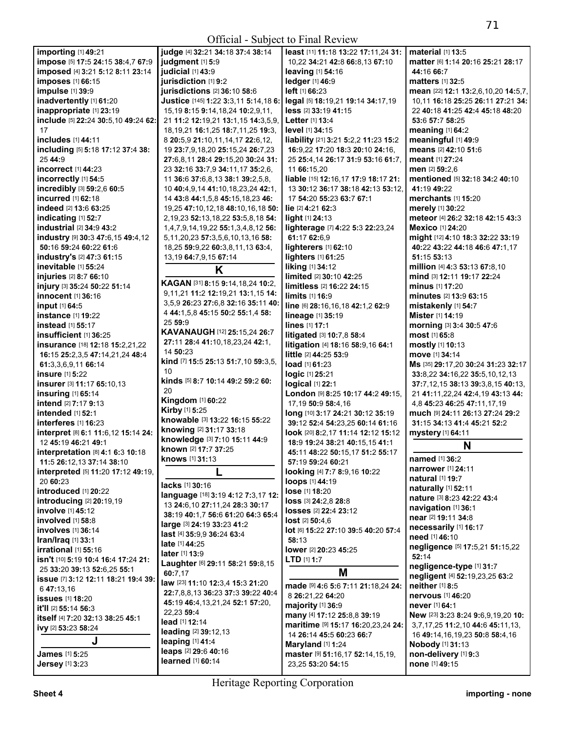| importing [1] 49:21                                             | judge [4] 32:21 34:18 37:4 38:14          | least [11] 11:18 13:22 17:11,24 31:                  | material [1] 13:5                    |
|-----------------------------------------------------------------|-------------------------------------------|------------------------------------------------------|--------------------------------------|
| impose [5] 17:5 24:15 38:4,7 67:9                               | judgment [1] 5:9                          | 10,22 34:21 42:8 66:8,13 67:10                       | matter [6] 1:14 20:16 25:21 28:17    |
| imposed [4] 3:21 5:12 8:11 23:14                                | judicial [1] 43:9                         | leaving [1] 54:16                                    | 44:16 66:7                           |
| imposes [1] 66:15                                               | jurisdiction [1] 9:2                      | ledger [1] 46:9                                      | <b>matters</b> [1] <b>32:5</b>       |
| impulse [1] 39:9                                                | jurisdictions [2] 36:10 58:6              | left [1] 66:23                                       | mean [22] 12:1 13:2,6,10,20 14:5,7,  |
| inadvertently [1] 61:20                                         | Justice [145] 1:22 3:3,11 5:14,18 6:      | legal [5] 18:19,21 19:14 34:17,19                    | 10,11 16:18 25:25 26:11 27:21 34:    |
| inappropriate [1] 23:19                                         | 15, 19 8: 15 9: 14, 18, 24 10: 2, 9, 11,  | less [2] 33:19 41:15                                 | 22 40:18 41:25 42:4 45:18 48:20      |
| include [5] 22:24 30:5,10 49:24 62:                             | 21 11:2 12:19,21 13:1,15 14:3,5,9,        | Letter [1] 13:4                                      | 53:6 57:7 58:25                      |
| 17                                                              | 18, 19, 21 16: 1, 25 18: 7, 11, 25 19: 3, | level [1] 34:15                                      | meaning $[1]$ 64:2                   |
| includes [1] 44:11                                              | 8 20:5,9 21:10,11,14,17 22:6,12,          | liability [21] 3:21 5:2,2 11:23 15:2                 | meaningful [1] 49:9                  |
| including [5] 5:18 17:12 37:4 38:                               | 19 23:7,9,18,20 25:15,24 26:7,23          | 16:9,22 17:20 18:3 20:10 24:16,                      | means [2] 42:10 51:6                 |
| 25 44:9                                                         | 27:6,8,11 28:4 29:15,20 30:24 31:         | 25 25:4,14 26:17 31:9 53:16 61:7,                    | <b>meant</b> [1] 27:24               |
| incorrect [1] 44:23                                             | 23 32:16 33:7,9 34:11,17 35:2,6,          | 11 66:15,20                                          | men [2] 59:2.6                       |
| incorrectly [1] 54:5                                            | 11 36:6 37:6,8,13 38:1 39:2,5,8,          | liable [15] 12:16,17 17:9 18:17 21:                  | mentioned [5] 32:18 34:2 40:10       |
| incredibly [3] 59:2,6 60:5                                      | 10 40:4,9,14 41:10,18,23,24 42:1,         | 13 30:12 36:17 38:18 42:13 53:12,                    | 41:19 49:22                          |
| incurred [1] 62:18                                              | 14 43:8 44:1,5,8 45:15,18,23 46:          | 17 54:20 55:23 63:7 67:1                             | <b>merchants</b> [1] <b>15:20</b>    |
| indeed [2] 13:6 63:25                                           | 19,25 47:10,12,18 48:10,16,18 50:         | lie $[2]$ 4:21 62:3                                  | merely [1] 30:22                     |
| indicating [1] 52:7                                             | 2, 19, 23 52: 13, 18, 22 53: 5, 8, 18 54: | $\mathbf{light}$ [1] 24:13                           | meteor [4] 26:2 32:18 42:15 43:3     |
| industrial [2] 34:9 43:2                                        | 1,4,7,9,14,19,22 55:1,3,4,8,12 56:        | lighterage [7] 4:22 5:3 22:23,24                     | <b>Mexico</b> [1] 24:20              |
| industry [9] 30:3 47:6,15 49:4,12                               | 5, 11, 20, 23 57: 3, 5, 6, 10, 13, 16 58: | 61:17 62:6.9                                         | might [12] 4:10 18:3 32:22 33:19     |
| 50:16 59:24 60:22 61:6                                          | 18,25 59:9,22 60:3,8,11,13 63:4,          | lighterers [1] 62:10                                 | 40:22 43:22 44:18 46:6 47:1,17       |
| industry's [2] 47:3 61:15                                       | 13,19 64:7,9,15 67:14                     | lighters [1] 61:25                                   | 51:15 53:13                          |
| inevitable [1] 55:24                                            |                                           | liking [1] 34:12                                     | million [4] 4:3 53:13 67:8,10        |
| injuries [2] 8:7 66:10                                          | K                                         | limited [2] 30:10 42:25                              | mind [3] 12:11 19:17 22:24           |
| injury [3] 35:24 50:22 51:14                                    | KAGAN [31] 8:15 9:14,18,24 10:2,          | limitless [2] 16:22 24:15                            | <b>minus</b> [1] <b>17:20</b>        |
| innocent [1] 36:16                                              | 9,11,21 11:2 12:19,21 13:1,15 14:         | $limits$ [1] 16:9                                    | <b>minutes</b> [2] <b>13:9 63:15</b> |
| input [1] 64:5                                                  | 3,5,9 26:23 27:6,8 32:16 35:11 40:        | line [6] 28:16,16,18 42:1,2 62:9                     | mistakenly [1] 54:7                  |
| instance [1] 19:22                                              | 4 44:1,5,8 45:15 50:2 55:1,4 58:          | lineage [1] 35:19                                    | Mister [1] 14:19                     |
| instead [1] 55:17                                               | 2559:9                                    | lines [1] 17:1                                       | morning [3] 3:4 30:5 47:6            |
| insufficient [1] 36:25                                          | KAVANAUGH [12] 25:15,24 26:7              | litigated [3] 10:7,8 58:4                            | most [1] 65:8                        |
| insurance [18] 12:18 15:2,21,22                                 | 27:11 28:4 41:10,18,23,24 42:1,           | litigation [4] 18:16 58:9,16 64:1                    | mostly [1] 10:13                     |
| 16:15 25:2,3,5 47:14,21,24 48:4                                 | 14 50:23                                  | little [2] 44:25 53:9                                | move [1] 34:14                       |
| 61:3,3,6,9,11 66:14                                             | kind [7] 15:5 25:13 51:7,10 59:3,5,       | load [1] 61:23                                       | Ms [35] 29:17,20 30:24 31:23 32:17   |
| insure [1] 5:22                                                 | 10                                        | logic [1] 25:21                                      | 33:8,22 34:16,22 35:5,10,12,13       |
| insurer [3] 11:17 65:10,13                                      | kinds [5] 8:7 10:14 49:2 59:2 60:         | logical [1] 22:1                                     | 37:7,12,15 38:13 39:3,8,15 40:13,    |
| insuring [1] 65:14                                              | 20                                        | London [9] 8:25 10:17 44:2 49:15,                    | 21 41:11,22,24 42:4,19 43:13 44:     |
| intend [2] 7:17 9:13                                            | Kingdom [1] 60:22                         | 17,19 50:9 58:4,16                                   | 4,8 45:23 46:25 47:11,17,19          |
| intended [1] 52:1                                               | Kirby [1] 5:25                            | long [10] 3:17 24:21 30:12 35:19                     | much [9] 24:11 26:13 27:24 29:2      |
| interferes [1] 16:23                                            | knowable [3] 13:22 16:15 55:22            | 39:12 52:4 54:23.25 60:14 61:16                      | 31:15 34:13 41:4 45:21 52:2          |
| interpret [8] 6:1 11:6,12 15:14 24:                             | knowing [2] 31:17 33:18                   |                                                      | mystery [1] 64:11                    |
| 12 45:19 46:21 49:1                                             | knowledge [3] 7:10 15:11 44:9             | look [20] 8:2,17 11:14 12:12 15:12                   |                                      |
|                                                                 | known [2] 17:7 37:25                      | 18:9 19:24 38:21 40:15,15 41:1                       | N                                    |
| interpretation [8] 4:1 6:3 10:18                                | knows [1] 31:13                           | 45:11 48:22 50:15,17 51:2 55:17<br>57:19 59:24 60:21 | named [1] 36:2                       |
| 11:5 26:12,13 37:14 38:10<br>interpreted [5] 11:20 17:12 49:19, |                                           |                                                      | <b>narrower</b> [1] 24:11            |
| 20 60:23                                                        |                                           | looking [4] 7:7 8:9,16 10:22                         | natural [1] 19:7                     |
|                                                                 | lacks [1] 30:16                           | loops [1] 44:19                                      | naturally [1] 52:11                  |
| introduced [1] 20:22                                            | language [18] 3:19 4:12 7:3,17 12:        | lose [1] 18:20                                       | nature [3] 8:23 42:22 43:4           |
| <b>introducing</b> [2] 20:19,19<br>involve [1] 45:12            | 13 24:6,10 27:11,24 28:3 30:17            | loss [3] 24:2,8 28:8                                 | navigation [1] 36:1                  |
| involved [1] 58:8                                               | 38:19 40:1,7 56:6 61:20 64:3 65:4         | losses [2] 22:4 23:12                                | near [2] 19:11 34:8                  |
|                                                                 | large [3] 24:19 33:23 41:2                | $lost$ [2] $50:4.6$                                  | necessarily [1] 16:17                |
| involves [1] 36:14                                              | <b>last</b> [4] 35:9,9 36:24 63:4         | lot [6] 15:22 27:10 39:5 40:20 57:4                  | need [1] 46:10                       |
| Iran/Iraq [1] 33:1                                              | <b>late</b> [1] <b>44:25</b>              | 58:13                                                | negligence [5] 17:5,21 51:15,22      |
| irrational [1] 55:16                                            | later [1] 13:9                            | lower [2] 20:23 45:25                                | 52:14                                |
| isn't [10] 5:19 10:4 16:4 17:24 21:                             | Laughter [6] 29:11 58:21 59:8,15          | <b>LTD</b> $[1]$ 1:7                                 | negligence-type [1] 31:7             |
| 25 33:20 39:13 52:6,25 55:1                                     | 60:7,17                                   | M                                                    | negligent [4] 52:19,23,25 63:2       |
| issue [7] 3:12 12:11 18:21 19:4 39:                             | law [23] 11:10 12:3,4 15:3 21:20          | made [9] 4:6 5:6 7:11 21:18,24 24:                   | neither [1] 8:5                      |
| 647:13.16                                                       | 22:7,8,8,13 36:23 37:3 39:22 40:4         | 8 26:21,22 64:20                                     | <b>nervous</b> [1] 46:20             |
| <b>issues</b> [1] 18:20                                         | 45:19 46:4,13,21,24 52:1 57:20,           | majority [1] 36:9                                    | never [1] 64:1                       |
| it'll [2] 55:14 56:3                                            | 22,23 59:4                                | many [4] 17:12 25:8,8 39:19                          | New [23] 3:23 8:24 9:6,9,19,20 10:   |
| itself [4] 7:20 32:13 38:25 45:1                                | lead [1] 12:14                            | maritime [9] 15:17 16:20,23,24 24:                   | 3,7,17,25 11:2,10 44:6 45:11,13,     |
| ivy [2] 53:23 58:24                                             | leading [2] 39:12,13                      | 14 26:14 45:5 60:23 66:7                             | 16 49:14, 16, 19, 23 50:8 58:4, 16   |
| J                                                               | leaping $[1]$ 41:4                        | Maryland $[1]$ 1:24                                  | <b>Nobody</b> [1] 31:13              |
| James [1] 5:25                                                  | leaps [2] 29:6 40:16                      | master [9] 51:16,17 52:14,15,19,                     | non-delivery [1] 9:3                 |
| <b>Jersey</b> [1] 3:23                                          | learned [1] 60:14                         | 23,25 53:20 54:15                                    | none [1] 49:15                       |
|                                                                 |                                           |                                                      |                                      |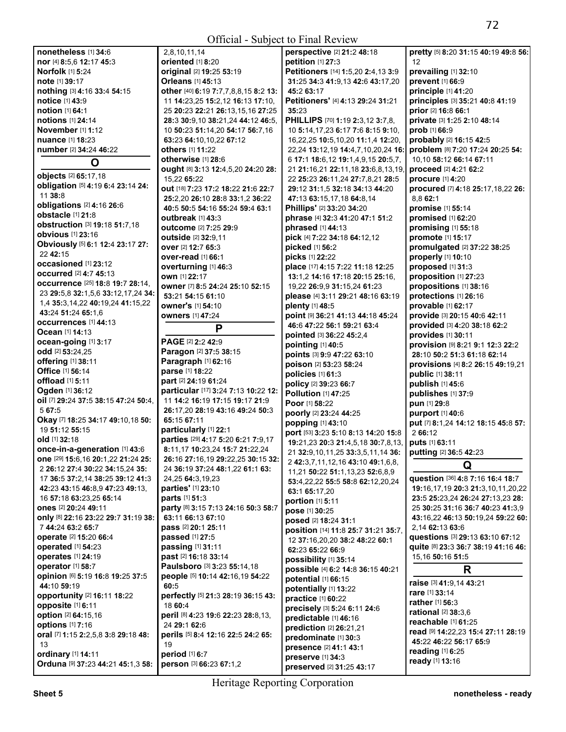| nonetheless [1] 34:6                                  | 2,8,10,11,14                                                   | perspective [2] 21:2 48:18                        |
|-------------------------------------------------------|----------------------------------------------------------------|---------------------------------------------------|
| nor [4] 8:5,6 12:17 45:3                              | oriented [1] 8:20                                              | petition [1] 27:3                                 |
| <b>Norfolk</b> [1] 5:24                               | original [2] 19:25 53:19                                       | Petitioners [14] 1:5,20 2:4,13 3:9                |
| note [1] 39:17                                        | <b>Orleans</b> [1] 45:13                                       | 31:25 34:3 41:9,13 42:6 43:17,20                  |
| nothing [3] 4:16 33:4 54:15                           | other [40] 6:19 7:7,7,8,8,15 8:2 13:                           | 45:2 63:17                                        |
| notice [1] 43:9                                       | 11 14:23,25 15:2,12 16:13 17:10,                               | Petitioners' [4] 4:13 29:24 31:21                 |
| notion [1] 64:1                                       | 25 20:23 22:21 26:13,15,16 27:25                               | 35:23                                             |
| notions [1] 24:14                                     | 28:3 30:9,10 38:21,24 44:12 46:5,                              | <b>PHILLIPS</b> [70] <b>1:19 2:3,12 3:7,8,</b>    |
| November [1] 1:12                                     | 10 50:23 51:14,20 54:17 56:7,16                                | 10 5:14, 17, 23 6:17 7:6 8:15 9:10,               |
| nuance [1] 18:23                                      | 63:23 64:10,10,22 67:12                                        | 16,22,25 10:5,10,20 11:1,4 12:20,                 |
| number [2] 34:24 46:22                                | others [1] 11:22                                               | 22,24 13:12,19 14:4,7,10,20,24 16:                |
| O                                                     | otherwise [1] 28:6                                             | 6 17:1 18:6,12 19:1,4,9,15 20:5,7,                |
| objects [2] 65:17,18                                  | ought [8] 3:13 12:4,5,20 24:20 28:                             | 21 21:16,21 22:11,18 23:6,8,13,19,                |
| obligation [5] 4:19 6:4 23:14 24:                     | 15.22 65:22                                                    | 22 25:23 26:11,24 27:7,8,21 28:5                  |
| 11 38:8                                               | out [18] 7:23 17:2 18:22 21:6 22:7                             | 29:12 31:1,5 32:18 34:13 44:20                    |
| obligations [2] 4:16 26:6                             | 25:2.20 26:10 28:8 33:1.2 36:22                                | 47:13 63:15,17,18 64:8,14                         |
| obstacle [1] 21:8                                     | 40:5 50:5 54:16 55:24 59:4 63:1                                | Phillips' [2] 33:20 34:20                         |
| obstruction [3] 19:18 51:7,18                         | outbreak [1] 43:3                                              | phrase [4] 32:3 41:20 47:1 51:2                   |
| <b>obvious</b> [1] 23:16                              | <b>outcome</b> [2] 7:25 29:9<br><b>outside</b> [2] 32:9,11     | phrased [1] 44:13<br>pick [4] 7:22 34:18 64:12,12 |
| Obviously [5] 6:1 12:4 23:17 27:                      | over [2] 12:7 65:3                                             | picked [1] 56:2                                   |
| 22 42:15                                              | over-read [1] 66:1                                             | picks [1] 22:22                                   |
| occasioned [1] 23:12                                  | overturning [1] 46:3                                           | place [17] 4:15 7:22 11:18 12:25                  |
| <b>occurred</b> [2] 4:7 45:13                         | own [1] 22:17                                                  | 13:1,2 14:16 17:18 20:15 25:16,                   |
| occurrence [25] 18:8 19:7 28:14,                      | owner [7] 8:5 24:24 25:10 52:15                                | 19,22 26:9,9 31:15,24 61:23                       |
| 23 29:5,8 32:1,5,6 33:12,17,24 34:                    | 53:21 54:15 61:10                                              | please [4] 3:11 29:21 48:16 63:19                 |
| 1,4 35:3,14,22 40:19,24 41:15,22                      | owner's [1] 54:10                                              | plenty [1] 48:5                                   |
| 43:24 51:24 65:1,6                                    | <b>owners</b> [1] 47:24                                        | point [9] 36:21 41:13 44:18 45:24                 |
| <b>occurrences</b> [1] 44:13                          |                                                                | 46:6 47:22 56:1 59:21 63:4                        |
| <b>Ocean</b> [1] 14:13                                | P                                                              | pointed [3] 36:22 45:2,4                          |
| ocean-going [1] 3:17                                  | PAGE [2] 2:2 42:9                                              | pointing [1] 40:5                                 |
| odd [2] 53:24,25                                      | Paragon [2] 37:5 38:15                                         | points [3] 9:9 47:22 63:10                        |
| offering [1] 38:11                                    | Paragraph [1] 62:16                                            | poison [2] 53:23 58:24                            |
|                                                       |                                                                |                                                   |
| Office [1] 56:14                                      | parse [1] 18:22                                                |                                                   |
| offload [1] 5:11                                      | part [2] 24:19 61:24                                           | policies [1] 61:3                                 |
| Ogden [1] 36:12                                       | particular [17] 3:24 7:13 10:22 12:                            | policy [2] 39:23 66:7<br>Pollution [1] 47:25      |
| oil [7] 29:24 37:5 38:15 47:24 50:4,                  | 11 14:2 16:19 17:15 19:17 21:9                                 | <b>Poor</b> [1] 58:22                             |
| 5 67:5                                                | 26:17,20 28:19 43:16 49:24 50:3                                | poorly [2] 23:24 44:25                            |
| Okay [7] 18:25 34:17 49:10,18 50:                     | 65:15 67:11                                                    | popping [1] 43:10                                 |
| 19 51:12 55:15                                        | particularly [1] 22:1                                          | port [53] 3:23 5:10 8:13 14:20 15:8               |
| old [1] 32:18                                         | parties [29] 4:17 5:20 6:21 7:9,17                             | 19:21,23 20:3 21:4,5,18 30:7,8,13,                |
| once-in-a-generation [1] 43:6                         | 8:11,17 10:23,24 15:7 21:22,24                                 | 21 32:9,10,11,25 33:3,5,11,14 36:                 |
| one [29] 15:6, 16 20:1, 22 21: 24 25:                 | 26:16 27:16.19 29:22.25 30:15 32:                              | 2 42:3,7,11,12,16 43:10 49:1,6,8,                 |
| 2 26:12 27:4 30:22 34:15,24 35:                       | 24 36:19 37:24 48:1,22 61:1 63:                                | 11,21 50:22 51:1,13,23 52:6,8,9                   |
| 17 36:5 37:2,14 38:25 39:12 41:3                      | 24,25 64:3,19,23                                               | 53:4,22,22 55:5 58:8 62:12,20,24                  |
| 42:23 43:15 46:8.9 47:23 49:13.                       | parties' [1] 23:10                                             | 63:1 65:17,20                                     |
| 16 57:18 63:23,25 65:14                               | parts [1] 51:3                                                 | portion [1] 5:11                                  |
| ones [2] 20:24 49:11                                  | party [8] 3:15 7:13 24:16 50:3 58:7                            | pose [1] 30:25                                    |
| only [8] 22:16 23:22 29:7 31:19 38:                   | 63:11 66:13 67:10                                              | posed [2] 18:24 31:1                              |
| 7 44:24 63:2 65:7                                     | pass [2] 20:1 25:11                                            | position [14] 11:8 25:7 31:21 35:7,               |
| operate [2] 15:20 66:4                                | passed [1] 27:5                                                | 12 37:16,20,20 38:2 48:22 60:1                    |
| operated [1] 54:23                                    | passing [1] 31:11                                              | 62:23 65:22 66:9                                  |
| <b>operates</b> [1] 24:19                             | past [2] 16:18 33:14                                           | possibility [1] 35:14                             |
| operator [1] 58:7<br>opinion [6] 5:19 16:8 19:25 37:5 | Paulsboro [3] 3:23 55:14,18<br>people [5] 10:14 42:16,19 54:22 | possible [4] 6:2 14:8 36:15 40:21                 |
| 44:10 59:19                                           | 60:5                                                           | potential [1] 66:15                               |
| opportunity [2] 16:11 18:22                           | perfectly [5] 21:3 28:19 36:15 43:                             | potentially [1] 13:22                             |
| opposite [1] 6:11                                     | 18 60:4                                                        | practice [1] 60:22                                |
| option [2] 64:15,16                                   | peril [8] 4:23 19:6 22:23 28:8,13,                             | precisely [3] 5:24 6:11 24:6                      |
| <b>options</b> [1] 7:16                               | 24 29:1 62:6                                                   | predictable [1] 46:16                             |
| oral [7] 1:15 2:2,5,8 3:8 29:18 48:                   | perils [5] 8:4 12:16 22:5 24:2 65:                             | prediction [2] 26:21,21                           |
| 13<br>ordinary [1] 14:11                              | 19<br>period [1] 6:7                                           | predominate [1] 30:3<br>presence [2] 41:1 43:1    |

 $3,19$ **pretty** [5] **8:**20 **31:**15 **40:**19 **49:**8 **56:**  12 **prevailing** [1] **32:**10 **prevent** [1] **66:**9 **principle** [1] **41:**20 **principles** [3] **35:**21 **40:**8 **41:**19 **prior** [2] **16:**8 **66:**1 **private** [3] **1:**25 **2:**10 **48:**14 **prob** [1] **66:**9 **probably** [2] **16:**15 **42:**5 **problem** [8] **7:**20 **17:**24 **20:**25 **54:**  10,10 **58:**12 **66:**14 **67:**11 **proceed** [2] **4:**21 **62:**2 **procure** [1] **4:**20 **procured** [7] **4:**18 **25:**17,18,22 **26:**  8,8 **62:**1 **promise** [1] **55:**14 **promised** [1] **62:**20 **promising** [1] **55:**18 **promote** [1] **15:**17 **promulgated** [2] **37:**22 **38:**25 **properly** [1] **10:**10 **proposed** [1] **31:**3 **proposition** [1] **27:**23 **propositions** [1] **38:**16 **protections** [1] **26:**16 **provable** [1] **62:**17 **provide** [3] **20:**15 **40:**6 **42:**11 **provided** [3] **4:**20 **38:**18 **62:**2 **provides** [1] **30:**11 **provision** [9] **8:**21 **9:**1 **12:**3 **22:**2 **28:**10 **50:**2 **51:**3 **61:**18 **62:**14 **provisions** [4] **8:**2 **26:**15 **49:**19,21 **public** [1] **38:**11 **publish** [1] **45:**6 **publishes** [1] **37:**9 **pun** [1] **29:**8 **purport** [1] **40:**6 **put** [7] **8:**1,24 **14:**12 **18:**15 **45:**8 **57:**  2 **66:**12 **puts** [1] **63:**11 **putting** [2] **36:**5 **42:**23 **Q question** [36] **4:**8 **7:**16 **16:**4 **18:**7 **19:**16,17,19 **20:**3 **21:**3,10,11,20,22 **23:**5 **25:**23,24 **26:**24 **27:**13,23 **28:**  25 **30:**25 **31:**16 **36:**7 **40:**23 **41:**3,9 **43:**16,22 **46:**13 **50:**19,24 **59:**22 **60:** 

2,14 **62:**13 **63:**6 **questions** [3] **29:**13 **63:**10 **67:**12 **quite** [8] **23:**3 **36:**7 **38:**19 **41:**16 **46:**  15,16 **50:**16 **51:**5

## **R**

**raise** [3] **41:**9,14 **43:**21 **rare** [1] **33:**14 **rather** [1] **56:**3 **rational** [2] **38:**3,6 **reachable** [1] **61:**25 **read** [9] **14:**22,23 **15:**4 **27:**11 **28:**19 **45:**22 **46:**22 **56:**17 **65:**9 **reading** [1] **6:**25 **ready** [1] **13:**16

**preserved** [2] **31:**25 **43:**17

**person** [3] **66:**23 **67:**1,2

**Orduna** [9] **37:**23 **44:**21 **45:**1,3 **58:**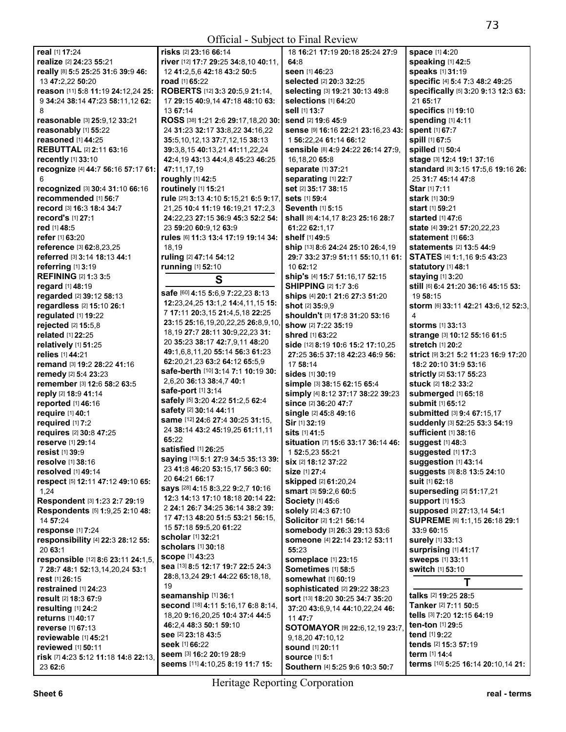| real [1] 17:24                       | <b>risks</b> [2] 23:16 66:14          | 18 16:21 17:19 20:18 25:24 27:9      | space [1] 4:20                       |
|--------------------------------------|---------------------------------------|--------------------------------------|--------------------------------------|
| realize [2] 24:23 55:21              | river [12] 17:7 29:25 34:8,10 40:11,  | 64:8                                 | speaking [1] 42:5                    |
| really [8] 5:5 25:25 31:6 39:9 46:   | 12 41:2,5,6 42:18 43:2 50:5           | seen [1] 46:23                       | speaks [1] 31:19                     |
| 13 47:2,22 50:20                     | road [1] 65:22                        | selected [2] 20:3 32:25              | specific [4] 5:4 7:3 48:2 49:25      |
| reason [11] 5:8 11:19 24:12,24 25:   | ROBERTS [12] 3:3 20:5,9 21:14,        | selecting [3] 19:21 30:13 49:8       | specifically [5] 3:20 9:13 12:3 63:  |
| 9 34:24 38:14 47:23 58:11,12 62:     | 17 29:15 40:9,14 47:18 48:10 63:      | selections [1] 64:20                 | 21 65:17                             |
| 8                                    | 13 67:14                              | sell [1] 13:7                        |                                      |
|                                      |                                       |                                      | <b>specifics</b> [1] 19:10           |
| reasonable [3] 25:9,12 33:21         | ROSS [38] 1:21 2:6 29:17,18,20 30:    | send [2] 19:6 45:9                   | spending [1] 4:11                    |
| reasonably [1] 55:22                 | 24 31:23 32:17 33:8,22 34:16,22       | Sense [9] 16:16 22:21 23:16,23 43:   | spent [1] 67:7                       |
| reasoned [1] 44:25                   | 35:5, 10, 12, 13 37:7, 12, 15 38:13   | 1 56:22,24 61:14 66:12               | spill [1] 67:5                       |
| <b>REBUTTAL [2] 2:11 63:16</b>       | 39:3.8.15 40:13.21 41:11.22.24        | Sensible [8] 4:9 24:22 26:14 27:9.   | spilled [1] 50:4                     |
| <b>recently</b> [1] 33:10            | 42:4,19 43:13 44:4,8 45:23 46:25      | 16, 18, 20 65: 8                     | stage [3] 12:4 19:1 37:16            |
| recognize [4] 44:7 56:16 57:17 61:   | 47:11,17,19                           | separate [1] 37:21                   | standard [8] 3:15 17:5,6 19:16 26:   |
| 6                                    | roughly [1] 42:5                      | separating [1] 22:7                  | 25 31:7 45:14 47:8                   |
| recognized [3] 30:4 31:10 66:16      | routinely [1] 15:21                   | set [2] 35:17 38:15                  | Star [1] 7:11                        |
| recommended [1] 56:7                 | rule [25] 3:13 4:10 5:15,21 6:5 9:17, | <b>sets</b> [1] 59:4                 | <b>stark</b> [1] 30:9                |
| record [3] 16:3 18:4 34:7            | 21,25 10:4 11:19 16:19,21 17:2,3      | Seventh [1] 5:15                     | <b>start</b> [1] <b>59:21</b>        |
| record's [1] 27:1                    | 24:22,23 27:15 36:9 45:3 52:2 54:     | shall [8] 4:14,17 8:23 25:16 28:7    | <b>started</b> [1] <b>47:</b> 6      |
| red [1] 48:5                         | 23 59:20 60:9,12 63:9                 | 61:22 62:1.17                        | state [4] 39:21 57:20,22,23          |
|                                      |                                       | shelf [1] 49:5                       |                                      |
| refer [1] 63:20                      | rules [6] 11:3 13:4 17:19 19:14 34:   |                                      | <b>statement</b> [1] 66:3            |
| reference [3] 62:8,23,25             | 18,19                                 | ship [13] 8:6 24:24 25:10 26:4,19    | statements [2] 13:5 44:9             |
| referred [3] 3:14 18:13 44:1         | ruling [2] 47:14 54:12                | 29:7 33:2 37:9 51:11 55:10,11 61:    | STATES [4] 1:1,16 9:5 43:23          |
| referring [1] 3:19                   | running [1] 52:10                     | 10 62:12                             | statutory [1] 48:1                   |
| <b>REFINING [2] 1:3 3:5</b>          | S                                     | ship's [4] 15:7 51:16,17 52:15       | staying [1] 3:20                     |
| regard [1] 48:19                     |                                       | <b>SHIPPING [2] 1:7 3:6</b>          | still [6] 6:4 21:20 36:16 45:15 53:  |
| regarded [2] 39:12 58:13             | safe [60] 4:15 5:6,9 7:22,23 8:13     | ships [4] 20:1 21:6 27:3 51:20       | 19 58:15                             |
| regardless [2] 15:10 26:1            | 12:23,24,25 13:1,2 14:4,11,15 15:     | shot [2] 35:9,9                      | storm [6] 33:11 42:21 43:6,12 52:3,  |
| regulated [1] 19:22                  | 7 17:11 20:3,15 21:4,5,18 22:25       | shouldn't [3] 17:8 31:20 53:16       | 4                                    |
| rejected [2] 15:5,8                  | 23:15 25:16,19,20,22,25 26:8,9,10,    | show [2] 7:22 35:19                  | storms [1] 33:13                     |
| related [1] 22:25                    | 18, 19 27:7 28:11 30:9, 22, 23 31:    | shred [1] 63:22                      | strange [3] 10:12 55:16 61:5         |
|                                      | 20 35:23 38:17 42:7,9,11 48:20        | side [12] 8:19 10:6 15:2 17:10,25    | stretch [1] 20:2                     |
| relatively [1] 51:25                 | 49:1,6,8,11,20 55:14 56:3 61:23       |                                      |                                      |
| relies [1] 44:21                     | 62:20,21,23 63:2 64:12 65:5,9         | 27:25 36:5 37:18 42:23 46:9 56:      | strict [9] 3:21 5:2 11:23 16:9 17:20 |
| remand [3] 19:2 28:22 41:16          | safe-berth [10] 3:14 7:1 10:19 30:    | 17 58:14                             | 18:2 20:10 31:9 53:16                |
| remedy [2] 5:4 23:23                 | 2,6,20 36:13 38:4,7 40:1              | sides [1] 30:19                      | strictly [2] 53:17 55:23             |
| remember [3] 12:6 58:2 63:5          |                                       | simple [3] 38:15 62:15 65:4          | stuck [2] 18:2 33:2                  |
| reply [2] 18:9 41:14                 | <b>safe-port</b> [1] 3:14             | simply [4] 8:12 37:17 38:22 39:23    | submerged [1] 65:18                  |
| reported [1] 46:16                   | safely [5] 3:20 4:22 51:2,5 62:4      | since [2] 36:20 47:7                 | <b>submit</b> [1] 65:12              |
| require [1] 40:1                     | safety [2] 30:14 44:11                | single [2] 45:8 49:16                | submitted [3] 9:4 67:15,17           |
| required [1] 7:2                     | same [12] 24:6 27:4 30:25 31:15,      | Sir [1] 32:19                        | suddenly [3] 52:25 53:3 54:19        |
| requires [2] 30:8 47:25              | 24 38:14 43:2 45:19,25 61:11,11       | <b>sits</b> [1] 41:5                 | sufficient [1] 38:16                 |
| reserve [1] 29:14                    | 65:22                                 | situation [7] 15:6 33:17 36:14 46:   | suggest [1] 48:3                     |
| <b>resist</b> [1] 39:9               | satisfied [1] 26:25                   | 1 52:5,23 55:21                      | suggested [1] 17:3                   |
| resolve [1] 38:16                    | saying [13] 5:1 27:9 34:5 35:13 39:   | six [2] 18:12 37:22                  | suggestion [1] 43:14                 |
| resolved [1] 49:14                   | 23 41:8 46:20 53:15,17 56:3 60:       |                                      |                                      |
|                                      | 20 64:21 66:17                        | <b>size</b> [1] 27:4                 | suggests [3] 8:8 13:5 24:10          |
| respect [5] 12:11 47:12 49:10 65:    | says [28] 4:15 8:3,22 9:2,7 10:16     | skipped [2] 61:20,24                 | suit [1] 62:18                       |
| 1,24                                 | 12:3 14:13 17:10 18:18 20:14 22:      | smart [3] 59:2,6 60:5                | superseding [2] 51:17,21             |
| Respondent [3] 1:23 2:7 29:19        |                                       | Society [1] 45:6                     | support [1] 15:3                     |
| Respondents [5] 1:9,25 2:10 48:      | 2 24:1 26:7 34:25 36:14 38:2 39:      | solely [2] 4:3 67:10                 | supposed [3] 27:13,14 54:1           |
| 14 57:24                             | 17 47:13 48:20 51:5 53:21 56:15.      | Solicitor [2] 1:21 56:14             | SUPREME [6] 1:1,15 26:18 29:1        |
| response [1] 7:24                    | 15 57:18 59:5,20 61:22                | somebody [3] 26:3 29:13 53:6         | 33:9 60:15                           |
| responsibility [4] 22:3 28:12 55:    | <b>scholar</b> [1] <b>32:</b> 21      | someone [4] 22:14 23:12 53:11        | surely [1] 33:13                     |
| 20 63:1                              | scholars [1] 30:18                    | 55:23                                | surprising [1] 41:17                 |
| responsible [12] 8:6 23:11 24:1,5,   | <b>scope [1] 43:23</b>                | someplace [1] 23:15                  | sweeps [1] 33:11                     |
| 7 28:7 48:1 52:13,14,20,24 53:1      | sea [13] 8:5 12:17 19:7 22:5 24:3     | Sometimes [1] 58:5                   | switch [1] 53:10                     |
| rest [1] 26:15                       | 28:8,13,24 29:1 44:22 65:18,18,       | somewhat [1] 60:19                   |                                      |
| restrained [1] 24:23                 | 19                                    | <b>sophisticated [2] 29:22 38:23</b> | Τ                                    |
|                                      | seamanship [1] 36:1                   |                                      | talks [2] 19:25 28:5                 |
| result [2] 18:3 67:9                 | second [18] 4:11 5:16,17 6:8 8:14,    | sort [13] 18:20 30:25 34:7 35:20     | Tanker [2] 7:11 50:5                 |
| resulting $[1]$ 24:2                 | 18,20 9:16,20,25 10:4 37:4 44:5       | 37:20 43:6,9,14 44:10,22,24 46:      | tells [3] 7:20 12:15 64:19           |
| returns [1] 40:17                    | 46:2,4 48:3 50:1 59:10                | 11 47:7                              | ten-ton [1] 29:5                     |
| <b>reverse</b> [1] 67:13             |                                       | SOTOMAYOR [9] 22:6,12,19 23:7,       |                                      |
| reviewable [1] 45:21                 | see [2] 23:18 43:5                    | 9,18,20 47:10,12                     | tend [1] 9:22                        |
| <b>reviewed</b> [1] 50:11            | seek [1] 66:22                        | <b>sound</b> [1] 20:11               | tends [2] 15:3 57:19                 |
| risk [7] 4:23 5:12 11:18 14:8 22:13, | seem [3] 16:2 20:19 28:9              | <b>source [1] 5:1</b>                | term [1] 14:4                        |
| 23 62:6                              | seems [11] 4:10,25 8:19 11:7 15:      | Southern [4] 5:25 9:6 10:3 50:7      | terms [10] 5:25 16:14 20:10,14 21:   |
|                                      |                                       |                                      |                                      |